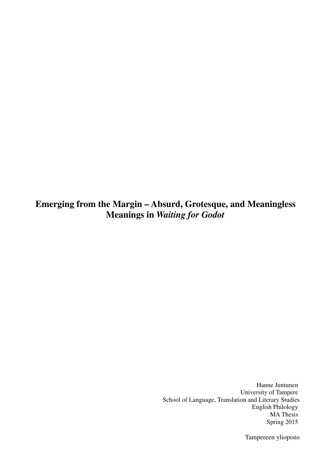**Emerging from the Margin – Absurd, Grotesque, and Meaningless Meanings in** *Waiting for Godot*

> Hanne Juntunen University of Tampere School of Language, Translation and Literary Studies English Philology MA Thesis Spring 2015

> > Tampereen yliopisto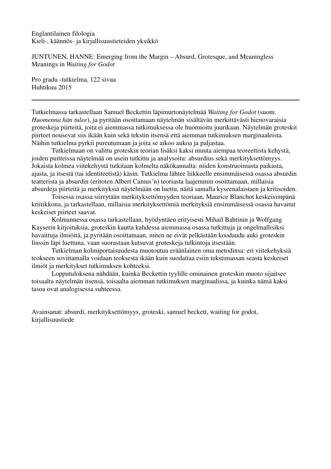Englantilainen filologia Kieli-, käännös- ja kirjallisuustieteiden yksikkö

JUNTUNEN, HANNE: Emerging from the Margin – Absurd, Grotesque, and Meaningless Meanings in *Waiting for Godot*

Pro gradu -tutkielma, 122 sivua Huhtikuu 2015

Tutkielmassa tarkastellaan Samuel Beckettin läpimurtonäytelmää *Waiting for Godot* (suom. *Huomenna hän tulee*), ja pyritään osoittamaan näytelmän sisältävän merkittävästi hienovaraisia groteskeja piirteitä, joita ei aiemmassa tutkimuksessa ole huomioitu juurikaan. Näytelmän groteskit piirteet nousevat siis ikään kuin sekä tekstin itsensä että aiemman tutkimuksen marginaaleista. Näihin tutkielma pyrkii pureutumaan ja joita se aikoo aukoa ja paljastaa.

Tutkielmaan on valittu groteskin teorian lisäksi kaksi muuta aiempaa teoreettista kehystä, joiden puitteissa näytelmää on usein tutkittu ja analysoitu: absurdius sekä merkityksettömyys. Jokaista kolmea viitekehystä tutkitaan kolmelta näkökannalta: niiden konstruoimasta paikasta, ajasta, ja itsestä (tai identiteetistä) käsin. Tutkielma lähtee liikkeelle ensimmäisessä osassa absurdin teatterista ja absurdin (eritoten Albert Camus'n) teoriasta laajemmin osoittamaan, millaisia absurdeja piirteitä ja merkityksiä näytelmään on luettu, näitä samalla kyseenalaistaen ja kritisoiden.

Toisessa osassa siirrytään merkityksettömyyden teoriaan, Maurice Blanchot keskeisimpänä kriitikkona, ja tarkastellaan, millaisia merkityksettömiä merkityksiä ensimmäisessä osassa havaitut keskeiset piirteet saavat.

Kolmannessa osassa tarkastellaan, hyödyntäen erityisesti Mihail Bahtinin ja Wolfgang Kayserin kirjoituksia, groteskin kautta kahdessa aiemmassa osassa tutkittuja ja ongelmallisiksi havaittuja ilmiöitä, ja pyritään osoittamaan, miten ne eivät pelkästään koodaudu auki groteskin linssin läpi luettuna, vaan suorastaan kutsuvat groteskeja tulkintoja itsestään.

Tutkielman kolmiportaisuudesta muotoutuu eräänlainen oma metodinsa: eri viitekehyksiä teokseen sovittamalla voidaan teoksesta ikään kuin suodattaa esiin tekstimassan seasta keskeiset ilmiöt ja merkitykset tutkimuksen kohteeksi.

Lopputuloksena nähdään, kuinka Beckettin tyylille ominainen groteskin muoto sijaitsee toisaalta näytelmän itsensä, toisaalta aiemman tutkimuksen marginaalissa, ja kuinka nämä kaksi tasoa ovat analogisessa suhteessa.

Avainsanat: absurdi, merkityksettömyys, groteski, samuel beckett, waiting for godot, kirjallisuustiede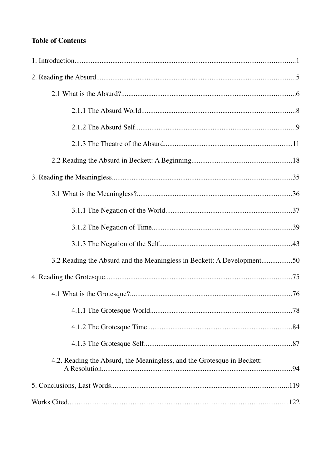# **Table of Contents**

| 3.2 Reading the Absurd and the Meaningless in Beckett: A Development50  |  |
|-------------------------------------------------------------------------|--|
|                                                                         |  |
|                                                                         |  |
|                                                                         |  |
|                                                                         |  |
|                                                                         |  |
| 4.2. Reading the Absurd, the Meaningless, and the Grotesque in Beckett: |  |
|                                                                         |  |
|                                                                         |  |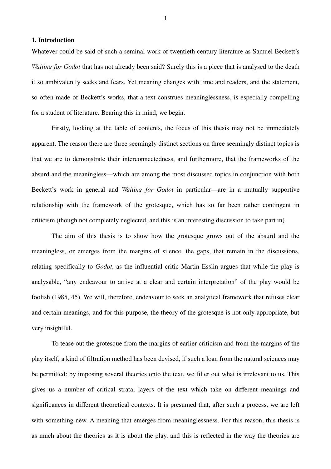## **1. Introduction**

Whatever could be said of such a seminal work of twentieth century literature as Samuel Beckett's *Waiting for Godot* that has not already been said? Surely this is a piece that is analysed to the death it so ambivalently seeks and fears. Yet meaning changes with time and readers, and the statement, so often made of Beckett's works, that a text construes meaninglessness, is especially compelling for a student of literature. Bearing this in mind, we begin.

Firstly, looking at the table of contents, the focus of this thesis may not be immediately apparent. The reason there are three seemingly distinct sections on three seemingly distinct topics is that we are to demonstrate their interconnectedness, and furthermore, that the frameworks of the absurd and the meaningless—which are among the most discussed topics in conjunction with both Beckett's work in general and *Waiting for Godot* in particular—are in a mutually supportive relationship with the framework of the grotesque, which has so far been rather contingent in criticism (though not completely neglected, and this is an interesting discussion to take part in).

The aim of this thesis is to show how the grotesque grows out of the absurd and the meaningless, or emerges from the margins of silence, the gaps, that remain in the discussions, relating specifically to *Godot*, as the influential critic Martin Esslin argues that while the play is analysable, "any endeavour to arrive at a clear and certain interpretation" of the play would be foolish (1985, 45). We will, therefore, endeavour to seek an analytical framework that refuses clear and certain meanings, and for this purpose, the theory of the grotesque is not only appropriate, but very insightful.

To tease out the grotesque from the margins of earlier criticism and from the margins of the play itself, a kind of filtration method has been devised, if such a loan from the natural sciences may be permitted: by imposing several theories onto the text, we filter out what is irrelevant to us. This gives us a number of critical strata, layers of the text which take on different meanings and significances in different theoretical contexts. It is presumed that, after such a process, we are left with something new. A meaning that emerges from meaninglessness. For this reason, this thesis is as much about the theories as it is about the play, and this is reflected in the way the theories are

1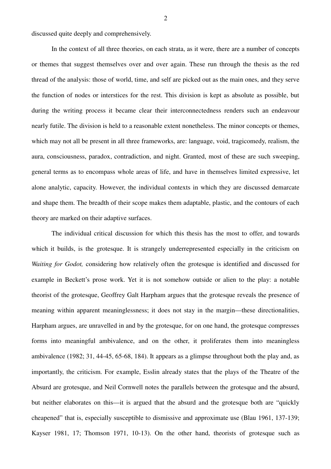discussed quite deeply and comprehensively.

In the context of all three theories, on each strata, as it were, there are a number of concepts or themes that suggest themselves over and over again. These run through the thesis as the red thread of the analysis: those of world, time, and self are picked out as the main ones, and they serve the function of nodes or interstices for the rest. This division is kept as absolute as possible, but during the writing process it became clear their interconnectedness renders such an endeavour nearly futile. The division is held to a reasonable extent nonetheless. The minor concepts or themes, which may not all be present in all three frameworks, are: language, void, tragicomedy, realism, the aura, consciousness, paradox, contradiction, and night. Granted, most of these are such sweeping, general terms as to encompass whole areas of life, and have in themselves limited expressive, let alone analytic, capacity. However, the individual contexts in which they are discussed demarcate and shape them. The breadth of their scope makes them adaptable, plastic, and the contours of each theory are marked on their adaptive surfaces.

The individual critical discussion for which this thesis has the most to offer, and towards which it builds, is the grotesque. It is strangely underrepresented especially in the criticism on *Waiting for Godot,* considering how relatively often the grotesque is identified and discussed for example in Beckett's prose work. Yet it is not somehow outside or alien to the play: a notable theorist of the grotesque, Geoffrey Galt Harpham argues that the grotesque reveals the presence of meaning within apparent meaninglessness; it does not stay in the margin—these directionalities, Harpham argues, are unravelled in and by the grotesque, for on one hand, the grotesque compresses forms into meaningful ambivalence, and on the other, it proliferates them into meaningless ambivalence (1982; 31, 44-45, 65-68, 184). It appears as a glimpse throughout both the play and, as importantly, the criticism. For example, Esslin already states that the plays of the Theatre of the Absurd are grotesque, and Neil Cornwell notes the parallels between the grotesque and the absurd, but neither elaborates on this—it is argued that the absurd and the grotesque both are "quickly cheapened" that is, especially susceptible to dismissive and approximate use (Blau 1961, 137-139; Kayser 1981, 17; Thomson 1971, 10-13). On the other hand, theorists of grotesque such as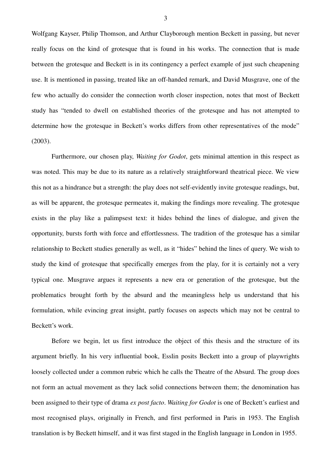Wolfgang Kayser, Philip Thomson, and Arthur Clayborough mention Beckett in passing, but never really focus on the kind of grotesque that is found in his works. The connection that is made between the grotesque and Beckett is in its contingency a perfect example of just such cheapening use. It is mentioned in passing, treated like an off-handed remark, and David Musgrave, one of the few who actually do consider the connection worth closer inspection, notes that most of Beckett study has "tended to dwell on established theories of the grotesque and has not attempted to determine how the grotesque in Beckett's works differs from other representatives of the mode" (2003).

Furthermore, our chosen play, *Waiting for Godot*, gets minimal attention in this respect as was noted. This may be due to its nature as a relatively straightforward theatrical piece. We view this not as a hindrance but a strength: the play does not self-evidently invite grotesque readings, but, as will be apparent, the grotesque permeates it, making the findings more revealing. The grotesque exists in the play like a palimpsest text: it hides behind the lines of dialogue, and given the opportunity, bursts forth with force and effortlessness. The tradition of the grotesque has a similar relationship to Beckett studies generally as well, as it "hides" behind the lines of query. We wish to study the kind of grotesque that specifically emerges from the play, for it is certainly not a very typical one. Musgrave argues it represents a new era or generation of the grotesque, but the problematics brought forth by the absurd and the meaningless help us understand that his formulation, while evincing great insight, partly focuses on aspects which may not be central to Beckett's work.

Before we begin, let us first introduce the object of this thesis and the structure of its argument briefly. In his very influential book, Esslin posits Beckett into a group of playwrights loosely collected under a common rubric which he calls the Theatre of the Absurd. The group does not form an actual movement as they lack solid connections between them; the denomination has been assigned to their type of drama *ex post facto*. *Waiting for Godot* is one of Beckett's earliest and most recognised plays, originally in French, and first performed in Paris in 1953. The English translation is by Beckett himself, and it was first staged in the English language in London in 1955.

3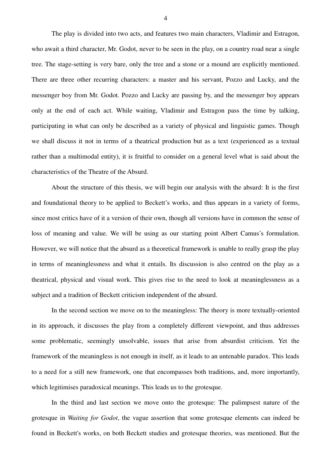The play is divided into two acts, and features two main characters, Vladimir and Estragon, who await a third character, Mr. Godot, never to be seen in the play, on a country road near a single tree. The stage-setting is very bare, only the tree and a stone or a mound are explicitly mentioned. There are three other recurring characters: a master and his servant, Pozzo and Lucky, and the messenger boy from Mr. Godot. Pozzo and Lucky are passing by, and the messenger boy appears only at the end of each act. While waiting, Vladimir and Estragon pass the time by talking, participating in what can only be described as a variety of physical and linguistic games. Though we shall discuss it not in terms of a theatrical production but as a text (experienced as a textual rather than a multimodal entity), it is fruitful to consider on a general level what is said about the characteristics of the Theatre of the Absurd.

About the structure of this thesis, we will begin our analysis with the absurd: It is the first and foundational theory to be applied to Beckett's works, and thus appears in a variety of forms, since most critics have of it a version of their own, though all versions have in common the sense of loss of meaning and value. We will be using as our starting point Albert Camus's formulation. However, we will notice that the absurd as a theoretical framework is unable to really grasp the play in terms of meaninglessness and what it entails. Its discussion is also centred on the play as a theatrical, physical and visual work. This gives rise to the need to look at meaninglessness as a subject and a tradition of Beckett criticism independent of the absurd.

In the second section we move on to the meaningless: The theory is more textually-oriented in its approach, it discusses the play from a completely different viewpoint, and thus addresses some problematic, seemingly unsolvable, issues that arise from absurdist criticism. Yet the framework of the meaningless is not enough in itself, as it leads to an untenable paradox. This leads to a need for a still new framework, one that encompasses both traditions, and, more importantly, which legitimises paradoxical meanings. This leads us to the grotesque.

In the third and last section we move onto the grotesque: The palimpsest nature of the grotesque in *Waiting for Godot*, the vague assertion that some grotesque elements can indeed be found in Beckett's works, on both Beckett studies and grotesque theories, was mentioned. But the

4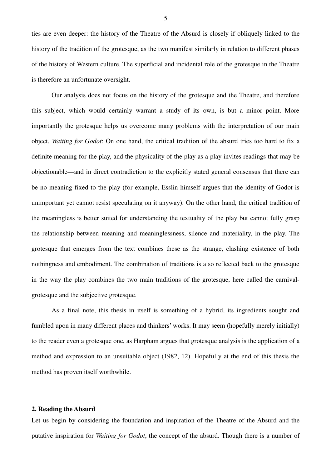ties are even deeper: the history of the Theatre of the Absurd is closely if obliquely linked to the history of the tradition of the grotesque, as the two manifest similarly in relation to different phases of the history of Western culture. The superficial and incidental role of the grotesque in the Theatre is therefore an unfortunate oversight.

Our analysis does not focus on the history of the grotesque and the Theatre, and therefore this subject, which would certainly warrant a study of its own, is but a minor point. More importantly the grotesque helps us overcome many problems with the interpretation of our main object, *Waiting for Godot*: On one hand, the critical tradition of the absurd tries too hard to fix a definite meaning for the play, and the physicality of the play as a play invites readings that may be objectionable—and in direct contradiction to the explicitly stated general consensus that there can be no meaning fixed to the play (for example, Esslin himself argues that the identity of Godot is unimportant yet cannot resist speculating on it anyway). On the other hand, the critical tradition of the meaningless is better suited for understanding the textuality of the play but cannot fully grasp the relationship between meaning and meaninglessness, silence and materiality, in the play. The grotesque that emerges from the text combines these as the strange, clashing existence of both nothingness and embodiment. The combination of traditions is also reflected back to the grotesque in the way the play combines the two main traditions of the grotesque, here called the carnivalgrotesque and the subjective grotesque.

As a final note, this thesis in itself is something of a hybrid, its ingredients sought and fumbled upon in many different places and thinkers' works. It may seem (hopefully merely initially) to the reader even a grotesque one, as Harpham argues that grotesque analysis is the application of a method and expression to an unsuitable object (1982, 12). Hopefully at the end of this thesis the method has proven itself worthwhile.

#### **2. Reading the Absurd**

Let us begin by considering the foundation and inspiration of the Theatre of the Absurd and the putative inspiration for *Waiting for Godot*, the concept of the absurd. Though there is a number of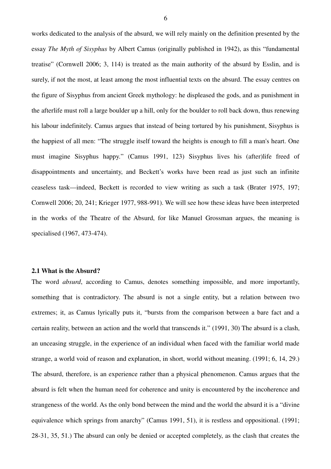works dedicated to the analysis of the absurd, we will rely mainly on the definition presented by the essay *The Myth of Sisyphus* by Albert Camus (originally published in 1942), as this "fundamental treatise" (Cornwell 2006; 3, 114) is treated as the main authority of the absurd by Esslin, and is surely, if not the most, at least among the most influential texts on the absurd. The essay centres on the figure of Sisyphus from ancient Greek mythology: he displeased the gods, and as punishment in the afterlife must roll a large boulder up a hill, only for the boulder to roll back down, thus renewing his labour indefinitely. Camus argues that instead of being tortured by his punishment, Sisyphus is the happiest of all men: "The struggle itself toward the heights is enough to fill a man's heart. One must imagine Sisyphus happy." (Camus 1991, 123) Sisyphus lives his (after)life freed of disappointments and uncertainty, and Beckett's works have been read as just such an infinite ceaseless task—indeed, Beckett is recorded to view writing as such a task (Brater 1975, 197; Cornwell 2006; 20, 241; Krieger 1977, 988-991). We will see how these ideas have been interpreted in the works of the Theatre of the Absurd, for like Manuel Grossman argues, the meaning is specialised (1967, 473-474).

#### **2.1 What is the Absurd?**

The word *absurd*, according to Camus, denotes something impossible, and more importantly, something that is contradictory. The absurd is not a single entity, but a relation between two extremes; it, as Camus lyrically puts it, "bursts from the comparison between a bare fact and a certain reality, between an action and the world that transcends it." (1991, 30) The absurd is a clash, an unceasing struggle, in the experience of an individual when faced with the familiar world made strange, a world void of reason and explanation, in short, world without meaning. (1991; 6, 14, 29.) The absurd, therefore, is an experience rather than a physical phenomenon. Camus argues that the absurd is felt when the human need for coherence and unity is encountered by the incoherence and strangeness of the world. As the only bond between the mind and the world the absurd it is a "divine equivalence which springs from anarchy" (Camus 1991, 51), it is restless and oppositional. (1991; 28-31, 35, 51.) The absurd can only be denied or accepted completely, as the clash that creates the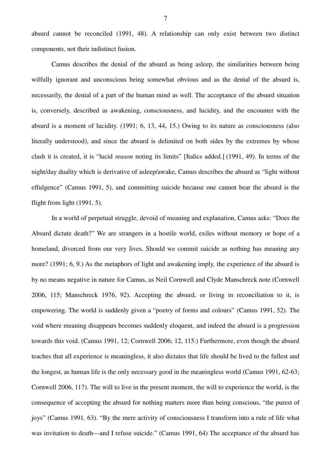absurd cannot be reconciled (1991, 48). A relationship can only exist between two distinct components, not their indistinct fusion.

Camus describes the denial of the absurd as being asleep, the similarities between being wilfully ignorant and unconscious being somewhat obvious and as the denial of the absurd is, necessarily, the denial of a part of the human mind as well. The acceptance of the absurd situation is, conversely, described as awakening, consciousness, and lucidity, and the encounter with the absurd is a moment of lucidity. (1991; 6, 13, 44, 15.) Owing to its nature as consciousness (also literally understood), and since the absurd is delimited on both sides by the extremes by whose clash it is created, it is "lucid *reason* noting its limits" [Italics added.] (1991, 49). In terms of the night/day duality which is derivative of asleep/awake, Camus describes the absurd as "light without effulgence" (Camus 1991, 5), and committing suicide because one cannot bear the absurd is the flight from light (1991, 5).

In a world of perpetual struggle, devoid of meaning and explanation, Camus asks: "Does the Absurd dictate death?" We are strangers in a hostile world, exiles without memory or hope of a homeland, divorced from our very lives. Should we commit suicide as nothing has meaning any more? (1991; 6, 9.) As the metaphors of light and awakening imply, the experience of the absurd is by no means negative in nature for Camus, as Neil Cornwell and Clyde Manschreck note (Cornwell 2006, 115; Manschreck 1976, 92). Accepting the absurd, or living in reconciliation to it, is empowering. The world is suddenly given a "poetry of forms and colours" (Camus 1991, 52). The void where meaning disappears becomes suddenly eloquent, and indeed the absurd is a progression towards this void. (Camus 1991, 12; Cornwell 2006; 12, 115.) Furthermore, even though the absurd teaches that all experience is meaningless, it also dictates that life should be lived to the fullest and the longest, as human life is the only necessary good in the meaningless world (Camus 1991, 62-63; Cornwell 2006, 117). The will to live in the present moment, the will to experience the world, is the consequence of accepting the absurd for nothing matters more than being conscious, "the purest of joys" (Camus 1991, 63). "By the mere activity of consciousness I transform into a rule of life what was invitation to death—and I refuse suicide." (Camus 1991, 64) The acceptance of the absurd has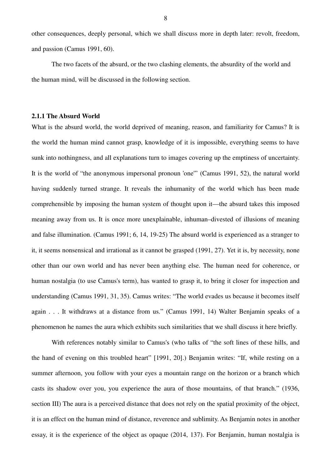other consequences, deeply personal, which we shall discuss more in depth later: revolt, freedom, and passion (Camus 1991, 60).

The two facets of the absurd, or the two clashing elements, the absurdity of the world and the human mind, will be discussed in the following section.

## **2.1.1 The Absurd World**

What is the absurd world, the world deprived of meaning, reason, and familiarity for Camus? It is the world the human mind cannot grasp, knowledge of it is impossible, everything seems to have sunk into nothingness, and all explanations turn to images covering up the emptiness of uncertainty. It is the world of "the anonymous impersonal pronoun 'one'" (Camus 1991, 52), the natural world having suddenly turned strange. It reveals the inhumanity of the world which has been made comprehensible by imposing the human system of thought upon it—the absurd takes this imposed meaning away from us. It is once more unexplainable, inhuman–divested of illusions of meaning and false illumination. (Camus 1991; 6, 14, 19-25) The absurd world is experienced as a stranger to it, it seems nonsensical and irrational as it cannot be grasped (1991, 27). Yet it is, by necessity, none other than our own world and has never been anything else. The human need for coherence, or human nostalgia (to use Camus's term), has wanted to grasp it, to bring it closer for inspection and understanding (Camus 1991, 31, 35). Camus writes: "The world evades us because it becomes itself again . . . It withdraws at a distance from us." (Camus 1991, 14) Walter Benjamin speaks of a phenomenon he names the aura which exhibits such similarities that we shall discuss it here briefly.

With references notably similar to Camus's (who talks of "the soft lines of these hills, and the hand of evening on this troubled heart" [1991, 20].) Benjamin writes: "If, while resting on a summer afternoon, you follow with your eyes a mountain range on the horizon or a branch which casts its shadow over you, you experience the aura of those mountains, of that branch." (1936, section III) The aura is a perceived distance that does not rely on the spatial proximity of the object, it is an effect on the human mind of distance, reverence and sublimity. As Benjamin notes in another essay, it is the experience of the object as opaque (2014, 137). For Benjamin, human nostalgia is

8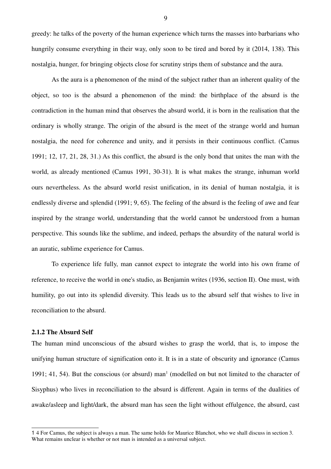greedy: he talks of the poverty of the human experience which turns the masses into barbarians who hungrily consume everything in their way, only soon to be tired and bored by it (2014, 138). This nostalgia, hunger, for bringing objects close for scrutiny strips them of substance and the aura.

As the aura is a phenomenon of the mind of the subject rather than an inherent quality of the object, so too is the absurd a phenomenon of the mind: the birthplace of the absurd is the contradiction in the human mind that observes the absurd world, it is born in the realisation that the ordinary is wholly strange. The origin of the absurd is the meet of the strange world and human nostalgia, the need for coherence and unity, and it persists in their continuous conflict. (Camus 1991; 12, 17, 21, 28, 31.) As this conflict, the absurd is the only bond that unites the man with the world, as already mentioned (Camus 1991, 30-31). It is what makes the strange, inhuman world ours nevertheless. As the absurd world resist unification, in its denial of human nostalgia, it is endlessly diverse and splendid (1991; 9, 65). The feeling of the absurd is the feeling of awe and fear inspired by the strange world, understanding that the world cannot be understood from a human perspective. This sounds like the sublime, and indeed, perhaps the absurdity of the natural world is an auratic, sublime experience for Camus.

To experience life fully, man cannot expect to integrate the world into his own frame of reference, to receive the world in one's studio, as Benjamin writes (1936, section II). One must, with humility, go out into its splendid diversity. This leads us to the absurd self that wishes to live in reconciliation to the absurd.

# **2.1.2 The Absurd Self**

The human mind unconscious of the absurd wishes to grasp the world, that is, to impose the unifying human structure of signification onto it. It is in a state of obscurity and ignorance (Camus 1991; 41, 54). But the conscious (or absurd) man<sup>1</sup> (modelled on but not limited to the character of Sisyphus) who lives in reconciliation to the absurd is different. Again in terms of the dualities of awake/asleep and light/dark, the absurd man has seen the light without effulgence, the absurd, cast

9

<sup>1</sup> 4 For Camus, the subject is always a man. The same holds for Maurice Blanchot, who we shall discuss in section 3. What remains unclear is whether or not man is intended as a universal subject.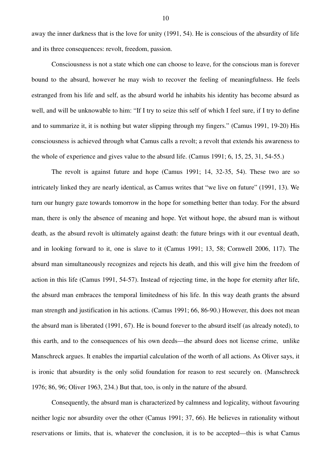away the inner darkness that is the love for unity (1991, 54). He is conscious of the absurdity of life and its three consequences: revolt, freedom, passion.

Consciousness is not a state which one can choose to leave, for the conscious man is forever bound to the absurd, however he may wish to recover the feeling of meaningfulness. He feels estranged from his life and self, as the absurd world he inhabits his identity has become absurd as well, and will be unknowable to him: "If I try to seize this self of which I feel sure, if I try to define and to summarize it, it is nothing but water slipping through my fingers." (Camus 1991, 19-20) His consciousness is achieved through what Camus calls a revolt; a revolt that extends his awareness to the whole of experience and gives value to the absurd life. (Camus 1991; 6, 15, 25, 31, 54-55.)

The revolt is against future and hope (Camus 1991; 14, 32-35, 54). These two are so intricately linked they are nearly identical, as Camus writes that "we live on future" (1991, 13). We turn our hungry gaze towards tomorrow in the hope for something better than today. For the absurd man, there is only the absence of meaning and hope. Yet without hope, the absurd man is without death, as the absurd revolt is ultimately against death: the future brings with it our eventual death, and in looking forward to it, one is slave to it (Camus 1991; 13, 58; Cornwell 2006, 117). The absurd man simultaneously recognizes and rejects his death, and this will give him the freedom of action in this life (Camus 1991, 54-57). Instead of rejecting time, in the hope for eternity after life, the absurd man embraces the temporal limitedness of his life. In this way death grants the absurd man strength and justification in his actions. (Camus 1991; 66, 86-90.) However, this does not mean the absurd man is liberated (1991, 67). He is bound forever to the absurd itself (as already noted), to this earth, and to the consequences of his own deeds—the absurd does not license crime, unlike Manschreck argues. It enables the impartial calculation of the worth of all actions. As Oliver says, it is ironic that absurdity is the only solid foundation for reason to rest securely on. (Manschreck 1976; 86, 96; Oliver 1963, 234.) But that, too, is only in the nature of the absurd.

Consequently, the absurd man is characterized by calmness and logicality, without favouring neither logic nor absurdity over the other (Camus 1991; 37, 66). He believes in rationality without reservations or limits, that is, whatever the conclusion, it is to be accepted—this is what Camus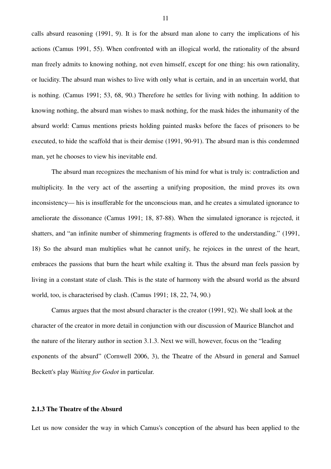calls absurd reasoning (1991, 9). It is for the absurd man alone to carry the implications of his actions (Camus 1991, 55). When confronted with an illogical world, the rationality of the absurd man freely admits to knowing nothing, not even himself, except for one thing: his own rationality, or lucidity. The absurd man wishes to live with only what is certain, and in an uncertain world, that is nothing. (Camus 1991; 53, 68, 90.) Therefore he settles for living with nothing. In addition to knowing nothing, the absurd man wishes to mask nothing, for the mask hides the inhumanity of the absurd world: Camus mentions priests holding painted masks before the faces of prisoners to be executed, to hide the scaffold that is their demise (1991, 90-91). The absurd man is this condemned man, yet he chooses to view his inevitable end.

The absurd man recognizes the mechanism of his mind for what is truly is: contradiction and multiplicity. In the very act of the asserting a unifying proposition, the mind proves its own inconsistency— his is insufferable for the unconscious man, and he creates a simulated ignorance to ameliorate the dissonance (Camus 1991; 18, 87-88). When the simulated ignorance is rejected, it shatters, and "an infinite number of shimmering fragments is offered to the understanding." (1991, 18) So the absurd man multiplies what he cannot unify, he rejoices in the unrest of the heart, embraces the passions that burn the heart while exalting it. Thus the absurd man feels passion by living in a constant state of clash. This is the state of harmony with the absurd world as the absurd world, too, is characterised by clash. (Camus 1991; 18, 22, 74, 90.)

Camus argues that the most absurd character is the creator (1991, 92). We shall look at the character of the creator in more detail in conjunction with our discussion of Maurice Blanchot and the nature of the literary author in section 3.1.3. Next we will, however, focus on the "leading exponents of the absurd" (Cornwell 2006, 3), the Theatre of the Absurd in general and Samuel Beckett's play *Waiting for Godot* in particular.

### **2.1.3 The Theatre of the Absurd**

Let us now consider the way in which Camus's conception of the absurd has been applied to the

11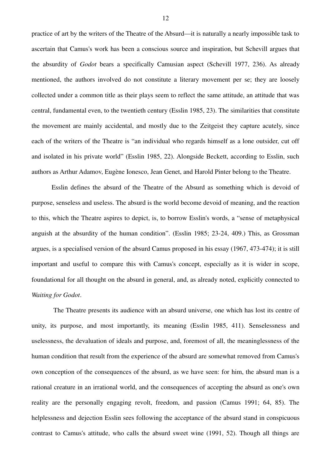practice of art by the writers of the Theatre of the Absurd—it is naturally a nearly impossible task to ascertain that Camus's work has been a conscious source and inspiration, but Schevill argues that the absurdity of *Godot* bears a specifically Camusian aspect (Schevill 1977, 236). As already mentioned, the authors involved do not constitute a literary movement per se; they are loosely collected under a common title as their plays seem to reflect the same attitude, an attitude that was central, fundamental even, to the twentieth century (Esslin 1985, 23). The similarities that constitute the movement are mainly accidental, and mostly due to the Zeitgeist they capture acutely, since each of the writers of the Theatre is "an individual who regards himself as a lone outsider, cut off and isolated in his private world" (Esslin 1985, 22). Alongside Beckett, according to Esslin, such authors as Arthur Adamov, Eugène Ionesco, Jean Genet, and Harold Pinter belong to the Theatre.

Esslin defines the absurd of the Theatre of the Absurd as something which is devoid of purpose, senseless and useless. The absurd is the world become devoid of meaning, and the reaction to this, which the Theatre aspires to depict, is, to borrow Esslin's words, a "sense of metaphysical anguish at the absurdity of the human condition". (Esslin 1985; 23-24, 409.) This, as Grossman argues, is a specialised version of the absurd Camus proposed in his essay (1967, 473-474); it is still important and useful to compare this with Camus's concept, especially as it is wider in scope, foundational for all thought on the absurd in general, and, as already noted, explicitly connected to *Waiting for Godot*.

 The Theatre presents its audience with an absurd universe, one which has lost its centre of unity, its purpose, and most importantly, its meaning (Esslin 1985, 411). Senselessness and uselessness, the devaluation of ideals and purpose, and, foremost of all, the meaninglessness of the human condition that result from the experience of the absurd are somewhat removed from Camus's own conception of the consequences of the absurd, as we have seen: for him, the absurd man is a rational creature in an irrational world, and the consequences of accepting the absurd as one's own reality are the personally engaging revolt, freedom, and passion (Camus 1991; 64, 85). The helplessness and dejection Esslin sees following the acceptance of the absurd stand in conspicuous contrast to Camus's attitude, who calls the absurd sweet wine (1991, 52). Though all things are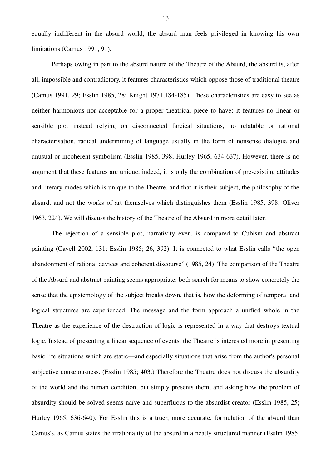equally indifferent in the absurd world, the absurd man feels privileged in knowing his own limitations (Camus 1991, 91).

Perhaps owing in part to the absurd nature of the Theatre of the Absurd, the absurd is, after all, impossible and contradictory*,* it features characteristics which oppose those of traditional theatre (Camus 1991, 29; Esslin 1985, 28; Knight 1971,184-185). These characteristics are easy to see as neither harmonious nor acceptable for a proper theatrical piece to have: it features no linear or sensible plot instead relying on disconnected farcical situations, no relatable or rational characterisation, radical undermining of language usually in the form of nonsense dialogue and unusual or incoherent symbolism (Esslin 1985, 398; Hurley 1965, 634-637). However, there is no argument that these features are unique; indeed, it is only the combination of pre-existing attitudes and literary modes which is unique to the Theatre, and that it is their subject, the philosophy of the absurd, and not the works of art themselves which distinguishes them (Esslin 1985, 398; Oliver 1963, 224). We will discuss the history of the Theatre of the Absurd in more detail later.

The rejection of a sensible plot, narrativity even, is compared to Cubism and abstract painting (Cavell 2002, 131; Esslin 1985; 26, 392). It is connected to what Esslin calls "the open abandonment of rational devices and coherent discourse" (1985, 24). The comparison of the Theatre of the Absurd and abstract painting seems appropriate: both search for means to show concretely the sense that the epistemology of the subject breaks down, that is, how the deforming of temporal and logical structures are experienced. The message and the form approach a unified whole in the Theatre as the experience of the destruction of logic is represented in a way that destroys textual logic. Instead of presenting a linear sequence of events, the Theatre is interested more in presenting basic life situations which are static—and especially situations that arise from the author's personal subjective consciousness. (Esslin 1985; 403.) Therefore the Theatre does not discuss the absurdity of the world and the human condition, but simply presents them, and asking how the problem of absurdity should be solved seems naïve and superfluous to the absurdist creator (Esslin 1985, 25; Hurley 1965, 636-640). For Esslin this is a truer, more accurate, formulation of the absurd than Camus's, as Camus states the irrationality of the absurd in a neatly structured manner (Esslin 1985,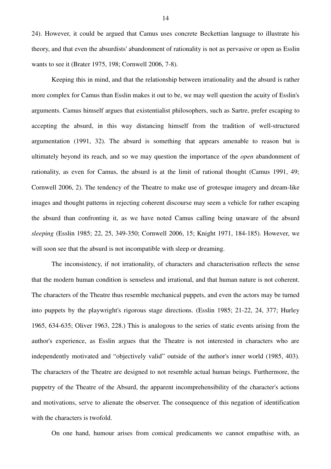24). However, it could be argued that Camus uses concrete Beckettian language to illustrate his theory, and that even the absurdists' abandonment of rationality is not as pervasive or open as Esslin wants to see it (Brater 1975, 198; Cornwell 2006, 7-8).

Keeping this in mind, and that the relationship between irrationality and the absurd is rather more complex for Camus than Esslin makes it out to be, we may well question the acuity of Esslin's arguments. Camus himself argues that existentialist philosophers, such as Sartre, prefer escaping to accepting the absurd, in this way distancing himself from the tradition of well-structured argumentation (1991, 32). The absurd is something that appears amenable to reason but is ultimately beyond its reach, and so we may question the importance of the *open* abandonment of rationality, as even for Camus, the absurd is at the limit of rational thought (Camus 1991, 49; Cornwell 2006, 2). The tendency of the Theatre to make use of grotesque imagery and dream-like images and thought patterns in rejecting coherent discourse may seem a vehicle for rather escaping the absurd than confronting it, as we have noted Camus calling being unaware of the absurd *sleeping* (Esslin 1985; 22, 25, 349-350; Cornwell 2006, 15; Knight 1971, 184-185). However, we will soon see that the absurd is not incompatible with sleep or dreaming.

The inconsistency, if not irrationality, of characters and characterisation reflects the sense that the modern human condition is senseless and irrational, and that human nature is not coherent. The characters of the Theatre thus resemble mechanical puppets, and even the actors may be turned into puppets by the playwright's rigorous stage directions. (Esslin 1985; 21-22, 24, 377; Hurley 1965, 634-635; Oliver 1963, 228.) This is analogous to the series of static events arising from the author's experience, as Esslin argues that the Theatre is not interested in characters who are independently motivated and "objectively valid" outside of the author's inner world (1985, 403). The characters of the Theatre are designed to not resemble actual human beings. Furthermore, the puppetry of the Theatre of the Absurd, the apparent incomprehensibility of the character's actions and motivations, serve to alienate the observer. The consequence of this negation of identification with the characters is twofold.

On one hand, humour arises from comical predicaments we cannot empathise with, as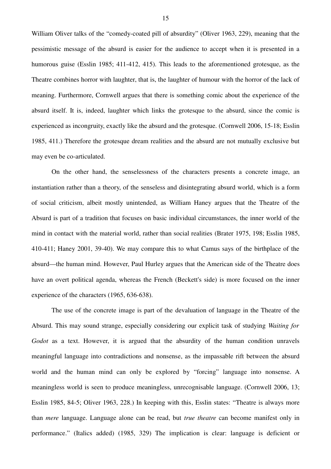William Oliver talks of the "comedy-coated pill of absurdity" (Oliver 1963, 229), meaning that the pessimistic message of the absurd is easier for the audience to accept when it is presented in a humorous guise (Esslin 1985; 411-412, 415). This leads to the aforementioned grotesque, as the Theatre combines horror with laughter, that is, the laughter of humour with the horror of the lack of meaning. Furthermore, Cornwell argues that there is something comic about the experience of the absurd itself. It is, indeed, laughter which links the grotesque to the absurd, since the comic is experienced as incongruity, exactly like the absurd and the grotesque. (Cornwell 2006, 15-18; Esslin 1985, 411.) Therefore the grotesque dream realities and the absurd are not mutually exclusive but may even be co-articulated.

On the other hand, the senselessness of the characters presents a concrete image, an instantiation rather than a theory, of the senseless and disintegrating absurd world, which is a form of social criticism, albeit mostly unintended, as William Haney argues that the Theatre of the Absurd is part of a tradition that focuses on basic individual circumstances, the inner world of the mind in contact with the material world, rather than social realities (Brater 1975, 198; Esslin 1985, 410-411; Haney 2001, 39-40). We may compare this to what Camus says of the birthplace of the absurd—the human mind. However, Paul Hurley argues that the American side of the Theatre does have an overt political agenda, whereas the French (Beckett's side) is more focused on the inner experience of the characters (1965, 636-638).

The use of the concrete image is part of the devaluation of language in the Theatre of the Absurd. This may sound strange, especially considering our explicit task of studying *Waiting for Godot* as a text. However, it is argued that the absurdity of the human condition unravels meaningful language into contradictions and nonsense, as the impassable rift between the absurd world and the human mind can only be explored by "forcing" language into nonsense. A meaningless world is seen to produce meaningless, unrecognisable language. (Cornwell 2006, 13; Esslin 1985, 84-5; Oliver 1963, 228.) In keeping with this, Esslin states: "Theatre is always more than *mere* language. Language alone can be read, but *true theatre* can become manifest only in performance." (Italics added) (1985, 329) The implication is clear: language is deficient or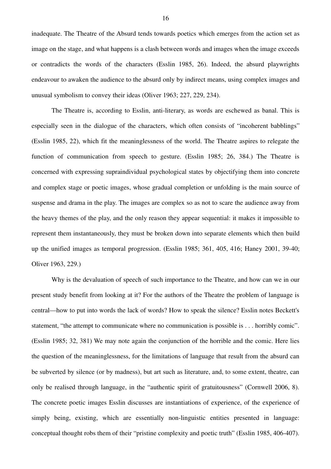inadequate. The Theatre of the Absurd tends towards poetics which emerges from the action set as image on the stage, and what happens is a clash between words and images when the image exceeds or contradicts the words of the characters (Esslin 1985, 26). Indeed, the absurd playwrights endeavour to awaken the audience to the absurd only by indirect means, using complex images and unusual symbolism to convey their ideas (Oliver 1963; 227, 229, 234).

The Theatre is, according to Esslin, anti-literary, as words are eschewed as banal. This is especially seen in the dialogue of the characters, which often consists of "incoherent babblings" (Esslin 1985, 22), which fit the meaninglessness of the world. The Theatre aspires to relegate the function of communication from speech to gesture. (Esslin 1985; 26, 384.) The Theatre is concerned with expressing supraindividual psychological states by objectifying them into concrete and complex stage or poetic images, whose gradual completion or unfolding is the main source of suspense and drama in the play. The images are complex so as not to scare the audience away from the heavy themes of the play, and the only reason they appear sequential: it makes it impossible to represent them instantaneously, they must be broken down into separate elements which then build up the unified images as temporal progression. (Esslin 1985; 361, 405, 416; Haney 2001, 39-40; Oliver 1963, 229.)

Why is the devaluation of speech of such importance to the Theatre, and how can we in our present study benefit from looking at it? For the authors of the Theatre the problem of language is central—how to put into words the lack of words? How to speak the silence? Esslin notes Beckett's statement, "the attempt to communicate where no communication is possible is . . . horribly comic". (Esslin 1985; 32, 381) We may note again the conjunction of the horrible and the comic. Here lies the question of the meaninglessness, for the limitations of language that result from the absurd can be subverted by silence (or by madness), but art such as literature, and, to some extent, theatre, can only be realised through language, in the "authentic spirit of gratuitousness" (Cornwell 2006, 8). The concrete poetic images Esslin discusses are instantiations of experience, of the experience of simply being, existing, which are essentially non-linguistic entities presented in language: conceptual thought robs them of their "pristine complexity and poetic truth" (Esslin 1985, 406-407).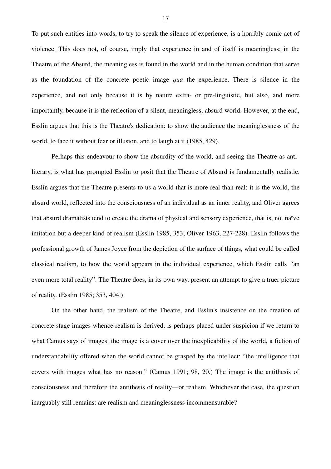To put such entities into words, to try to speak the silence of experience, is a horribly comic act of violence. This does not, of course, imply that experience in and of itself is meaningless; in the Theatre of the Absurd, the meaningless is found in the world and in the human condition that serve as the foundation of the concrete poetic image *qua* the experience. There is silence in the experience, and not only because it is by nature extra- or pre-linguistic, but also, and more importantly, because it is the reflection of a silent, meaningless, absurd world. However, at the end, Esslin argues that this is the Theatre's dedication: to show the audience the meaninglessness of the world, to face it without fear or illusion, and to laugh at it (1985, 429).

Perhaps this endeavour to show the absurdity of the world, and seeing the Theatre as antiliterary, is what has prompted Esslin to posit that the Theatre of Absurd is fundamentally realistic. Esslin argues that the Theatre presents to us a world that is more real than real: it is the world, the absurd world, reflected into the consciousness of an individual as an inner reality, and Oliver agrees that absurd dramatists tend to create the drama of physical and sensory experience, that is, not naïve imitation but a deeper kind of realism (Esslin 1985, 353; Oliver 1963, 227-228). Esslin follows the professional growth of James Joyce from the depiction of the surface of things, what could be called classical realism, to how the world appears in the individual experience, which Esslin calls *"*an even more total reality". The Theatre does, in its own way, present an attempt to give a truer picture of reality. (Esslin 1985; 353, 404.)

On the other hand, the realism of the Theatre, and Esslin's insistence on the creation of concrete stage images whence realism is derived, is perhaps placed under suspicion if we return to what Camus says of images: the image is a cover over the inexplicability of the world, a fiction of understandability offered when the world cannot be grasped by the intellect: "the intelligence that covers with images what has no reason." (Camus 1991; 98, 20.) The image is the antithesis of consciousness and therefore the antithesis of reality—or realism. Whichever the case, the question inarguably still remains: are realism and meaninglessness incommensurable?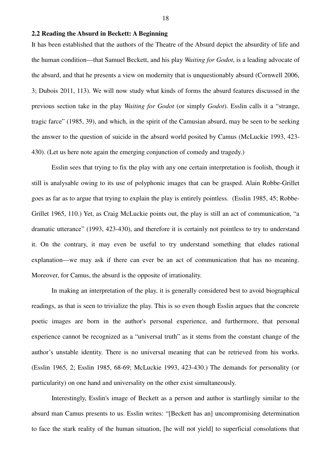## **2.2 Reading the Absurd in Beckett: A Beginning**

It has been established that the authors of the Theatre of the Absurd depict the absurdity of life and the human condition—that Samuel Beckett, and his play *Waiting for Godot*, is a leading advocate of the absurd, and that he presents a view on modernity that is unquestionably absurd (Cornwell 2006, 3; Dubois 2011, 113). We will now study what kinds of forms the absurd features discussed in the previous section take in the play *Waiting for Godot* (or simply *Godot*). Esslin calls it a "strange, tragic farce" (1985, 39), and which, in the spirit of the Camusian absurd, may be seen to be seeking the answer to the question of suicide in the absurd world posited by Camus (McLuckie 1993, 423- 430). (Let us here note again the emerging conjunction of comedy and tragedy.)

Esslin sees that trying to fix the play with any one certain interpretation is foolish, though it still is analysable owing to its use of polyphonic images that can be grasped. Alain Robbe-Grillet goes as far as to argue that trying to explain the play is entirely pointless. (Esslin 1985, 45; Robbe-Grillet 1965, 110.) Yet, as Craig McLuckie points out, the play is still an act of communication, "a dramatic utterance" (1993, 423-430), and therefore it is certainly not pointless to try to understand it. On the contrary, it may even be useful to try understand something that eludes rational explanation—we may ask if there can ever be an act of communication that has no meaning. Moreover, for Camus, the absurd is the opposite of irrationality.

In making an interpretation of the play, it is generally considered best to avoid biographical readings, as that is seen to trivialize the play. This is so even though Esslin argues that the concrete poetic images are born in the author's personal experience, and furthermore, that personal experience cannot be recognized as a "universal truth" as it stems from the constant change of the author's unstable identity. There is no universal meaning that can be retrieved from his works. (Esslin 1965, 2; Esslin 1985, 68-69; McLuckie 1993, 423-430.) The demands for personality (or particularity) on one hand and universality on the other exist simultaneously.

Interestingly, Esslin's image of Beckett as a person and author is startlingly similar to the absurd man Camus presents to us. Esslin writes: "[Beckett has an] uncompromising determination to face the stark reality of the human situation, [he will not yield] to superficial consolations that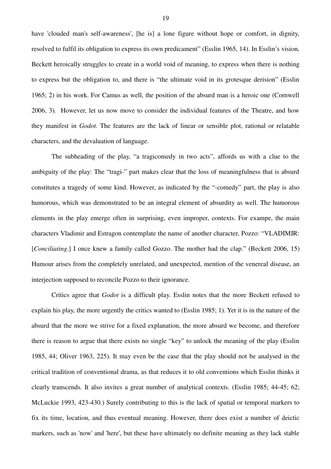have 'clouded man's self-awareness', [he is] a lone figure without hope or comfort, in dignity, resolved to fulfil its obligation to express its own predicament" (Esslin 1965, 14). In Esslin's vision, Beckett heroically struggles to create in a world void of meaning, to express when there is nothing to express but the obligation to, and there is "the ultimate void in its grotesque derision" (Esslin 1965; 2) in his work. For Camus as well, the position of the absurd man is a heroic one (Cornwell 2006, 3). However, let us now move to consider the individual features of the Theatre, and how they manifest in *Godot.* The features are the lack of linear or sensible plot, rational or relatable characters, and the devaluation of language.

The subheading of the play, "a tragicomedy in two acts", affords us with a clue to the ambiguity of the play: The "tragi-" part makes clear that the loss of meaningfulness that is absurd constitutes a tragedy of some kind. However, as indicated by the "-comedy" part, the play is also humorous, which was demonstrated to be an integral element of absurdity as well. The humorous elements in the play emerge often in surprising, even improper, contexts. For exampe, the main characters Vladimir and Estragon contemplate the name of another character, Pozzo: "VLADIMIR: [*Conciliating*.] I once knew a family called Gozzo. The mother had the clap." (Beckett 2006, 15) Humour arises from the completely unrelated, and unexpected, mention of the venereal disease, an interjection supposed to reconcile Pozzo to their ignorance.

Critics agree that *Godot* is a difficult play. Esslin notes that the more Beckett refused to explain his play, the more urgently the critics wanted to (Esslin 1985; 1). Yet it is in the nature of the absurd that the more we strive for a fixed explanation, the more absurd we become, and therefore there is reason to argue that there exists no single "key" to unlock the meaning of the play (Esslin 1985, 44; Oliver 1963, 225). It may even be the case that the play should not be analysed in the critical tradition of conventional drama, as that reduces it to old conventions which Esslin thinks it clearly transcends. It also invites a great number of analytical contexts. (Esslin 1985; 44-45; 62; McLuckie 1993, 423-430.) Surely contributing to this is the lack of spatial or temporal markers to fix its time, location, and thus eventual meaning. However, there does exist a number of deictic markers, such as 'now' and 'here', but these have ultimately no definite meaning as they lack stable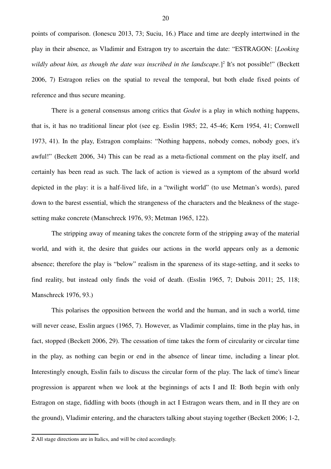points of comparison. (Ionescu 2013, 73; Suciu, 16.) Place and time are deeply intertwined in the play in their absence, as Vladimir and Estragon try to ascertain the date: "ESTRAGON: [*Looking* wildly about him, as though the date was inscribed in the landscape.]<sup>2</sup> It's not possible!" (Beckett 2006, 7) Estragon relies on the spatial to reveal the temporal, but both elude fixed points of reference and thus secure meaning.

There is a general consensus among critics that *Godot* is a play in which nothing happens, that is, it has no traditional linear plot (see eg. Esslin 1985; 22, 45-46; Kern 1954, 41; Cornwell 1973, 41). In the play, Estragon complains: "Nothing happens, nobody comes, nobody goes, it's awful!" (Beckett 2006, 34) This can be read as a meta-fictional comment on the play itself, and certainly has been read as such. The lack of action is viewed as a symptom of the absurd world depicted in the play: it is a half-lived life, in a "twilight world" (to use Metman's words), pared down to the barest essential, which the strangeness of the characters and the bleakness of the stagesetting make concrete (Manschreck 1976, 93; Metman 1965, 122).

The stripping away of meaning takes the concrete form of the stripping away of the material world, and with it, the desire that guides our actions in the world appears only as a demonic absence; therefore the play is "below" realism in the spareness of its stage-setting, and it seeks to find reality, but instead only finds the void of death. (Esslin 1965, 7; Dubois 2011; 25, 118; Manschreck 1976, 93.)

This polarises the opposition between the world and the human, and in such a world, time will never cease, Esslin argues (1965, 7). However, as Vladimir complains, time in the play has, in fact, stopped (Beckett 2006, 29). The cessation of time takes the form of circularity or circular time in the play, as nothing can begin or end in the absence of linear time, including a linear plot. Interestingly enough, Esslin fails to discuss the circular form of the play. The lack of time's linear progression is apparent when we look at the beginnings of acts I and II: Both begin with only Estragon on stage, fiddling with boots (though in act I Estragon wears them, and in II they are on the ground), Vladimir entering, and the characters talking about staying together (Beckett 2006; 1-2,

<sup>2</sup> All stage directions are in Italics, and will be cited accordingly.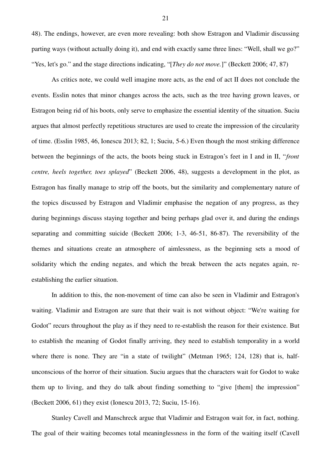48). The endings, however, are even more revealing: both show Estragon and Vladimir discussing parting ways (without actually doing it), and end with exactly same three lines: "Well, shall we go?" "Yes, let's go." and the stage directions indicating, "[*They do not move.*]" (Beckett 2006; 47, 87)

As critics note, we could well imagine more acts, as the end of act II does not conclude the events. Esslin notes that minor changes across the acts, such as the tree having grown leaves, or Estragon being rid of his boots, only serve to emphasize the essential identity of the situation. Suciu argues that almost perfectly repetitious structures are used to create the impression of the circularity of time. (Esslin 1985, 46, Ionescu 2013; 82, 1; Suciu, 5-6.) Even though the most striking difference between the beginnings of the acts, the boots being stuck in Estragon's feet in I and in II, "*front centre, heels together, toes splayed*" (Beckett 2006, 48), suggests a development in the plot, as Estragon has finally manage to strip off the boots, but the similarity and complementary nature of the topics discussed by Estragon and Vladimir emphasise the negation of any progress, as they during beginnings discuss staying together and being perhaps glad over it, and during the endings separating and committing suicide (Beckett 2006; 1-3, 46-51, 86-87). The reversibility of the themes and situations create an atmosphere of aimlessness, as the beginning sets a mood of solidarity which the ending negates, and which the break between the acts negates again, reestablishing the earlier situation.

In addition to this, the non-movement of time can also be seen in Vladimir and Estragon's waiting. Vladimir and Estragon are sure that their wait is not without object: "We're waiting for Godot" recurs throughout the play as if they need to re-establish the reason for their existence. But to establish the meaning of Godot finally arriving, they need to establish temporality in a world where there is none. They are "in a state of twilight" (Metman 1965; 124, 128) that is, halfunconscious of the horror of their situation. Suciu argues that the characters wait for Godot to wake them up to living, and they do talk about finding something to "give [them] the impression" (Beckett 2006, 61) they exist (Ionescu 2013, 72; Suciu, 15-16).

Stanley Cavell and Manschreck argue that Vladimir and Estragon wait for, in fact, nothing. The goal of their waiting becomes total meaninglessness in the form of the waiting itself (Cavell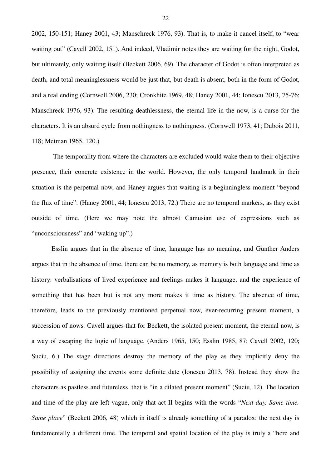2002, 150-151; Haney 2001, 43; Manschreck 1976, 93). That is, to make it cancel itself, to "wear waiting out" (Cavell 2002, 151). And indeed, Vladimir notes they are waiting for the night, Godot, but ultimately, only waiting itself (Beckett 2006, 69). The character of Godot is often interpreted as death, and total meaninglessness would be just that, but death is absent, both in the form of Godot, and a real ending (Cornwell 2006, 230; Cronkhite 1969, 48; Haney 2001, 44; Ionescu 2013, 75-76; Manschreck 1976, 93). The resulting deathlessness, the eternal life in the now, is a curse for the characters. It is an absurd cycle from nothingness to nothingness. (Cornwell 1973, 41; Dubois 2011, 118; Metman 1965, 120.)

 The temporality from where the characters are excluded would wake them to their objective presence, their concrete existence in the world. However, the only temporal landmark in their situation is the perpetual now, and Haney argues that waiting is a beginningless moment "beyond the flux of time". (Haney 2001, 44; Ionescu 2013, 72.) There are no temporal markers, as they exist outside of time. (Here we may note the almost Camusian use of expressions such as "unconsciousness" and "waking up".)

Esslin argues that in the absence of time, language has no meaning, and Günther Anders argues that in the absence of time, there can be no memory, as memory is both language and time as history: verbalisations of lived experience and feelings makes it language, and the experience of something that has been but is not any more makes it time as history. The absence of time, therefore, leads to the previously mentioned perpetual now, ever-recurring present moment, a succession of nows. Cavell argues that for Beckett, the isolated present moment, the eternal now, is a way of escaping the logic of language. (Anders 1965, 150; Esslin 1985, 87; Cavell 2002, 120; Suciu, 6.) The stage directions destroy the memory of the play as they implicitly deny the possibility of assigning the events some definite date (Ionescu 2013, 78). Instead they show the characters as pastless and futureless, that is "in a dilated present moment" (Suciu, 12). The location and time of the play are left vague, only that act II begins with the words "*Next day. Same time. Same place*" (Beckett 2006, 48) which in itself is already something of a paradox: the next day is fundamentally a different time. The temporal and spatial location of the play is truly a "here and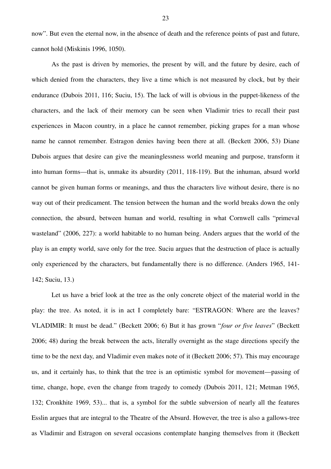now". But even the eternal now, in the absence of death and the reference points of past and future, cannot hold (Miskinis 1996, 1050).

As the past is driven by memories, the present by will, and the future by desire, each of which denied from the characters, they live a time which is not measured by clock, but by their endurance (Dubois 2011, 116; Suciu, 15). The lack of will is obvious in the puppet-likeness of the characters, and the lack of their memory can be seen when Vladimir tries to recall their past experiences in Macon country, in a place he cannot remember, picking grapes for a man whose name he cannot remember. Estragon denies having been there at all. (Beckett 2006, 53) Diane Dubois argues that desire can give the meaninglessness world meaning and purpose, transform it into human forms—that is, unmake its absurdity (2011, 118-119). But the inhuman, absurd world cannot be given human forms or meanings, and thus the characters live without desire, there is no way out of their predicament. The tension between the human and the world breaks down the only connection, the absurd, between human and world, resulting in what Cornwell calls "primeval wasteland" (2006, 227): a world habitable to no human being. Anders argues that the world of the play is an empty world, save only for the tree. Suciu argues that the destruction of place is actually only experienced by the characters, but fundamentally there is no difference. (Anders 1965, 141- 142; Suciu, 13.)

Let us have a brief look at the tree as the only concrete object of the material world in the play: the tree. As noted, it is in act I completely bare: "ESTRAGON: Where are the leaves? VLADIMIR: It must be dead." (Beckett 2006; 6) But it has grown "*four or five leaves*" (Beckett 2006; 48) during the break between the acts, literally overnight as the stage directions specify the time to be the next day, and Vladimir even makes note of it (Beckett 2006; 57). This may encourage us, and it certainly has, to think that the tree is an optimistic symbol for movement—passing of time, change, hope, even the change from tragedy to comedy (Dubois 2011, 121; Metman 1965, 132; Cronkhite 1969, 53)... that is, a symbol for the subtle subversion of nearly all the features Esslin argues that are integral to the Theatre of the Absurd. However, the tree is also a gallows-tree as Vladimir and Estragon on several occasions contemplate hanging themselves from it (Beckett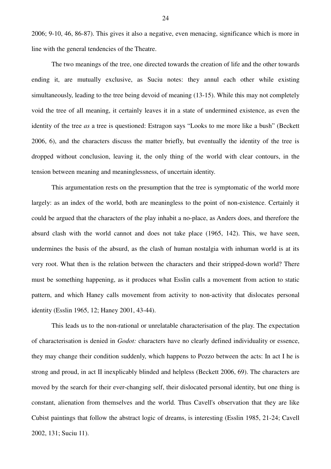2006; 9-10, 46, 86-87). This gives it also a negative, even menacing, significance which is more in line with the general tendencies of the Theatre.

The two meanings of the tree, one directed towards the creation of life and the other towards ending it, are mutually exclusive, as Suciu notes: they annul each other while existing simultaneously, leading to the tree being devoid of meaning (13-15). While this may not completely void the tree of all meaning, it certainly leaves it in a state of undermined existence, as even the identity of the tree *as* a tree is questioned: Estragon says "Looks to me more like a bush" (Beckett 2006, 6), and the characters discuss the matter briefly, but eventually the identity of the tree is dropped without conclusion, leaving it, the only thing of the world with clear contours, in the tension between meaning and meaninglessness, of uncertain identity.

This argumentation rests on the presumption that the tree is symptomatic of the world more largely: as an index of the world, both are meaningless to the point of non-existence. Certainly it could be argued that the characters of the play inhabit a no-place, as Anders does, and therefore the absurd clash with the world cannot and does not take place (1965, 142). This, we have seen, undermines the basis of the absurd, as the clash of human nostalgia with inhuman world is at its very root. What then is the relation between the characters and their stripped-down world? There must be something happening, as it produces what Esslin calls a movement from action to static pattern, and which Haney calls movement from activity to non-activity that dislocates personal identity (Esslin 1965, 12; Haney 2001, 43-44).

This leads us to the non-rational or unrelatable characterisation of the play. The expectation of characterisation is denied in *Godot:* characters have no clearly defined individuality or essence, they may change their condition suddenly, which happens to Pozzo between the acts: In act I he is strong and proud, in act II inexplicably blinded and helpless (Beckett 2006, 69). The characters are moved by the search for their ever-changing self, their dislocated personal identity, but one thing is constant, alienation from themselves and the world. Thus Cavell's observation that they are like Cubist paintings that follow the abstract logic of dreams, is interesting (Esslin 1985, 21-24; Cavell 2002, 131; Suciu 11).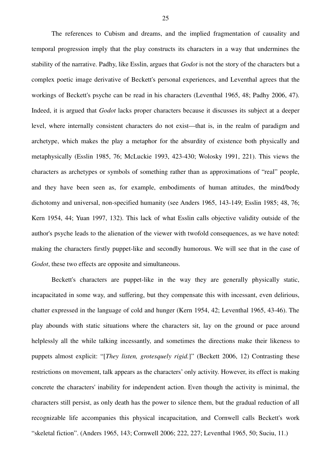The references to Cubism and dreams, and the implied fragmentation of causality and temporal progression imply that the play constructs its characters in a way that undermines the stability of the narrative. Padhy, like Esslin, argues that *Godot* is not the story of the characters but a complex poetic image derivative of Beckett's personal experiences, and Leventhal agrees that the workings of Beckett's psyche can be read in his characters (Leventhal 1965, 48; Padhy 2006, 47). Indeed, it is argued that *Godot* lacks proper characters because it discusses its subject at a deeper level, where internally consistent characters do not exist—that is, in the realm of paradigm and archetype, which makes the play a metaphor for the absurdity of existence both physically and metaphysically (Esslin 1985, 76; McLuckie 1993, 423-430; Wolosky 1991, 221). This views the characters as archetypes or symbols of something rather than as approximations of "real" people, and they have been seen as, for example, embodiments of human attitudes, the mind/body dichotomy and universal, non-specified humanity (see Anders 1965, 143-149; Esslin 1985; 48, 76; Kern 1954, 44; Yuan 1997, 132). This lack of what Esslin calls objective validity outside of the author's psyche leads to the alienation of the viewer with twofold consequences, as we have noted: making the characters firstly puppet-like and secondly humorous. We will see that in the case of *Godot*, these two effects are opposite and simultaneous.

Beckett's characters are puppet-like in the way they are generally physically static, incapacitated in some way, and suffering, but they compensate this with incessant, even delirious, chatter expressed in the language of cold and hunger (Kern 1954, 42; Leventhal 1965, 43-46). The play abounds with static situations where the characters sit, lay on the ground or pace around helplessly all the while talking incessantly, and sometimes the directions make their likeness to puppets almost explicit: "[*They listen, grotesquely rigid.*]" (Beckett 2006, 12) Contrasting these restrictions on movement, talk appears as the characters' only activity. However, its effect is making concrete the characters' inability for independent action. Even though the activity is minimal, the characters still persist, as only death has the power to silence them, but the gradual reduction of all recognizable life accompanies this physical incapacitation, and Cornwell calls Beckett's work "skeletal fiction". (Anders 1965, 143; Cornwell 2006; 222, 227; Leventhal 1965, 50; Suciu, 11.)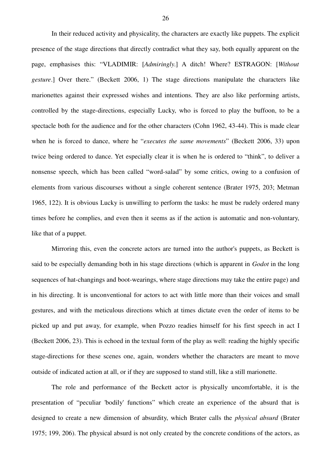In their reduced activity and physicality, the characters are exactly like puppets. The explicit presence of the stage directions that directly contradict what they say, both equally apparent on the page, emphasises this: "VLADIMIR: [*Admiringly*.] A ditch! Where? ESTRAGON: [*Without gesture*.] Over there." (Beckett 2006, 1) The stage directions manipulate the characters like marionettes against their expressed wishes and intentions. They are also like performing artists, controlled by the stage-directions, especially Lucky, who is forced to play the buffoon, to be a spectacle both for the audience and for the other characters (Cohn 1962, 43-44). This is made clear when he is forced to dance, where he "*executes the same movements*" (Beckett 2006, 33) upon twice being ordered to dance. Yet especially clear it is when he is ordered to "think", to deliver a nonsense speech, which has been called "word-salad" by some critics, owing to a confusion of elements from various discourses without a single coherent sentence (Brater 1975, 203; Metman 1965, 122). It is obvious Lucky is unwilling to perform the tasks: he must be rudely ordered many times before he complies, and even then it seems as if the action is automatic and non-voluntary, like that of a puppet.

Mirroring this, even the concrete actors are turned into the author's puppets, as Beckett is said to be especially demanding both in his stage directions (which is apparent in *Godot* in the long sequences of hat-changings and boot-wearings, where stage directions may take the entire page) and in his directing. It is unconventional for actors to act with little more than their voices and small gestures, and with the meticulous directions which at times dictate even the order of items to be picked up and put away, for example, when Pozzo readies himself for his first speech in act I (Beckett 2006, 23). This is echoed in the textual form of the play as well: reading the highly specific stage-directions for these scenes one, again, wonders whether the characters are meant to move outside of indicated action at all, or if they are supposed to stand still, like a still marionette.

The role and performance of the Beckett actor is physically uncomfortable, it is the presentation of "peculiar 'bodily' functions" which create an experience of the absurd that is designed to create a new dimension of absurdity, which Brater calls the *physical absurd* (Brater 1975; 199, 206). The physical absurd is not only created by the concrete conditions of the actors, as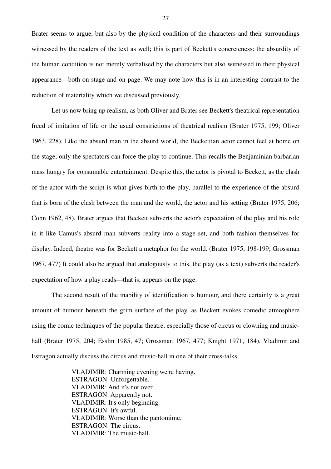Brater seems to argue, but also by the physical condition of the characters and their surroundings witnessed by the readers of the text as well; this is part of Beckett's concreteness: the absurdity of the human condition is not merely verbalised by the characters but also witnessed in their physical appearance—both on-stage and on-page. We may note how this is in an interesting contrast to the reduction of materiality which we discussed previously.

Let us now bring up realism, as both Oliver and Brater see Beckett's theatrical representation freed of imitation of life or the usual constrictions of theatrical realism (Brater 1975, 199; Oliver 1963, 228). Like the absurd man in the absurd world, the Beckettian actor cannot feel at home on the stage, only the spectators can force the play to continue. This recalls the Benjaminian barbarian mass hungry for consumable entertainment. Despite this, the actor is pivotal to Beckett, as the clash of the actor with the script is what gives birth to the play, parallel to the experience of the absurd that is born of the clash between the man and the world, the actor and his setting (Brater 1975, 206; Cohn 1962, 48). Brater argues that Beckett subverts the actor's expectation of the play and his role in it like Camus's absurd man subverts reality into a stage set, and both fashion themselves for display. Indeed, theatre was for Beckett a metaphor for the world. (Brater 1975, 198-199; Grossman 1967, 477) It could also be argued that analogously to this, the play (as a text) subverts the reader's expectation of how a play reads—that is, appears on the page.

The second result of the inability of identification is humour, and there certainly is a great amount of humour beneath the grim surface of the play, as Beckett evokes comedic atmosphere using the comic techniques of the popular theatre, especially those of circus or clowning and musichall (Brater 1975, 204; Esslin 1985, 47; Grossman 1967, 477; Knight 1971, 184). Vladimir and Estragon actually discuss the circus and music-hall in one of their cross-talks:

> VLADIMIR: Charming evening we're having. ESTRAGON: Unforgettable. VLADIMIR: And it's not over. ESTRAGON: Apparently not. VLADIMIR: It's only beginning. ESTRAGON: It's awful. VLADIMIR: Worse than the pantomime. ESTRAGON: The circus. VLADIMIR: The music-hall.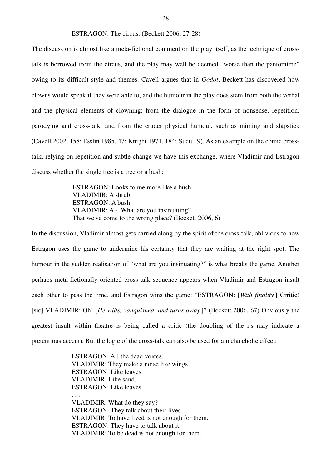The discussion is almost like a meta-fictional comment on the play itself, as the technique of crosstalk is borrowed from the circus, and the play may well be deemed "worse than the pantomime" owing to its difficult style and themes. Cavell argues that in *Godot*, Beckett has discovered how clowns would speak if they were able to, and the humour in the play does stem from both the verbal and the physical elements of clowning: from the dialogue in the form of nonsense, repetition, parodying and cross-talk, and from the cruder physical humour, such as miming and slapstick (Cavell 2002, 158; Esslin 1985, 47; Knight 1971, 184; Suciu, 9). As an example on the comic crosstalk, relying on repetition and subtle change we have this exchange, where Vladimir and Estragon discuss whether the single tree is a tree or a bush:

> ESTRAGON: Looks to me more like a bush. VLADIMIR: A shrub. ESTRAGON: A bush. VLADIMIR: A -. What are you insinuating? That we've come to the wrong place? (Beckett 2006, 6)

In the discussion, Vladimir almost gets carried along by the spirit of the cross-talk, oblivious to how Estragon uses the game to undermine his certainty that they are waiting at the right spot. The humour in the sudden realisation of "what are you insinuating?" is what breaks the game. Another perhaps meta-fictionally oriented cross-talk sequence appears when Vladimir and Estragon insult each other to pass the time, and Estragon wins the game: "ESTRAGON: [*With finality.*] Crritic! [sic] VLADIMIR: Oh! [*He wilts, vanquished, and turns away.*]" (Beckett 2006, 67) Obviously the greatest insult within theatre is being called a critic (the doubling of the r's may indicate a pretentious accent). But the logic of the cross-talk can also be used for a melancholic effect:

> ESTRAGON: All the dead voices. VLADIMIR: They make a noise like wings. ESTRAGON: Like leaves. VLADIMIR: Like sand. ESTRAGON: Like leaves.

. . . VLADIMIR: What do they say? ESTRAGON: They talk about their lives. VLADIMIR: To have lived is not enough for them. ESTRAGON: They have to talk about it. VLADIMIR: To be dead is not enough for them.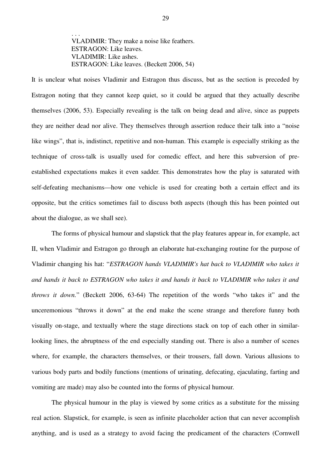. . . VLADIMIR: They make a noise like feathers. ESTRAGON: Like leaves. VLADIMIR: Like ashes. ESTRAGON: Like leaves. (Beckett 2006, 54)

It is unclear what noises Vladimir and Estragon thus discuss, but as the section is preceded by Estragon noting that they cannot keep quiet, so it could be argued that they actually describe themselves (2006, 53). Especially revealing is the talk on being dead and alive, since as puppets they are neither dead nor alive. They themselves through assertion reduce their talk into a "noise like wings", that is, indistinct, repetitive and non-human. This example is especially striking as the technique of cross-talk is usually used for comedic effect, and here this subversion of preestablished expectations makes it even sadder. This demonstrates how the play is saturated with self-defeating mechanisms—how one vehicle is used for creating both a certain effect and its opposite, but the critics sometimes fail to discuss both aspects (though this has been pointed out about the dialogue, as we shall see).

The forms of physical humour and slapstick that the play features appear in, for example, act II, when Vladimir and Estragon go through an elaborate hat-exchanging routine for the purpose of Vladimir changing his hat: "*ESTRAGON hands VLADIMIR's hat back to VLADIMIR who takes it and hands it back to ESTRAGON who takes it and hands it back to VLADIMIR who takes it and throws it down.*" (Beckett 2006, 63-64) The repetition of the words "who takes it" and the unceremonious "throws it down" at the end make the scene strange and therefore funny both visually on-stage, and textually where the stage directions stack on top of each other in similarlooking lines, the abruptness of the end especially standing out. There is also a number of scenes where, for example, the characters themselves, or their trousers, fall down. Various allusions to various body parts and bodily functions (mentions of urinating, defecating, ejaculating, farting and vomiting are made) may also be counted into the forms of physical humour.

The physical humour in the play is viewed by some critics as a substitute for the missing real action. Slapstick, for example, is seen as infinite placeholder action that can never accomplish anything, and is used as a strategy to avoid facing the predicament of the characters (Cornwell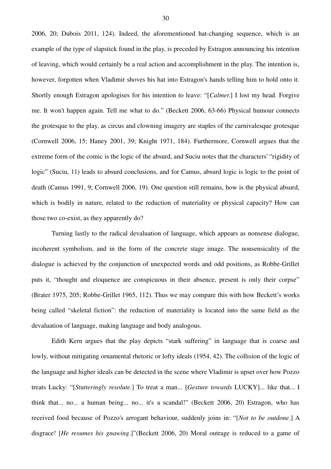2006, 20; Dubois 2011, 124). Indeed, the aforementioned hat-changing sequence, which is an example of the type of slapstick found in the play, is preceded by Estragon announcing his intention of leaving, which would certainly be a real action and accomplishment in the play. The intention is, however, forgotten when Vladimir shoves his hat into Estragon's hands telling him to hold onto it. Shortly enough Estragon apologises for his intention to leave: "[*Calmer*.] I lost my head. Forgive me. It won't happen again. Tell me what to do." (Beckett 2006, 63-66) Physical humour connects the grotesque to the play, as circus and clowning imagery are staples of the carnivalesque grotesque (Cornwell 2006, 15; Haney 2001, 39; Knight 1971, 184). Furthermore, Cornwell argues that the extreme form of the comic is the logic of the absurd, and Suciu notes that the characters' "rigidity of logic" (Suciu, 11) leads to absurd conclusions, and for Camus, absurd logic is logic to the point of death (Camus 1991, 9; Cornwell 2006, 19). One question still remains, how is the physical absurd, which is bodily in nature, related to the reduction of materiality or physical capacity? How can those two co-exist, as they apparently do?

Turning lastly to the radical devaluation of language, which appears as nonsense dialogue, incoherent symbolism, and in the form of the concrete stage image. The nonsensicality of the dialogue is achieved by the conjunction of unexpected words and odd positions, as Robbe-Grillet puts it, "thought and eloquence are conspicuous in their absence, present is only their corpse" (Brater 1975, 205; Robbe-Grillet 1965, 112). Thus we may compare this with how Beckett's works being called "skeletal fiction": the reduction of materiality is located into the same field as the devaluation of language, making language and body analogous.

Edith Kern argues that the play depicts "stark suffering" in language that is coarse and lowly, without mitigating ornamental rhetoric or lofty ideals (1954, 42). The collision of the logic of the language and higher ideals can be detected in the scene where Vladimir is upset over how Pozzo treats Lucky: "[*Stutteringly resolute.*] To treat a man... [*Gesture towards* LUCKY]... like that... I think that... no... a human being... no... it's a scandal!" (Beckett 2006, 20) Estragon, who has received food because of Pozzo's arrogant behaviour, suddenly joins in: "[*Not to be outdone*.] A disgrace! [*He resumes his gnawing*.]"(Beckett 2006, 20) Moral outrage is reduced to a game of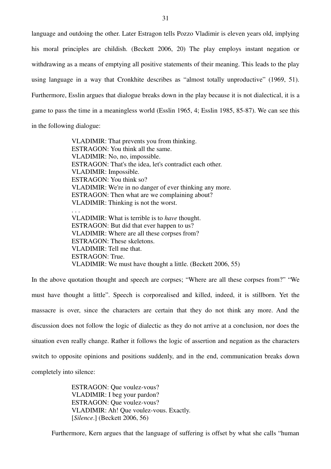language and outdoing the other. Later Estragon tells Pozzo Vladimir is eleven years old, implying his moral principles are childish. (Beckett 2006, 20) The play employs instant negation or withdrawing as a means of emptying all positive statements of their meaning. This leads to the play using language in a way that Cronkhite describes as "almost totally unproductive" (1969, 51). Furthermore, Esslin argues that dialogue breaks down in the play because it is not dialectical, it is a game to pass the time in a meaningless world (Esslin 1965, 4; Esslin 1985, 85-87). We can see this in the following dialogue:

> VLADIMIR: That prevents you from thinking. ESTRAGON: You think all the same. VLADIMIR: No, no, impossible. ESTRAGON: That's the idea, let's contradict each other. VLADIMIR: Impossible. ESTRAGON: You think so? VLADIMIR: We're in no danger of ever thinking any more. ESTRAGON: Then what are we complaining about? VLADIMIR: Thinking is not the worst. . . . VLADIMIR: What is terrible is to *have* thought. ESTRAGON: But did that ever happen to us? VLADIMIR: Where are all these corpses from? ESTRAGON: These skeletons. VLADIMIR: Tell me that. ESTRAGON: True. VLADIMIR: We must have thought a little. (Beckett 2006, 55)

In the above quotation thought and speech are corpses; "Where are all these corpses from?" "We must have thought a little". Speech is corporealised and killed, indeed, it is stillborn. Yet the massacre is over, since the characters are certain that they do not think any more. And the discussion does not follow the logic of dialectic as they do not arrive at a conclusion, nor does the situation even really change. Rather it follows the logic of assertion and negation as the characters switch to opposite opinions and positions suddenly, and in the end, communication breaks down completely into silence:

> ESTRAGON: Que voulez-vous? VLADIMIR: I beg your pardon? ESTRAGON: Que voulez-vous? VLADIMIR: Ah! Que voulez-vous. Exactly. [*Silence*.] (Beckett 2006, 56)

Furthermore, Kern argues that the language of suffering is offset by what she calls "human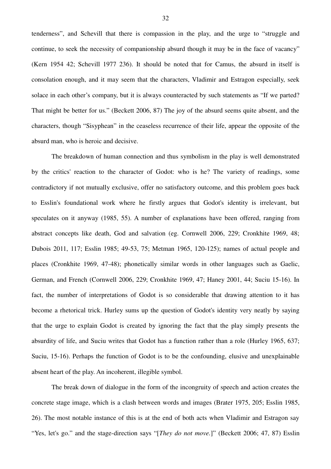tenderness", and Schevill that there is compassion in the play, and the urge to "struggle and continue, to seek the necessity of companionship absurd though it may be in the face of vacancy" (Kern 1954 42; Schevill 1977 236). It should be noted that for Camus, the absurd in itself is consolation enough, and it may seem that the characters, Vladimir and Estragon especially, seek solace in each other's company, but it is always counteracted by such statements as "If we parted? That might be better for us." (Beckett 2006, 87) The joy of the absurd seems quite absent, and the characters, though "Sisyphean" in the ceaseless recurrence of their life, appear the opposite of the absurd man, who is heroic and decisive.

The breakdown of human connection and thus symbolism in the play is well demonstrated by the critics' reaction to the character of Godot: who is he? The variety of readings, some contradictory if not mutually exclusive, offer no satisfactory outcome, and this problem goes back to Esslin's foundational work where he firstly argues that Godot's identity is irrelevant, but speculates on it anyway (1985, 55). A number of explanations have been offered, ranging from abstract concepts like death, God and salvation (eg. Cornwell 2006, 229; Cronkhite 1969, 48; Dubois 2011, 117; Esslin 1985; 49-53, 75; Metman 1965, 120-125); names of actual people and places (Cronkhite 1969, 47-48); phonetically similar words in other languages such as Gaelic, German, and French (Cornwell 2006, 229; Cronkhite 1969, 47; Haney 2001, 44; Suciu 15-16). In fact, the number of interpretations of Godot is so considerable that drawing attention to it has become a rhetorical trick. Hurley sums up the question of Godot's identity very neatly by saying that the urge to explain Godot is created by ignoring the fact that the play simply presents the absurdity of life, and Suciu writes that Godot has a function rather than a role (Hurley 1965, 637; Suciu, 15-16). Perhaps the function of Godot is to be the confounding, elusive and unexplainable absent heart of the play. An incoherent, illegible symbol.

The break down of dialogue in the form of the incongruity of speech and action creates the concrete stage image, which is a clash between words and images (Brater 1975, 205; Esslin 1985, 26). The most notable instance of this is at the end of both acts when Vladimir and Estragon say "Yes, let's go." and the stage-direction says "[*They do not move.*]" (Beckett 2006; 47, 87) Esslin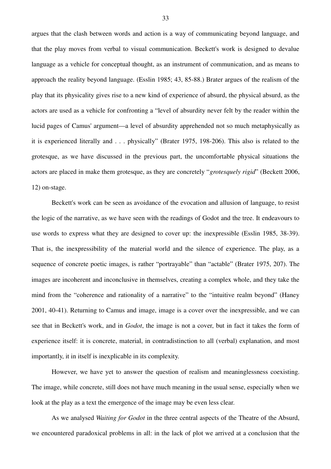argues that the clash between words and action is a way of communicating beyond language, and that the play moves from verbal to visual communication. Beckett's work is designed to devalue language as a vehicle for conceptual thought, as an instrument of communication, and as means to approach the reality beyond language. (Esslin 1985; 43, 85-88.) Brater argues of the realism of the play that its physicality gives rise to a new kind of experience of absurd, the physical absurd, as the actors are used as a vehicle for confronting a "level of absurdity never felt by the reader within the lucid pages of Camus' argument—a level of absurdity apprehended not so much metaphysically as it is experienced literally and . . . physically" (Brater 1975, 198-206). This also is related to the grotesque, as we have discussed in the previous part, the uncomfortable physical situations the actors are placed in make them grotesque, as they are concretely "*grotesquely rigid*" (Beckett 2006, 12) on-stage.

Beckett's work can be seen as avoidance of the evocation and allusion of language, to resist the logic of the narrative, as we have seen with the readings of Godot and the tree. It endeavours to use words to express what they are designed to cover up: the inexpressible (Esslin 1985, 38-39). That is, the inexpressibility of the material world and the silence of experience. The play, as a sequence of concrete poetic images, is rather "portrayable" than "actable" (Brater 1975, 207). The images are incoherent and inconclusive in themselves, creating a complex whole, and they take the mind from the "coherence and rationality of a narrative" to the "intuitive realm beyond" (Haney 2001, 40-41). Returning to Camus and image, image is a cover over the inexpressible, and we can see that in Beckett's work, and in *Godot*, the image is not a cover, but in fact it takes the form of experience itself: it is concrete, material, in contradistinction to all (verbal) explanation, and most importantly, it in itself is inexplicable in its complexity.

However, we have yet to answer the question of realism and meaninglessness coexisting. The image, while concrete, still does not have much meaning in the usual sense, especially when we look at the play as a text the emergence of the image may be even less clear.

 As we analysed *Waiting for Godot* in the three central aspects of the Theatre of the Absurd, we encountered paradoxical problems in all: in the lack of plot we arrived at a conclusion that the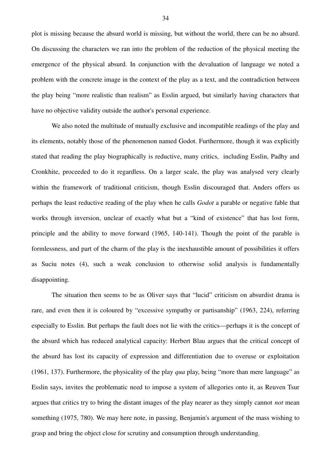plot is missing because the absurd world is missing, but without the world, there can be no absurd. On discussing the characters we ran into the problem of the reduction of the physical meeting the emergence of the physical absurd. In conjunction with the devaluation of language we noted a problem with the concrete image in the context of the play as a text, and the contradiction between the play being "more realistic than realism" as Esslin argued, but similarly having characters that have no objective validity outside the author's personal experience.

We also noted the multitude of mutually exclusive and incompatible readings of the play and its elements, notably those of the phenomenon named Godot. Furthermore, though it was explicitly stated that reading the play biographically is reductive, many critics, including Esslin, Padhy and Cronkhite, proceeded to do it regardless. On a larger scale, the play was analysed very clearly within the framework of traditional criticism, though Esslin discouraged that. Anders offers us perhaps the least reductive reading of the play when he calls *Godot* a parable or negative fable that works through inversion, unclear of exactly what but a "kind of existence" that has lost form, principle and the ability to move forward (1965, 140-141). Though the point of the parable is formlessness, and part of the charm of the play is the inexhaustible amount of possibilities it offers as Suciu notes (4), such a weak conclusion to otherwise solid analysis is fundamentally disappointing.

The situation then seems to be as Oliver says that "lucid" criticism on absurdist drama is rare, and even then it is coloured by "excessive sympathy or partisanship" (1963, 224), referring especially to Esslin. But perhaps the fault does not lie with the critics—perhaps it is the concept of the absurd which has reduced analytical capacity: Herbert Blau argues that the critical concept of the absurd has lost its capacity of expression and differentiation due to overuse or exploitation (1961, 137). Furthermore, the physicality of the play *qua* play, being "more than mere language" as Esslin says, invites the problematic need to impose a system of allegories onto it, as Reuven Tsur argues that critics try to bring the distant images of the play nearer as they simply cannot *not* mean something (1975, 780). We may here note, in passing, Benjamin's argument of the mass wishing to grasp and bring the object close for scrutiny and consumption through understanding.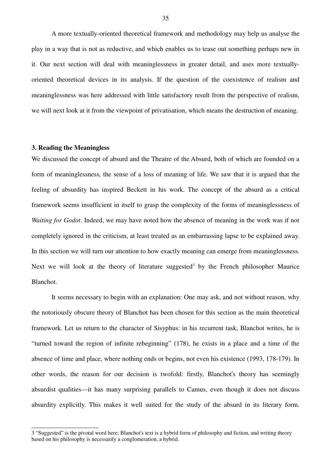A more textually-oriented theoretical framework and methodology may help us analyse the play in a way that is not as reductive, and which enables us to tease out something perhaps new in it. Our next section will deal with meaninglessness in greater detail, and uses more textuallyoriented theoretical devices in its analysis. If the question of the coexistence of realism and meaninglessness was here addressed with little satisfactory result from the perspective of realism, we will next look at it from the viewpoint of privatisation, which means the destruction of meaning.

### **3. Reading the Meaningless**

We discussed the concept of absurd and the Theatre of the Absurd, both of which are founded on a form of meaninglessness, the sense of a loss of meaning of life. We saw that it is argued that the feeling of absurdity has inspired Beckett in his work. The concept of the absurd as a critical framework seems insufficient in itself to grasp the complexity of the forms of meaninglessness of *Waiting for Godot*. Indeed, we may have noted how the absence of meaning in the work was if not completely ignored in the criticism, at least treated as an embarrassing lapse to be explained away. In this section we will turn our attention to how exactly meaning can emerge from meaninglessness. Next we will look at the theory of literature suggested<sup>3</sup> by the French philosopher Maurice Blanchot.

It seems necessary to begin with an explanation: One may ask, and not without reason, why the notoriously obscure theory of Blanchot has been chosen for this section as the main theoretical framework. Let us return to the character of Sisyphus: in his recurrent task, Blanchot writes, he is "turned toward the region of infinite rebeginning" (178), he exists in a place and a time of the absence of time and place, where nothing ends or begins, not even his existence (1993, 178-179). In other words, the reason for our decision is twofold: firstly, Blanchot's theory has seemingly absurdist qualities—it has many surprising parallels to Camus, even though it does not discuss absurdity explicitly. This makes it well suited for the study of the absurd in its literary form.

35

<sup>3 &</sup>quot;Suggested" is the pivotal word here; Blanchot's text is a hybrid form of philosophy and fiction, and writing theory based on his philosophy is necessarily a conglomeration, a hybrid.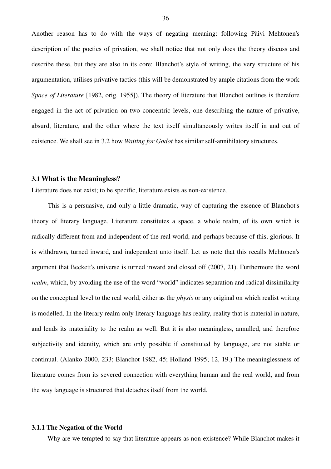Another reason has to do with the ways of negating meaning: following Päivi Mehtonen's description of the poetics of privation, we shall notice that not only does the theory discuss and describe these, but they are also in its core: Blanchot's style of writing, the very structure of his argumentation, utilises privative tactics (this will be demonstrated by ample citations from the work *Space of Literature* [1982, orig. 1955]). The theory of literature that Blanchot outlines is therefore engaged in the act of privation on two concentric levels, one describing the nature of privative, absurd, literature, and the other where the text itself simultaneously writes itself in and out of existence. We shall see in 3.2 how *Waiting for Godot* has similar self-annihilatory structures.

### **3.1 What is the Meaningless?**

Literature does not exist; to be specific, literature exists as non-existence.

This is a persuasive, and only a little dramatic, way of capturing the essence of Blanchot's theory of literary language. Literature constitutes a space, a whole realm, of its own which is radically different from and independent of the real world, and perhaps because of this, glorious. It is withdrawn, turned inward, and independent unto itself. Let us note that this recalls Mehtonen's argument that Beckett's universe is turned inward and closed off (2007, 21). Furthermore the word *realm*, which, by avoiding the use of the word "world" indicates separation and radical dissimilarity on the conceptual level to the real world, either as the *physis* or any original on which realist writing is modelled. In the literary realm only literary language has reality, reality that is material in nature, and lends its materiality to the realm as well. But it is also meaningless, annulled, and therefore subjectivity and identity, which are only possible if constituted by language, are not stable or continual. (Alanko 2000, 233; Blanchot 1982, 45; Holland 1995; 12, 19.) The meaninglessness of literature comes from its severed connection with everything human and the real world, and from the way language is structured that detaches itself from the world.

### **3.1.1 The Negation of the World**

Why are we tempted to say that literature appears as non-existence? While Blanchot makes it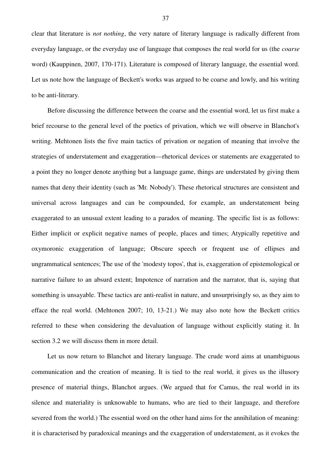clear that literature is *not nothing*, the very nature of literary language is radically different from everyday language, or the everyday use of language that composes the real world for us (the *coarse* word) (Kauppinen, 2007, 170-171). Literature is composed of literary language, the essential word. Let us note how the language of Beckett's works was argued to be coarse and lowly, and his writing to be anti-literary.

Before discussing the difference between the coarse and the essential word, let us first make a brief recourse to the general level of the poetics of privation, which we will observe in Blanchot's writing. Mehtonen lists the five main tactics of privation or negation of meaning that involve the strategies of understatement and exaggeration—rhetorical devices or statements are exaggerated to a point they no longer denote anything but a language game, things are understated by giving them names that deny their identity (such as 'Mr. Nobody'). These rhetorical structures are consistent and universal across languages and can be compounded, for example, an understatement being exaggerated to an unusual extent leading to a paradox of meaning. The specific list is as follows: Either implicit or explicit negative names of people, places and times; Atypically repetitive and oxymoronic exaggeration of language; Obscure speech or frequent use of ellipses and ungrammatical sentences; The use of the 'modesty topos', that is, exaggeration of epistemological or narrative failure to an absurd extent; Impotence of narration and the narrator, that is, saying that something is unsayable. These tactics are anti-realist in nature, and unsurprisingly so, as they aim to efface the real world. (Mehtonen 2007; 10, 13-21.) We may also note how the Beckett critics referred to these when considering the devaluation of language without explicitly stating it. In section 3.2 we will discuss them in more detail.

Let us now return to Blanchot and literary language. The crude word aims at unambiguous communication and the creation of meaning. It is tied to the real world, it gives us the illusory presence of material things, Blanchot argues. (We argued that for Camus, the real world in its silence and materiality is unknowable to humans, who are tied to their language, and therefore severed from the world.) The essential word on the other hand aims for the annihilation of meaning: it is characterised by paradoxical meanings and the exaggeration of understatement, as it evokes the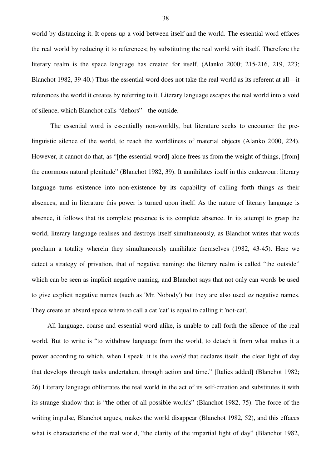world by distancing it. It opens up a void between itself and the world. The essential word effaces the real world by reducing it to references; by substituting the real world with itself. Therefore the literary realm is the space language has created for itself. (Alanko 2000; 215-216, 219, 223; Blanchot 1982, 39-40.) Thus the essential word does not take the real world as its referent at all—it references the world it creates by referring to it. Literary language escapes the real world into a void of silence, which Blanchot calls "dehors"*—*the outside.

 The essential word is essentially non-worldly, but literature seeks to encounter the prelinguistic silence of the world, to reach the worldliness of material objects (Alanko 2000, 224). However, it cannot do that, as "[the essential word] alone frees us from the weight of things, [from] the enormous natural plenitude" (Blanchot 1982, 39). It annihilates itself in this endeavour: literary language turns existence into non-existence by its capability of calling forth things as their absences, and in literature this power is turned upon itself. As the nature of literary language is absence, it follows that its complete presence is its complete absence. In its attempt to grasp the world, literary language realises and destroys itself simultaneously, as Blanchot writes that words proclaim a totality wherein they simultaneously annihilate themselves (1982, 43-45). Here we detect a strategy of privation, that of negative naming: the literary realm is called "the outside" which can be seen as implicit negative naming, and Blanchot says that not only can words be used to give explicit negative names (such as 'Mr. Nobody') but they are also used *as* negative names. They create an absurd space where to call a cat 'cat' is equal to calling it 'not-cat'.

All language, coarse and essential word alike, is unable to call forth the silence of the real world. But to write is "to withdraw language from the world, to detach it from what makes it a power according to which, when I speak, it is the *world* that declares itself, the clear light of day that develops through tasks undertaken, through action and time." [Italics added] (Blanchot 1982; 26) Literary language obliterates the real world in the act of its self-creation and substitutes it with its strange shadow that is "the other of all possible worlds" (Blanchot 1982, 75). The force of the writing impulse, Blanchot argues, makes the world disappear (Blanchot 1982, 52), and this effaces what is characteristic of the real world, "the clarity of the impartial light of day" (Blanchot 1982,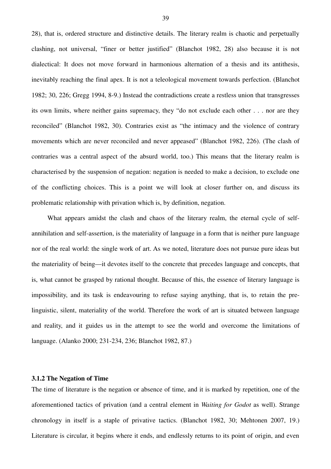28), that is, ordered structure and distinctive details. The literary realm is chaotic and perpetually clashing, not universal, "finer or better justified" (Blanchot 1982, 28) also because it is not dialectical: It does not move forward in harmonious alternation of a thesis and its antithesis, inevitably reaching the final apex. It is not a teleological movement towards perfection. (Blanchot 1982; 30, 226; Gregg 1994, 8-9.) Instead the contradictions create a restless union that transgresses its own limits, where neither gains supremacy, they "do not exclude each other . . . nor are they reconciled" (Blanchot 1982, 30). Contraries exist as "the intimacy and the violence of contrary movements which are never reconciled and never appeased" (Blanchot 1982, 226). (The clash of contraries was a central aspect of the absurd world, too.) This means that the literary realm is characterised by the suspension of negation: negation is needed to make a decision, to exclude one of the conflicting choices. This is a point we will look at closer further on, and discuss its problematic relationship with privation which is, by definition, negation.

What appears amidst the clash and chaos of the literary realm, the eternal cycle of selfannihilation and self-assertion, is the materiality of language in a form that is neither pure language nor of the real world: the single work of art. As we noted, literature does not pursue pure ideas but the materiality of being—it devotes itself to the concrete that precedes language and concepts, that is, what cannot be grasped by rational thought. Because of this, the essence of literary language is impossibility, and its task is endeavouring to refuse saying anything, that is, to retain the prelinguistic, silent, materiality of the world. Therefore the work of art is situated between language and reality, and it guides us in the attempt to see the world and overcome the limitations of language. (Alanko 2000; 231-234, 236; Blanchot 1982, 87.)

### **3.1.2 The Negation of Time**

The time of literature is the negation or absence of time, and it is marked by repetition, one of the aforementioned tactics of privation (and a central element in *Waiting for Godot* as well). Strange chronology in itself is a staple of privative tactics. (Blanchot 1982, 30; Mehtonen 2007, 19.) Literature is circular, it begins where it ends, and endlessly returns to its point of origin, and even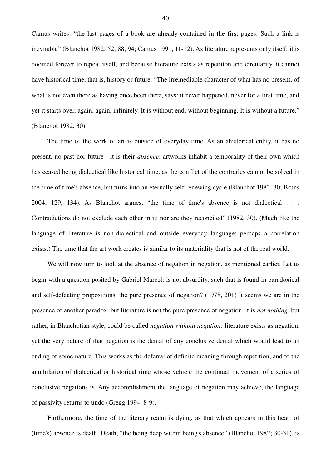Camus writes: "the last pages of a book are already contained in the first pages. Such a link is inevitable" (Blanchot 1982; 52, 88, 94; Camus 1991, 11-12). As literature represents only itself, it is doomed forever to repeat itself, and because literature exists as repetition and circularity, it cannot have historical time, that is, history or future: "The irremediable character of what has no present, of what is not even there as having once been there, says: it never happened, never for a first time, and yet it starts over, again, again, infinitely. It is without end, without beginning. It is without a future." (Blanchot 1982, 30)

The time of the work of art is outside of everyday time. As an ahistorical entity, it has no present, no past nor future—it is their *absence*: artworks inhabit a temporality of their own which has ceased being dialectical like historical time, as the conflict of the contraries cannot be solved in the time of time's absence, but turns into an eternally self-renewing cycle (Blanchot 1982, 30; Bruns 2004; 129, 134). As Blanchot argues, "the time of time's absence is not dialectical . . . Contradictions do not exclude each other in it; nor are they reconciled" (1982, 30). (Much like the language of literature is non-dialectical and outside everyday language; perhaps a correlation exists.) The time that the art work creates is similar to its materiality that is not of the real world.

We will now turn to look at the absence of negation in negation, as mentioned earlier. Let us begin with a question posited by Gabriel Marcel: is not absurdity, such that is found in paradoxical and self-defeating propositions, the pure presence of negation? (1978, 201) It seems we are in the presence of another paradox, but literature is not the pure presence of negation, it is *not nothing*, but rather, in Blanchotian style, could be called *negation without negation:* literature exists as negation, yet the very nature of that negation is the denial of any conclusive denial which would lead to an ending of some nature. This works as the deferral of definite meaning through repetition, and to the annihilation of dialectical or historical time whose vehicle the continual movement of a series of conclusive negations is. Any accomplishment the language of negation may achieve, the language of passivity returns to undo (Gregg 1994, 8-9).

Furthermore, the time of the literary realm is dying, as that which appears in this heart of (time's) absence is death. Death, "the being deep within being's absence" (Blanchot 1982; 30-31), is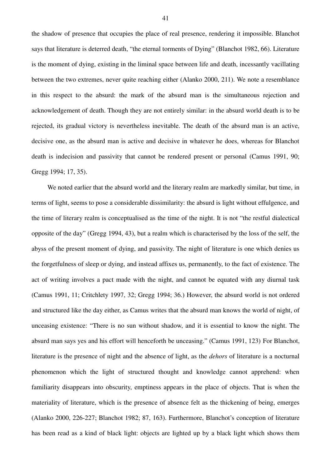the shadow of presence that occupies the place of real presence, rendering it impossible. Blanchot says that literature is deterred death, "the eternal torments of Dying" (Blanchot 1982, 66). Literature is the moment of dying, existing in the liminal space between life and death, incessantly vacillating between the two extremes, never quite reaching either (Alanko 2000, 211). We note a resemblance in this respect to the absurd: the mark of the absurd man is the simultaneous rejection and acknowledgement of death. Though they are not entirely similar: in the absurd world death is to be rejected, its gradual victory is nevertheless inevitable. The death of the absurd man is an active, decisive one, as the absurd man is active and decisive in whatever he does, whereas for Blanchot death is indecision and passivity that cannot be rendered present or personal (Camus 1991, 90; Gregg 1994; 17, 35).

We noted earlier that the absurd world and the literary realm are markedly similar, but time, in terms of light, seems to pose a considerable dissimilarity: the absurd is light without effulgence, and the time of literary realm is conceptualised as the time of the night. It is not "the restful dialectical opposite of the day" (Gregg 1994, 43), but a realm which is characterised by the loss of the self, the abyss of the present moment of dying, and passivity. The night of literature is one which denies us the forgetfulness of sleep or dying, and instead affixes us, permanently, to the fact of existence. The act of writing involves a pact made with the night, and cannot be equated with any diurnal task (Camus 1991, 11; Critchlety 1997, 32; Gregg 1994; 36.) However, the absurd world is not ordered and structured like the day either, as Camus writes that the absurd man knows the world of night, of unceasing existence: "There is no sun without shadow, and it is essential to know the night. The absurd man says yes and his effort will henceforth be unceasing." (Camus 1991, 123) For Blanchot, literature is the presence of night and the absence of light, as the *dehors* of literature is a nocturnal phenomenon which the light of structured thought and knowledge cannot apprehend: when familiarity disappears into obscurity, emptiness appears in the place of objects. That is when the materiality of literature, which is the presence of absence felt as the thickening of being, emerges (Alanko 2000, 226-227; Blanchot 1982; 87, 163). Furthermore, Blanchot's conception of literature has been read as a kind of black light: objects are lighted up by a black light which shows them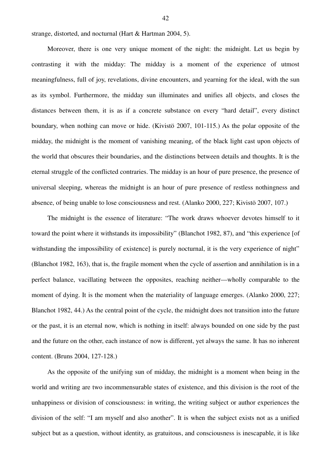strange, distorted, and nocturnal (Hart & Hartman 2004, 5).

Moreover, there is one very unique moment of the night: the midnight. Let us begin by contrasting it with the midday: The midday is a moment of the experience of utmost meaningfulness, full of joy, revelations, divine encounters, and yearning for the ideal, with the sun as its symbol. Furthermore, the midday sun illuminates and unifies all objects, and closes the distances between them, it is as if a concrete substance on every "hard detail", every distinct boundary, when nothing can move or hide. (Kivistö 2007, 101-115.) As the polar opposite of the midday, the midnight is the moment of vanishing meaning, of the black light cast upon objects of the world that obscures their boundaries, and the distinctions between details and thoughts. It is the eternal struggle of the conflicted contraries. The midday is an hour of pure presence, the presence of universal sleeping, whereas the midnight is an hour of pure presence of restless nothingness and absence, of being unable to lose consciousness and rest. (Alanko 2000, 227; Kivistö 2007, 107.)

The midnight is the essence of literature: "The work draws whoever devotes himself to it toward the point where it withstands its impossibility" (Blanchot 1982, 87), and "this experience [of withstanding the impossibility of existence] is purely nocturnal, it is the very experience of night" (Blanchot 1982, 163), that is, the fragile moment when the cycle of assertion and annihilation is in a perfect balance, vacillating between the opposites, reaching neither—wholly comparable to the moment of dying. It is the moment when the materiality of language emerges. (Alanko 2000, 227; Blanchot 1982, 44.) As the central point of the cycle, the midnight does not transition into the future or the past, it is an eternal now, which is nothing in itself: always bounded on one side by the past and the future on the other, each instance of now is different, yet always the same. It has no inherent content. (Bruns 2004, 127-128.)

As the opposite of the unifying sun of midday, the midnight is a moment when being in the world and writing are two incommensurable states of existence, and this division is the root of the unhappiness or division of consciousness: in writing, the writing subject or author experiences the division of the self: "I am myself and also another". It is when the subject exists not as a unified subject but as a question, without identity, as gratuitous, and consciousness is inescapable, it is like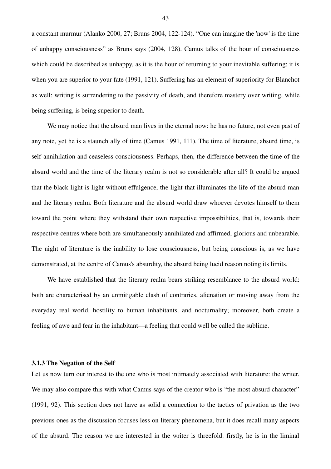a constant murmur (Alanko 2000, 27; Bruns 2004, 122-124). "One can imagine the 'now' is the time of unhappy consciousness" as Bruns says (2004, 128). Camus talks of the hour of consciousness which could be described as unhappy, as it is the hour of returning to your inevitable suffering; it is when you are superior to your fate (1991, 121). Suffering has an element of superiority for Blanchot as well: writing is surrendering to the passivity of death, and therefore mastery over writing, while being suffering, is being superior to death.

We may notice that the absurd man lives in the eternal now: he has no future, not even past of any note, yet he is a staunch ally of time (Camus 1991, 111). The time of literature, absurd time, is self-annihilation and ceaseless consciousness. Perhaps, then, the difference between the time of the absurd world and the time of the literary realm is not so considerable after all? It could be argued that the black light is light without effulgence, the light that illuminates the life of the absurd man and the literary realm. Both literature and the absurd world draw whoever devotes himself to them toward the point where they withstand their own respective impossibilities, that is, towards their respective centres where both are simultaneously annihilated and affirmed, glorious and unbearable. The night of literature is the inability to lose consciousness, but being conscious is, as we have demonstrated, at the centre of Camus's absurdity, the absurd being lucid reason noting its limits.

We have established that the literary realm bears striking resemblance to the absurd world: both are characterised by an unmitigable clash of contraries, alienation or moving away from the everyday real world, hostility to human inhabitants, and nocturnality; moreover, both create a feeling of awe and fear in the inhabitant—a feeling that could well be called the sublime.

# **3.1.3 The Negation of the Self**

Let us now turn our interest to the one who is most intimately associated with literature: the writer. We may also compare this with what Camus says of the creator who is "the most absurd character" (1991, 92). This section does not have as solid a connection to the tactics of privation as the two previous ones as the discussion focuses less on literary phenomena, but it does recall many aspects of the absurd. The reason we are interested in the writer is threefold: firstly, he is in the liminal

43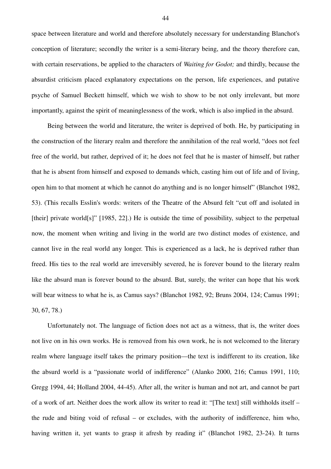space between literature and world and therefore absolutely necessary for understanding Blanchot's conception of literature; secondly the writer is a semi-literary being, and the theory therefore can, with certain reservations, be applied to the characters of *Waiting for Godot;* and thirdly, because the absurdist criticism placed explanatory expectations on the person, life experiences, and putative psyche of Samuel Beckett himself, which we wish to show to be not only irrelevant, but more importantly, against the spirit of meaninglessness of the work, which is also implied in the absurd.

Being between the world and literature, the writer is deprived of both. He, by participating in the construction of the literary realm and therefore the annihilation of the real world, "does not feel free of the world, but rather, deprived of it; he does not feel that he is master of himself, but rather that he is absent from himself and exposed to demands which, casting him out of life and of living, open him to that moment at which he cannot do anything and is no longer himself" (Blanchot 1982, 53). (This recalls Esslin's words: writers of the Theatre of the Absurd felt "cut off and isolated in [their] private world[s]" [1985, 22].) He is outside the time of possibility, subject to the perpetual now, the moment when writing and living in the world are two distinct modes of existence, and cannot live in the real world any longer. This is experienced as a lack, he is deprived rather than freed. His ties to the real world are irreversibly severed, he is forever bound to the literary realm like the absurd man is forever bound to the absurd. But, surely, the writer can hope that his work will bear witness to what he is, as Camus says? (Blanchot 1982, 92; Bruns 2004, 124; Camus 1991; 30, 67, 78.)

Unfortunately not. The language of fiction does not act as a witness, that is, the writer does not live on in his own works. He is removed from his own work, he is not welcomed to the literary realm where language itself takes the primary position—the text is indifferent to its creation, like the absurd world is a "passionate world of indifference" (Alanko 2000, 216; Camus 1991, 110; Gregg 1994, 44; Holland 2004, 44-45). After all, the writer is human and not art, and cannot be part of a work of art. Neither does the work allow its writer to read it: "[The text] still withholds itself – the rude and biting void of refusal – or excludes, with the authority of indifference, him who, having written it, yet wants to grasp it afresh by reading it" (Blanchot 1982, 23-24). It turns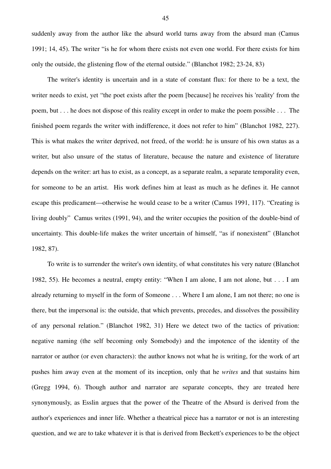suddenly away from the author like the absurd world turns away from the absurd man (Camus 1991; 14, 45). The writer "is he for whom there exists not even one world. For there exists for him only the outside, the glistening flow of the eternal outside." (Blanchot 1982; 23-24, 83)

The writer's identity is uncertain and in a state of constant flux: for there to be a text, the writer needs to exist, yet "the poet exists after the poem [because] he receives his 'reality' from the poem, but . . . he does not dispose of this reality except in order to make the poem possible . . . The finished poem regards the writer with indifference, it does not refer to him" (Blanchot 1982, 227). This is what makes the writer deprived, not freed, of the world: he is unsure of his own status as a writer, but also unsure of the status of literature, because the nature and existence of literature depends on the writer: art has to exist, as a concept, as a separate realm, a separate temporality even, for someone to be an artist. His work defines him at least as much as he defines it. He cannot escape this predicament—otherwise he would cease to be a writer (Camus 1991, 117). "Creating is living doubly" Camus writes (1991, 94), and the writer occupies the position of the double-bind of uncertainty. This double-life makes the writer uncertain of himself, "as if nonexistent" (Blanchot 1982, 87).

To write is to surrender the writer's own identity, of what constitutes his very nature (Blanchot 1982, 55). He becomes a neutral, empty entity: "When I am alone, I am not alone, but . . . I am already returning to myself in the form of Someone . . . Where I am alone, I am not there; no one is there, but the impersonal is: the outside, that which prevents, precedes, and dissolves the possibility of any personal relation." (Blanchot 1982, 31) Here we detect two of the tactics of privation: negative naming (the self becoming only Somebody) and the impotence of the identity of the narrator or author (or even characters): the author knows not what he is writing, for the work of art pushes him away even at the moment of its inception, only that he *writes* and that sustains him (Gregg 1994, 6). Though author and narrator are separate concepts, they are treated here synonymously, as Esslin argues that the power of the Theatre of the Absurd is derived from the author's experiences and inner life. Whether a theatrical piece has a narrator or not is an interesting question, and we are to take whatever it is that is derived from Beckett's experiences to be the object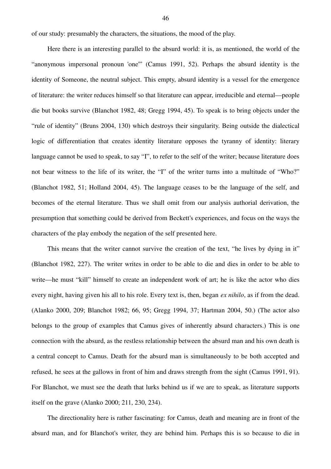of our study: presumably the characters, the situations, the mood of the play.

Here there is an interesting parallel to the absurd world: it is, as mentioned, the world of the "anonymous impersonal pronoun 'one'" (Camus 1991, 52). Perhaps the absurd identity is the identity of Someone, the neutral subject. This empty, absurd identity is a vessel for the emergence of literature: the writer reduces himself so that literature can appear, irreducible and eternal—people die but books survive (Blanchot 1982, 48; Gregg 1994, 45). To speak is to bring objects under the "rule of identity" (Bruns 2004, 130) which destroys their singularity. Being outside the dialectical logic of differentiation that creates identity literature opposes the tyranny of identity: literary language cannot be used to speak, to say "I", to refer to the self of the writer; because literature does not bear witness to the life of its writer, the "I" of the writer turns into a multitude of "Who?" (Blanchot 1982, 51; Holland 2004, 45). The language ceases to be the language of the self, and becomes of the eternal literature. Thus we shall omit from our analysis authorial derivation, the presumption that something could be derived from Beckett's experiences, and focus on the ways the characters of the play embody the negation of the self presented here.

This means that the writer cannot survive the creation of the text, "he lives by dying in it" (Blanchot 1982, 227). The writer writes in order to be able to die and dies in order to be able to write—he must "kill" himself to create an independent work of art; he is like the actor who dies every night, having given his all to his role. Every text is, then, began *ex nihilo*, as if from the dead. (Alanko 2000, 209; Blanchot 1982; 66, 95; Gregg 1994, 37; Hartman 2004, 50.) (The actor also belongs to the group of examples that Camus gives of inherently absurd characters.) This is one connection with the absurd, as the restless relationship between the absurd man and his own death is a central concept to Camus. Death for the absurd man is simultaneously to be both accepted and refused, he sees at the gallows in front of him and draws strength from the sight (Camus 1991, 91). For Blanchot, we must see the death that lurks behind us if we are to speak, as literature supports itself on the grave (Alanko 2000; 211, 230, 234).

The directionality here is rather fascinating: for Camus, death and meaning are in front of the absurd man, and for Blanchot's writer, they are behind him. Perhaps this is so because to die in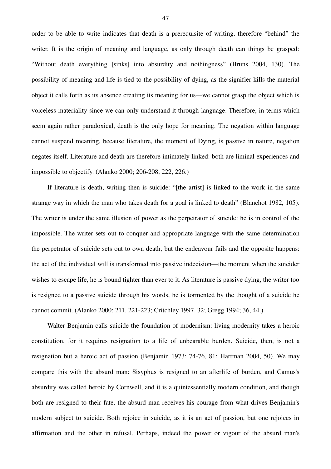order to be able to write indicates that death is a prerequisite of writing, therefore "behind" the writer. It is the origin of meaning and language, as only through death can things be grasped: "Without death everything [sinks] into absurdity and nothingness" (Bruns 2004, 130). The possibility of meaning and life is tied to the possibility of dying, as the signifier kills the material object it calls forth as its absence creating its meaning for us—we cannot grasp the object which is voiceless materiality since we can only understand it through language. Therefore, in terms which seem again rather paradoxical, death is the only hope for meaning. The negation within language cannot suspend meaning, because literature, the moment of Dying, is passive in nature, negation negates itself. Literature and death are therefore intimately linked: both are liminal experiences and impossible to objectify. (Alanko 2000; 206-208, 222, 226.)

If literature is death, writing then is suicide: "[the artist] is linked to the work in the same strange way in which the man who takes death for a goal is linked to death" (Blanchot 1982, 105). The writer is under the same illusion of power as the perpetrator of suicide: he is in control of the impossible. The writer sets out to conquer and appropriate language with the same determination the perpetrator of suicide sets out to own death, but the endeavour fails and the opposite happens: the act of the individual will is transformed into passive indecision—the moment when the suicider wishes to escape life, he is bound tighter than ever to it. As literature is passive dying, the writer too is resigned to a passive suicide through his words, he is tormented by the thought of a suicide he cannot commit. (Alanko 2000; 211, 221-223; Critchley 1997, 32; Gregg 1994; 36, 44.)

Walter Benjamin calls suicide the foundation of modernism: living modernity takes a heroic constitution, for it requires resignation to a life of unbearable burden. Suicide, then, is not a resignation but a heroic act of passion (Benjamin 1973; 74-76, 81; Hartman 2004, 50). We may compare this with the absurd man: Sisyphus is resigned to an afterlife of burden, and Camus's absurdity was called heroic by Cornwell, and it is a quintessentially modern condition, and though both are resigned to their fate, the absurd man receives his courage from what drives Benjamin's modern subject to suicide. Both rejoice in suicide, as it is an act of passion, but one rejoices in affirmation and the other in refusal. Perhaps, indeed the power or vigour of the absurd man's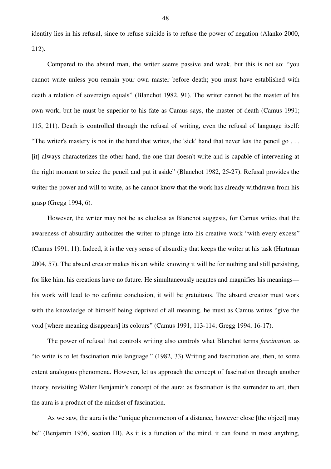identity lies in his refusal, since to refuse suicide is to refuse the power of negation (Alanko 2000, 212).

Compared to the absurd man, the writer seems passive and weak, but this is not so: "you cannot write unless you remain your own master before death; you must have established with death a relation of sovereign equals" (Blanchot 1982, 91). The writer cannot be the master of his own work, but he must be superior to his fate as Camus says, the master of death (Camus 1991; 115, 211). Death is controlled through the refusal of writing, even the refusal of language itself: "The writer's mastery is not in the hand that writes, the 'sick' hand that never lets the pencil go . . . [it] always characterizes the other hand, the one that doesn't write and is capable of intervening at the right moment to seize the pencil and put it aside" (Blanchot 1982, 25-27). Refusal provides the writer the power and will to write, as he cannot know that the work has already withdrawn from his grasp (Gregg 1994, 6).

However, the writer may not be as clueless as Blanchot suggests, for Camus writes that the awareness of absurdity authorizes the writer to plunge into his creative work "with every excess" (Camus 1991, 11). Indeed, it is the very sense of absurdity that keeps the writer at his task (Hartman 2004, 57). The absurd creator makes his art while knowing it will be for nothing and still persisting, for like him, his creations have no future. He simultaneously negates and magnifies his meanings his work will lead to no definite conclusion, it will be gratuitous. The absurd creator must work with the knowledge of himself being deprived of all meaning, he must as Camus writes "give the void [where meaning disappears] its colours" (Camus 1991, 113-114; Gregg 1994, 16-17).

The power of refusal that controls writing also controls what Blanchot terms *fascination*, as "to write is to let fascination rule language." (1982, 33) Writing and fascination are, then, to some extent analogous phenomena. However, let us approach the concept of fascination through another theory, revisiting Walter Benjamin's concept of the aura; as fascination is the surrender to art, then the aura is a product of the mindset of fascination.

As we saw, the aura is the "unique phenomenon of a distance, however close [the object] may be" (Benjamin 1936, section III). As it is a function of the mind, it can found in most anything,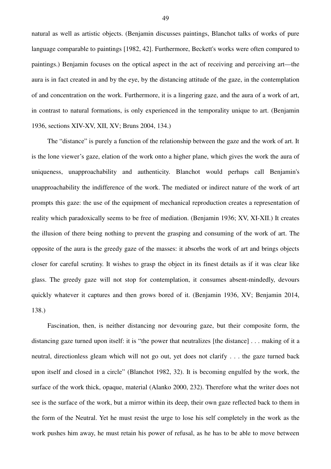natural as well as artistic objects. (Benjamin discusses paintings, Blanchot talks of works of pure language comparable to paintings [1982, 42]. Furthermore, Beckett's works were often compared to paintings.) Benjamin focuses on the optical aspect in the act of receiving and perceiving art—the aura is in fact created in and by the eye, by the distancing attitude of the gaze, in the contemplation of and concentration on the work. Furthermore, it is a lingering gaze, and the aura of a work of art, in contrast to natural formations, is only experienced in the temporality unique to art. (Benjamin 1936, sections XIV-XV, XII, XV; Bruns 2004, 134.)

The "distance" is purely a function of the relationship between the gaze and the work of art. It is the lone viewer's gaze, elation of the work onto a higher plane, which gives the work the aura of uniqueness, unapproachability and authenticity. Blanchot would perhaps call Benjamin's unapproachability the indifference of the work. The mediated or indirect nature of the work of art prompts this gaze: the use of the equipment of mechanical reproduction creates a representation of reality which paradoxically seems to be free of mediation. (Benjamin 1936; XV, XI-XII.) It creates the illusion of there being nothing to prevent the grasping and consuming of the work of art. The opposite of the aura is the greedy gaze of the masses: it absorbs the work of art and brings objects closer for careful scrutiny. It wishes to grasp the object in its finest details as if it was clear like glass. The greedy gaze will not stop for contemplation, it consumes absent-mindedly, devours quickly whatever it captures and then grows bored of it. (Benjamin 1936, XV; Benjamin 2014, 138.)

Fascination, then, is neither distancing nor devouring gaze, but their composite form, the distancing gaze turned upon itself: it is "the power that neutralizes [the distance] . . . making of it a neutral, directionless gleam which will not go out, yet does not clarify . . . the gaze turned back upon itself and closed in a circle" (Blanchot 1982, 32). It is becoming engulfed by the work, the surface of the work thick, opaque, material (Alanko 2000, 232). Therefore what the writer does not see is the surface of the work, but a mirror within its deep, their own gaze reflected back to them in the form of the Neutral. Yet he must resist the urge to lose his self completely in the work as the work pushes him away, he must retain his power of refusal, as he has to be able to move between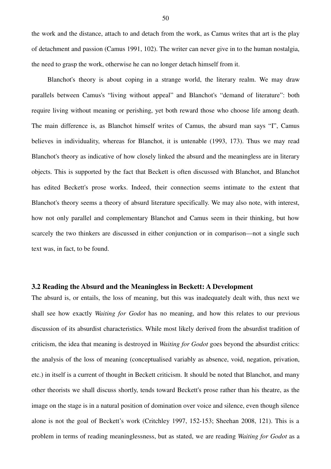the work and the distance, attach to and detach from the work, as Camus writes that art is the play of detachment and passion (Camus 1991, 102). The writer can never give in to the human nostalgia, the need to grasp the work, otherwise he can no longer detach himself from it.

Blanchot's theory is about coping in a strange world, the literary realm. We may draw parallels between Camus's "living without appeal" and Blanchot's "demand of literature": both require living without meaning or perishing, yet both reward those who choose life among death. The main difference is, as Blanchot himself writes of Camus, the absurd man says "I", Camus believes in individuality, whereas for Blanchot, it is untenable (1993, 173). Thus we may read Blanchot's theory as indicative of how closely linked the absurd and the meaningless are in literary objects. This is supported by the fact that Beckett is often discussed with Blanchot, and Blanchot has edited Beckett's prose works. Indeed, their connection seems intimate to the extent that Blanchot's theory seems a theory of absurd literature specifically. We may also note, with interest, how not only parallel and complementary Blanchot and Camus seem in their thinking, but how scarcely the two thinkers are discussed in either conjunction or in comparison—not a single such text was, in fact, to be found.

# **3.2 Reading the Absurd and the Meaningless in Beckett: A Development**

The absurd is, or entails, the loss of meaning, but this was inadequately dealt with, thus next we shall see how exactly *Waiting for Godot* has no meaning, and how this relates to our previous discussion of its absurdist characteristics. While most likely derived from the absurdist tradition of criticism, the idea that meaning is destroyed in *Waiting for Godot* goes beyond the absurdist critics: the analysis of the loss of meaning (conceptualised variably as absence, void, negation, privation, etc.) in itself is a current of thought in Beckett criticism. It should be noted that Blanchot, and many other theorists we shall discuss shortly, tends toward Beckett's prose rather than his theatre, as the image on the stage is in a natural position of domination over voice and silence, even though silence alone is not the goal of Beckett's work (Critchley 1997, 152-153; Sheehan 2008, 121). This is a problem in terms of reading meaninglessness, but as stated, we are reading *Waiting for Godot* as a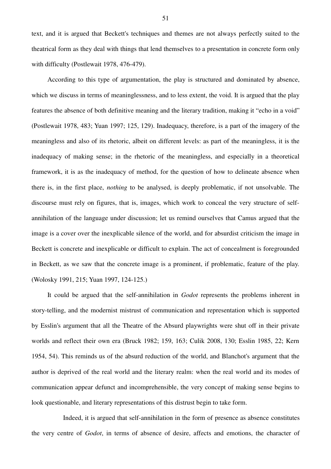text, and it is argued that Beckett's techniques and themes are not always perfectly suited to the theatrical form as they deal with things that lend themselves to a presentation in concrete form only with difficulty (Postlewait 1978, 476-479).

According to this type of argumentation, the play is structured and dominated by absence, which we discuss in terms of meaninglessness, and to less extent, the void. It is argued that the play features the absence of both definitive meaning and the literary tradition, making it "echo in a void" (Postlewait 1978, 483; Yuan 1997; 125, 129). Inadequacy, therefore, is a part of the imagery of the meaningless and also of its rhetoric, albeit on different levels: as part of the meaningless, it is the inadequacy of making sense; in the rhetoric of the meaningless, and especially in a theoretical framework, it is as the inadequacy of method, for the question of how to delineate absence when there is, in the first place, *nothing* to be analysed, is deeply problematic, if not unsolvable. The discourse must rely on figures, that is, images, which work to conceal the very structure of selfannihilation of the language under discussion; let us remind ourselves that Camus argued that the image is a cover over the inexplicable silence of the world, and for absurdist criticism the image in Beckett is concrete and inexplicable or difficult to explain. The act of concealment is foregrounded in Beckett, as we saw that the concrete image is a prominent, if problematic, feature of the play. (Wolosky 1991, 215; Yuan 1997, 124-125.)

It could be argued that the self-annihilation in *Godot* represents the problems inherent in story-telling, and the modernist mistrust of communication and representation which is supported by Esslin's argument that all the Theatre of the Absurd playwrights were shut off in their private worlds and reflect their own era (Bruck 1982; 159, 163; Culik 2008, 130; Esslin 1985, 22; Kern 1954, 54). This reminds us of the absurd reduction of the world, and Blanchot's argument that the author is deprived of the real world and the literary realm: when the real world and its modes of communication appear defunct and incomprehensible, the very concept of making sense begins to look questionable, and literary representations of this distrust begin to take form.

 Indeed, it is argued that self-annihilation in the form of presence as absence constitutes the very centre of *Godot*, in terms of absence of desire, affects and emotions, the character of

51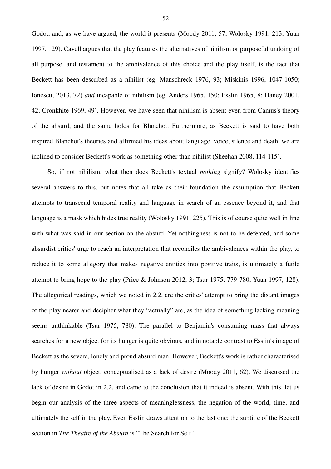Godot, and, as we have argued, the world it presents (Moody 2011, 57; Wolosky 1991, 213; Yuan 1997, 129). Cavell argues that the play features the alternatives of nihilism or purposeful undoing of all purpose, and testament to the ambivalence of this choice and the play itself, is the fact that Beckett has been described as a nihilist (eg. Manschreck 1976, 93; Miskinis 1996, 1047-1050; Ionescu, 2013, 72) *and* incapable of nihilism (eg. Anders 1965, 150; Esslin 1965, 8; Haney 2001, 42; Cronkhite 1969, 49). However, we have seen that nihilism is absent even from Camus's theory of the absurd, and the same holds for Blanchot. Furthermore, as Beckett is said to have both inspired Blanchot's theories and affirmed his ideas about language, voice, silence and death, we are inclined to consider Beckett's work as something other than nihilist (Sheehan 2008, 114-115).

So, if not nihilism, what then does Beckett's textual *nothing* signify? Wolosky identifies several answers to this, but notes that all take as their foundation the assumption that Beckett attempts to transcend temporal reality and language in search of an essence beyond it, and that language is a mask which hides true reality (Wolosky 1991, 225). This is of course quite well in line with what was said in our section on the absurd. Yet nothingness is not to be defeated, and some absurdist critics' urge to reach an interpretation that reconciles the ambivalences within the play, to reduce it to some allegory that makes negative entities into positive traits, is ultimately a futile attempt to bring hope to the play (Price & Johnson 2012, 3; Tsur 1975, 779-780; Yuan 1997, 128). The allegorical readings, which we noted in 2.2, are the critics' attempt to bring the distant images of the play nearer and decipher what they "actually" are, as the idea of something lacking meaning seems unthinkable (Tsur 1975, 780). The parallel to Benjamin's consuming mass that always searches for a new object for its hunger is quite obvious, and in notable contrast to Esslin's image of Beckett as the severe, lonely and proud absurd man. However, Beckett's work is rather characterised by hunger *without* object, conceptualised as a lack of desire (Moody 2011, 62). We discussed the lack of desire in Godot in 2.2, and came to the conclusion that it indeed is absent. With this, let us begin our analysis of the three aspects of meaninglessness, the negation of the world, time, and ultimately the self in the play. Even Esslin draws attention to the last one: the subtitle of the Beckett section in *The Theatre of the Absurd* is "The Search for Self".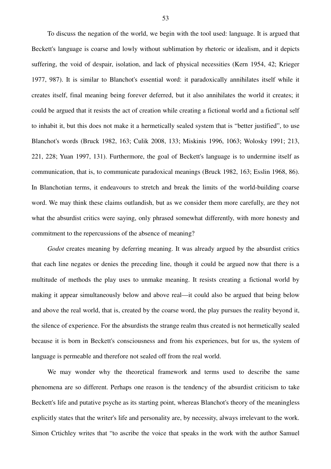To discuss the negation of the world, we begin with the tool used: language. It is argued that Beckett's language is coarse and lowly without sublimation by rhetoric or idealism, and it depicts suffering, the void of despair, isolation, and lack of physical necessities (Kern 1954, 42; Krieger 1977, 987). It is similar to Blanchot's essential word: it paradoxically annihilates itself while it creates itself, final meaning being forever deferred, but it also annihilates the world it creates; it could be argued that it resists the act of creation while creating a fictional world and a fictional self to inhabit it, but this does not make it a hermetically sealed system that is "better justified", to use Blanchot's words (Bruck 1982, 163; Culik 2008, 133; Miskinis 1996, 1063; Wolosky 1991; 213, 221, 228; Yuan 1997, 131). Furthermore, the goal of Beckett's language is to undermine itself as communication, that is, to communicate paradoxical meanings (Bruck 1982, 163; Esslin 1968, 86). In Blanchotian terms, it endeavours to stretch and break the limits of the world-building coarse word. We may think these claims outlandish, but as we consider them more carefully, are they not what the absurdist critics were saying, only phrased somewhat differently, with more honesty and commitment to the repercussions of the absence of meaning?

*Godot* creates meaning by deferring meaning. It was already argued by the absurdist critics that each line negates or denies the preceding line, though it could be argued now that there is a multitude of methods the play uses to unmake meaning. It resists creating a fictional world by making it appear simultaneously below and above real—it could also be argued that being below and above the real world, that is, created by the coarse word, the play pursues the reality beyond it, the silence of experience. For the absurdists the strange realm thus created is not hermetically sealed because it is born in Beckett's consciousness and from his experiences, but for us, the system of language is permeable and therefore not sealed off from the real world.

We may wonder why the theoretical framework and terms used to describe the same phenomena are so different. Perhaps one reason is the tendency of the absurdist criticism to take Beckett's life and putative psyche as its starting point, whereas Blanchot's theory of the meaningless explicitly states that the writer's life and personality are, by necessity, always irrelevant to the work. Simon Crtichley writes that "to ascribe the voice that speaks in the work with the author Samuel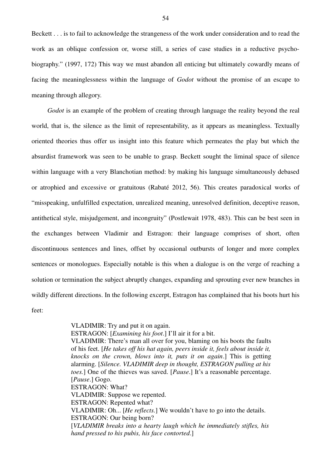Beckett . . . is to fail to acknowledge the strangeness of the work under consideration and to read the work as an oblique confession or, worse still, a series of case studies in a reductive psychobiography." (1997, 172) This way we must abandon all enticing but ultimately cowardly means of facing the meaninglessness within the language of *Godot* without the promise of an escape to meaning through allegory.

*Godot* is an example of the problem of creating through language the reality beyond the real world, that is, the silence as the limit of representability, as it appears as meaningless. Textually oriented theories thus offer us insight into this feature which permeates the play but which the absurdist framework was seen to be unable to grasp. Beckett sought the liminal space of silence within language with a very Blanchotian method: by making his language simultaneously debased or atrophied and excessive or gratuitous (Rabaté 2012, 56). This creates paradoxical works of "misspeaking, unfulfilled expectation, unrealized meaning, unresolved definition, deceptive reason, antithetical style, misjudgement, and incongruity" (Postlewait 1978, 483). This can be best seen in the exchanges between Vladimir and Estragon: their language comprises of short, often discontinuous sentences and lines, offset by occasional outbursts of longer and more complex sentences or monologues. Especially notable is this when a dialogue is on the verge of reaching a solution or termination the subject abruptly changes, expanding and sprouting ever new branches in wildly different directions. In the following excerpt, Estragon has complained that his boots hurt his feet:

> VLADIMIR: Try and put it on again. ESTRAGON: [*Examining his foot*.] I'll air it for a bit. VLADIMIR: There's man all over for you, blaming on his boots the faults of his feet. [*He takes off his hat again, peers inside it, feels about inside it, knocks on the crown, blows into it, puts it on again*.] This is getting alarming. [*Silence. VLADIMIR deep in thought, ESTRAGON pulling at his toes.*] One of the thieves was saved. [*Pause*.] It's a reasonable percentage. [*Pause*.] Gogo. ESTRAGON: What? VLADIMIR: Suppose we repented. ESTRAGON: Repented what? VLADIMIR: Oh... [*He reflects.*] We wouldn't have to go into the details. ESTRAGON: Our being born? [*VLADIMIR breaks into a hearty laugh which he immediately stifles, his hand pressed to his pubis, his face contorted*.]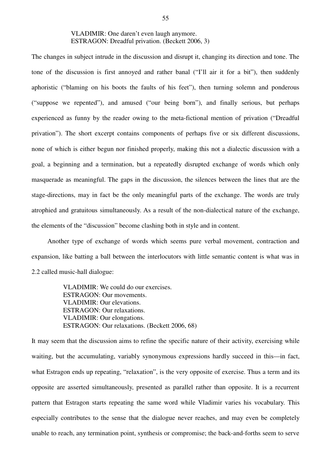# VLADIMIR: One daren't even laugh anymore. ESTRAGON: Dreadful privation. (Beckett 2006, 3)

The changes in subject intrude in the discussion and disrupt it, changing its direction and tone. The tone of the discussion is first annoyed and rather banal ("I'll air it for a bit"), then suddenly aphoristic ("blaming on his boots the faults of his feet"), then turning solemn and ponderous ("suppose we repented"), and amused ("our being born"), and finally serious, but perhaps experienced as funny by the reader owing to the meta-fictional mention of privation ("Dreadful privation"). The short excerpt contains components of perhaps five or six different discussions, none of which is either begun nor finished properly, making this not a dialectic discussion with a goal, a beginning and a termination, but a repeatedly disrupted exchange of words which only masquerade as meaningful. The gaps in the discussion, the silences between the lines that are the stage-directions, may in fact be the only meaningful parts of the exchange. The words are truly atrophied and gratuitous simultaneously. As a result of the non-dialectical nature of the exchange, the elements of the "discussion" become clashing both in style and in content.

Another type of exchange of words which seems pure verbal movement, contraction and expansion, like batting a ball between the interlocutors with little semantic content is what was in 2.2 called music-hall dialogue:

> VLADIMIR: We could do our exercises. ESTRAGON: Our movements. VLADIMIR: Our elevations. ESTRAGON: Our relaxations. VLADIMIR: Our elongations. ESTRAGON: Our relaxations. (Beckett 2006, 68)

It may seem that the discussion aims to refine the specific nature of their activity, exercising while waiting, but the accumulating, variably synonymous expressions hardly succeed in this—in fact, what Estragon ends up repeating, "relaxation", is the very opposite of exercise. Thus a term and its opposite are asserted simultaneously, presented as parallel rather than opposite. It is a recurrent pattern that Estragon starts repeating the same word while Vladimir varies his vocabulary. This especially contributes to the sense that the dialogue never reaches, and may even be completely unable to reach, any termination point, synthesis or compromise; the back-and-forths seem to serve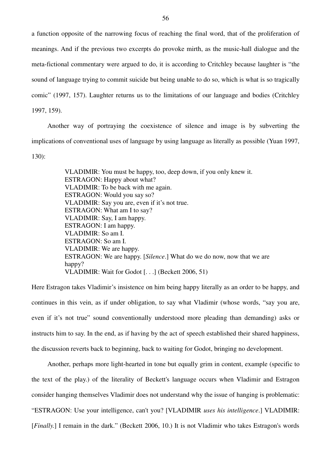a function opposite of the narrowing focus of reaching the final word, that of the proliferation of meanings. And if the previous two excerpts do provoke mirth, as the music-hall dialogue and the meta-fictional commentary were argued to do, it is according to Critchley because laughter is "the sound of language trying to commit suicide but being unable to do so, which is what is so tragically comic" (1997, 157). Laughter returns us to the limitations of our language and bodies (Critchley 1997, 159).

Another way of portraying the coexistence of silence and image is by subverting the implications of conventional uses of language by using language as literally as possible (Yuan 1997, 130):

> VLADIMIR: You must be happy, too, deep down, if you only knew it. ESTRAGON: Happy about what? VLADIMIR: To be back with me again. ESTRAGON: Would you say so? VLADIMIR: Say you are, even if it's not true. ESTRAGON: What am I to say? VLADIMIR: Say, I am happy. ESTRAGON: I am happy. VLADIMIR: So am I. ESTRAGON: So am I. VLADIMIR: We are happy. ESTRAGON: We are happy. [*Silence*.] What do we do now, now that we are happy? VLADIMIR: Wait for Godot [. . .] (Beckett 2006, 51)

Here Estragon takes Vladimir's insistence on him being happy literally as an order to be happy, and continues in this vein, as if under obligation, to say what Vladimir (whose words, "say you are, even if it's not true" sound conventionally understood more pleading than demanding) asks or instructs him to say. In the end, as if having by the act of speech established their shared happiness, the discussion reverts back to beginning, back to waiting for Godot, bringing no development.

Another, perhaps more light-hearted in tone but equally grim in content, example (specific to the text of the play.) of the literality of Beckett's language occurs when Vladimir and Estragon consider hanging themselves Vladimir does not understand why the issue of hanging is problematic: "ESTRAGON: Use your intelligence, can't you? [VLADIMIR *uses his intelligence*.] VLADIMIR: [*Finally*.] I remain in the dark." (Beckett 2006, 10.) It is not Vladimir who takes Estragon's words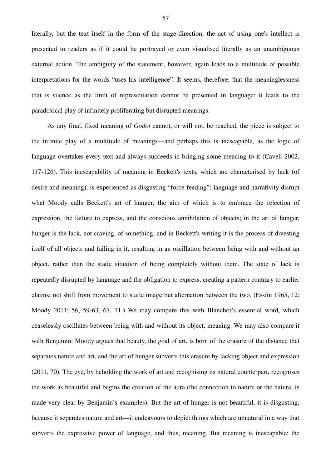literally, but the text itself in the form of the stage-direction: the act of using one's intellect is presented to readers as if it could be portrayed or even visualised literally as an unambiguous external action. The ambiguity of the statement, however, again leads to a multitude of possible interpretations for the words "uses his intelligence". It seems, therefore, that the meaninglessness that is silence as the limit of representation cannot be presented in language: it leads to the paradoxical play of infinitely proliferating but disrupted meanings.

As any final, fixed meaning of *Godot* cannot, or will not, be reached, the piece is subject to the infinite play of a multitude of meanings—and perhaps this is inescapable, as the logic of language overtakes every text and always succeeds in bringing some meaning to it (Cavell 2002, 117-126). This inescapability of meaning in Beckett's texts, which are characterised by lack (of desire and meaning), is experienced as disgusting "force-feeding": language and narrativity disrupt what Moody calls Beckett's art of hunger, the aim of which is to embrace the rejection of expression, the failure to express, and the conscious annihilation of objects; in the art of hunger, hunger is the lack, not craving, of something, and in Beckett's writing it is the process of divesting itself of all objects and failing in it, resulting in an oscillation between being with and without an object, rather than the static situation of being completely without them. The state of lack is repeatedly disrupted by language and the obligation to express, creating a pattern contrary to earlier claims: not shift from movement to static image but alternation between the two. (Esslin 1965, 12; Moody 2011; 56, 59-63, 67, 71.) We may compare this with Blanchot's essential word, which ceaselessly oscillates between being with and without its object, meaning. We may also compare it with Benjamin: Moody argues that beauty, the goal of art, is born of the erasure of the distance that separates nature and art, and the art of hunger subverts this erasure by lacking object and expression (2011, 70). The eye, by beholding the work of art and recognising its natural counterpart, recognises the work as beautiful and begins the creation of the aura (the connection to nature or the natural is made very clear by Benjamin's examples). But the art of hunger is not beautiful, it is disgusting, because it separates nature and art—it endeavours to depict things which are unnatural in a way that subverts the expressive power of language, and thus, meaning. But meaning is inescapable: the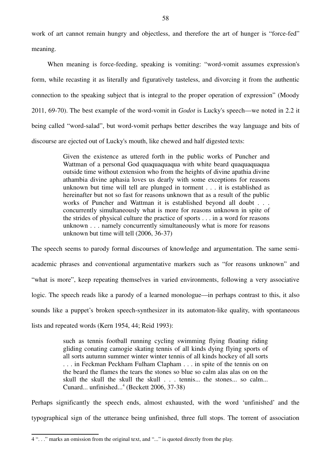work of art cannot remain hungry and objectless, and therefore the art of hunger is "force-fed" meaning.

When meaning is force-feeding, speaking is vomiting: "word-vomit assumes expression's form, while recasting it as literally and figuratively tasteless, and divorcing it from the authentic connection to the speaking subject that is integral to the proper operation of expression" (Moody 2011, 69-70). The best example of the word-vomit in *Godot* is Lucky's speech—we noted in 2.2 it being called "word-salad", but word-vomit perhaps better describes the way language and bits of discourse are ejected out of Lucky's mouth, like chewed and half digested texts:

> Given the existence as uttered forth in the public works of Puncher and Wattman of a personal God quaquaquaqua with white beard quaquaquaqua outside time without extension who from the heights of divine apathia divine athambia divine aphasia loves us dearly with some exceptions for reasons unknown but time will tell are plunged in torment . . . it is established as hereinafter but not so fast for reasons unknown that as a result of the public works of Puncher and Wattman it is established beyond all doubt . . . concurrently simultaneously what is more for reasons unknown in spite of the strides of physical culture the practice of sports . . . in a word for reasons unknown . . . namely concurrently simultaneously what is more for reasons unknown but time will tell (2006, 36-37)

The speech seems to parody formal discourses of knowledge and argumentation. The same semiacademic phrases and conventional argumentative markers such as "for reasons unknown" and "what is more", keep repeating themselves in varied environments, following a very associative logic. The speech reads like a parody of a learned monologue—in perhaps contrast to this, it also sounds like a puppet's broken speech-synthesizer in its automaton-like quality, with spontaneous lists and repeated words (Kern 1954, 44; Reid 1993):

> such as tennis football running cycling swimming flying floating riding gliding conating camogie skating tennis of all kinds dying flying sports of all sorts autumn summer winter winter tennis of all kinds hockey of all sorts . . . in Feckman Peckham Fulham Clapham . . . in spite of the tennis on on the beard the flames the tears the stones so blue so calm alas alas on on the skull the skull the skull the skull . . . tennis... the stones... so calm... Cunard... unfinished...<sup>4</sup> (Beckett 2006, 37-38)

Perhaps significantly the speech ends, almost exhausted, with the word 'unfinished' and the typographical sign of the utterance being unfinished, three full stops. The torrent of association

<sup>4 &</sup>quot;. . ." marks an omission from the original text, and "..." is quoted directly from the play.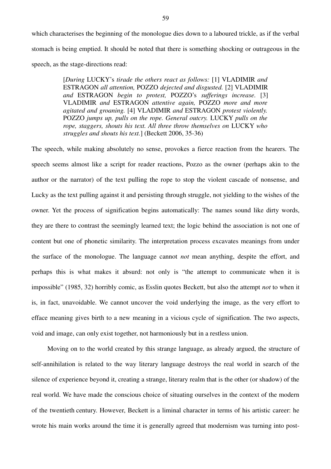which characterises the beginning of the monologue dies down to a laboured trickle, as if the verbal stomach is being emptied. It should be noted that there is something shocking or outrageous in the speech, as the stage-directions read:

> [*During* LUCKY's *tirade the others react as follows:* [1] VLADIMIR *and* ESTRAGON *all attention,* POZZO *dejected and disgusted.* [2] VLADIMIR *and* ESTRAGON *begin to protest,* POZZO's *sufferings increase.* [3] VLADIMIR *and* ESTRAGON *attentive again,* POZZO *more and more agitated and groaning.* [4] VLADIMIR *and* ESTRAGON *protest violently.* POZZO *jumps up, pulls on the rope. General outcry.* LUCKY *pulls on the rope, staggers, shouts his text. All three throw themselves on* LUCKY *who struggles and shouts his text.*] (Beckett 2006, 35-36)

The speech, while making absolutely no sense, provokes a fierce reaction from the hearers. The speech seems almost like a script for reader reactions, Pozzo as the owner (perhaps akin to the author or the narrator) of the text pulling the rope to stop the violent cascade of nonsense, and Lucky as the text pulling against it and persisting through struggle, not yielding to the wishes of the owner. Yet the process of signification begins automatically: The names sound like dirty words, they are there to contrast the seemingly learned text; the logic behind the association is not one of content but one of phonetic similarity. The interpretation process excavates meanings from under the surface of the monologue. The language cannot *not* mean anything, despite the effort, and perhaps this is what makes it absurd: not only is "the attempt to communicate when it is impossible" (1985, 32) horribly comic, as Esslin quotes Beckett, but also the attempt *not* to when it is, in fact, unavoidable. We cannot uncover the void underlying the image, as the very effort to efface meaning gives birth to a new meaning in a vicious cycle of signification. The two aspects, void and image, can only exist together, not harmoniously but in a restless union.

Moving on to the world created by this strange language, as already argued, the structure of self-annihilation is related to the way literary language destroys the real world in search of the silence of experience beyond it, creating a strange, literary realm that is the other (or shadow) of the real world. We have made the conscious choice of situating ourselves in the context of the modern of the twentieth century. However, Beckett is a liminal character in terms of his artistic career: he wrote his main works around the time it is generally agreed that modernism was turning into post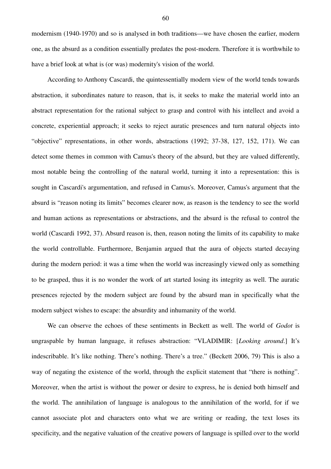modernism (1940-1970) and so is analysed in both traditions—we have chosen the earlier, modern one, as the absurd as a condition essentially predates the post-modern. Therefore it is worthwhile to have a brief look at what is (or was) modernity's vision of the world.

According to Anthony Cascardi, the quintessentially modern view of the world tends towards abstraction, it subordinates nature to reason, that is, it seeks to make the material world into an abstract representation for the rational subject to grasp and control with his intellect and avoid a concrete, experiential approach; it seeks to reject auratic presences and turn natural objects into "objective" representations, in other words, abstractions (1992; 37-38, 127, 152, 171). We can detect some themes in common with Camus's theory of the absurd, but they are valued differently, most notable being the controlling of the natural world, turning it into a representation: this is sought in Cascardi's argumentation, and refused in Camus's. Moreover, Camus's argument that the absurd is "reason noting its limits" becomes clearer now, as reason is the tendency to see the world and human actions as representations or abstractions, and the absurd is the refusal to control the world (Cascardi 1992, 37). Absurd reason is, then, reason noting the limits of its capability to make the world controllable. Furthermore, Benjamin argued that the aura of objects started decaying during the modern period: it was a time when the world was increasingly viewed only as something to be grasped, thus it is no wonder the work of art started losing its integrity as well. The auratic presences rejected by the modern subject are found by the absurd man in specifically what the modern subject wishes to escape: the absurdity and inhumanity of the world.

We can observe the echoes of these sentiments in Beckett as well. The world of *Godot* is ungraspable by human language, it refuses abstraction: "VLADIMIR: [*Looking around*.] It's indescribable. It's like nothing. There's nothing. There's a tree." (Beckett 2006, 79) This is also a way of negating the existence of the world, through the explicit statement that "there is nothing". Moreover, when the artist is without the power or desire to express, he is denied both himself and the world. The annihilation of language is analogous to the annihilation of the world, for if we cannot associate plot and characters onto what we are writing or reading, the text loses its specificity, and the negative valuation of the creative powers of language is spilled over to the world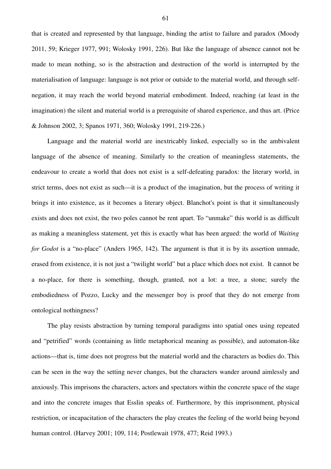that is created and represented by that language, binding the artist to failure and paradox (Moody 2011, 59; Krieger 1977, 991; Wolosky 1991, 226). But like the language of absence cannot not be made to mean nothing, so is the abstraction and destruction of the world is interrupted by the materialisation of language: language is not prior or outside to the material world, and through selfnegation, it may reach the world beyond material embodiment. Indeed, reaching (at least in the imagination) the silent and material world is a prerequisite of shared experience, and thus art. (Price & Johnson 2002, 3; Spanos 1971, 360; Wolosky 1991, 219-226.)

Language and the material world are inextricably linked, especially so in the ambivalent language of the absence of meaning. Similarly to the creation of meaningless statements, the endeavour to create a world that does not exist is a self-defeating paradox: the literary world, in strict terms, does not exist as such—it is a product of the imagination, but the process of writing it brings it into existence, as it becomes a literary object. Blanchot's point is that it simultaneously exists and does not exist, the two poles cannot be rent apart. To "unmake" this world is as difficult as making a meaningless statement, yet this is exactly what has been argued: the world of *Waiting for Godot* is a "no-place" (Anders 1965, 142). The argument is that it is by its assertion unmade, erased from existence, it is not just a "twilight world" but a place which does not exist. It cannot be a no-place, for there is something, though, granted, not a lot: a tree, a stone; surely the embodiedness of Pozzo, Lucky and the messenger boy is proof that they do not emerge from ontological nothingness?

The play resists abstraction by turning temporal paradigms into spatial ones using repeated and "petrified" words (containing as little metaphorical meaning as possible), and automaton-like actions—that is, time does not progress but the material world and the characters as bodies do. This can be seen in the way the setting never changes, but the characters wander around aimlessly and anxiously. This imprisons the characters, actors and spectators within the concrete space of the stage and into the concrete images that Esslin speaks of. Furthermore, by this imprisonment, physical restriction, or incapacitation of the characters the play creates the feeling of the world being beyond human control. (Harvey 2001; 109, 114; Postlewait 1978, 477; Reid 1993.)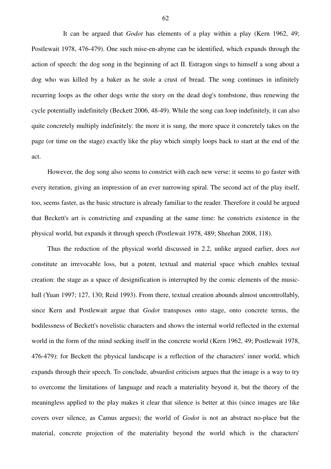It can be argued that *Godot* has elements of a play within a play (Kern 1962, 49; Postlewait 1978, 476-479). One such mise-en-abyme can be identified, which expands through the action of speech: the dog song in the beginning of act II. Estragon sings to himself a song about a dog who was killed by a baker as he stole a crust of bread. The song continues in infinitely recurring loops as the other dogs write the story on the dead dog's tombstone, thus renewing the cycle potentially indefinitely (Beckett 2006, 48-49). While the song can loop indefinitely, it can also quite concretely multiply indefinitely: the more it is sung, the more space it concretely takes on the page (or time on the stage) exactly like the play which simply loops back to start at the end of the act.

However, the dog song also seems to constrict with each new verse: it seems to go faster with every iteration, giving an impression of an ever narrowing spiral. The second act of the play itself, too, seems faster, as the basic structure is already familiar to the reader. Therefore it could be argued that Beckett's art is constricting and expanding at the same time: he constricts existence in the physical world, but expands it through speech (Postlewait 1978, 489; Sheehan 2008, 118).

Thus the reduction of the physical world discussed in 2.2, unlike argued earlier, does *not* constitute an irrevocable loss, but a potent, textual and material space which enables textual creation: the stage as a space of designification is interrupted by the comic elements of the musichall (Yuan 1997; 127, 130; Reid 1993). From there, textual creation abounds almost uncontrollably, since Kern and Postlewait argue that *Godot* transposes onto stage, onto concrete terms, the bodilessness of Beckett's novelistic characters and shows the internal world reflected in the external world in the form of the mind seeking itself in the concrete world (Kern 1962, 49; Postlewait 1978, 476-479): for Beckett the physical landscape is a reflection of the characters' inner world, which expands through their speech. To conclude, absurdist criticism argues that the image is a way to try to overcome the limitations of language and reach a materiality beyond it, but the theory of the meaningless applied to the play makes it clear that silence is better at this (since images are like covers over silence, as Camus argues); the world of *Godot* is not an abstract no-place but the material, concrete projection of the materiality beyond the world which is the characters'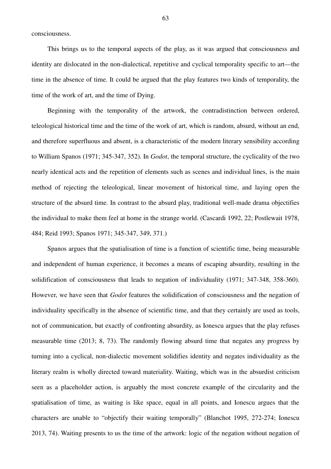consciousness.

This brings us to the temporal aspects of the play, as it was argued that consciousness and identity are dislocated in the non-dialectical, repetitive and cyclical temporality specific to art—the time in the absence of time. It could be argued that the play features two kinds of temporality, the time of the work of art, and the time of Dying.

Beginning with the temporality of the artwork, the contradistinction between ordered, teleological historical time and the time of the work of art, which is random, absurd, without an end, and therefore superfluous and absent, is a characteristic of the modern literary sensibility according to William Spanos (1971; 345-347, 352). In *Godot*, the temporal structure, the cyclicality of the two nearly identical acts and the repetition of elements such as scenes and individual lines, is the main method of rejecting the teleological, linear movement of historical time, and laying open the structure of the absurd time. In contrast to the absurd play, traditional well-made drama objectifies the individual to make them feel at home in the strange world. (Cascardi 1992, 22; Postlewait 1978, 484; Reid 1993; Spanos 1971; 345-347, 349, 371.)

Spanos argues that the spatialisation of time is a function of scientific time, being measurable and independent of human experience, it becomes a means of escaping absurdity, resulting in the solidification of consciousness that leads to negation of individuality (1971; 347-348, 358-360). However, we have seen that *Godot* features the solidification of consciousness and the negation of individuality specifically in the absence of scientific time, and that they certainly are used as tools, not of communication, but exactly of confronting absurdity, as Ionescu argues that the play refuses measurable time (2013; 8, 73). The randomly flowing absurd time that negates any progress by turning into a cyclical, non-dialectic movement solidifies identity and negates individuality as the literary realm is wholly directed toward materiality. Waiting, which was in the absurdist criticism seen as a placeholder action, is arguably the most concrete example of the circularity and the spatialisation of time, as waiting is like space, equal in all points, and Ionescu argues that the characters are unable to "objectify their waiting temporally" (Blanchot 1995, 272-274; Ionescu 2013, 74). Waiting presents to us the time of the artwork: logic of the negation without negation of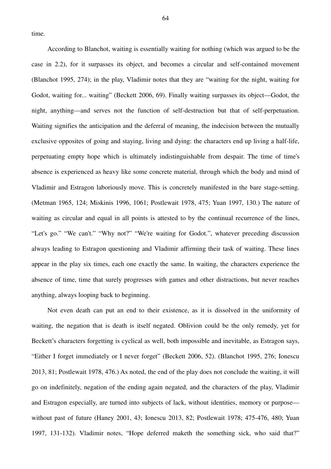time.

According to Blanchot, waiting is essentially waiting for nothing (which was argued to be the case in 2.2), for it surpasses its object, and becomes a circular and self-contained movement (Blanchot 1995, 274); in the play, Vladimir notes that they are "waiting for the night, waiting for Godot, waiting for... waiting" (Beckett 2006, 69). Finally waiting surpasses its object—Godot, the night, anything—and serves not the function of self-destruction but that of self-perpetuation. Waiting signifies the anticipation and the deferral of meaning, the indecision between the mutually exclusive opposites of going and staying, living and dying: the characters end up living a half-life, perpetuating empty hope which is ultimately indistinguishable from despair. The time of time's absence is experienced as heavy like some concrete material, through which the body and mind of Vladimir and Estragon laboriously move. This is concretely manifested in the bare stage-setting. (Metman 1965, 124; Miskinis 1996, 1061; Postlewait 1978, 475; Yuan 1997, 130.) The nature of waiting as circular and equal in all points is attested to by the continual recurrence of the lines, "Let's go." "We can't." "Why not?" "We're waiting for Godot.", whatever preceding discussion always leading to Estragon questioning and Vladimir affirming their task of waiting. These lines appear in the play six times, each one exactly the same. In waiting, the characters experience the absence of time, time that surely progresses with games and other distractions, but never reaches anything, always looping back to beginning.

Not even death can put an end to their existence, as it is dissolved in the uniformity of waiting, the negation that is death is itself negated. Oblivion could be the only remedy, yet for Beckett's characters forgetting is cyclical as well, both impossible and inevitable, as Estragon says, "Either I forget immediately or I never forget" (Beckett 2006, 52). (Blanchot 1995, 276; Ionescu 2013, 81; Postlewait 1978, 476.) As noted, the end of the play does not conclude the waiting, it will go on indefinitely, negation of the ending again negated, and the characters of the play, Vladimir and Estragon especially, are turned into subjects of lack, without identities, memory or purpose without past of future (Haney 2001, 43; Ionescu 2013, 82; Postlewait 1978; 475-476, 480; Yuan 1997, 131-132). Vladimir notes, "Hope deferred maketh the something sick, who said that?"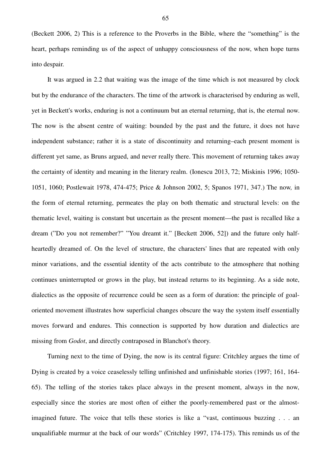(Beckett 2006, 2) This is a reference to the Proverbs in the Bible, where the "something" is the heart, perhaps reminding us of the aspect of unhappy consciousness of the now, when hope turns into despair.

It was argued in 2.2 that waiting was the image of the time which is not measured by clock but by the endurance of the characters. The time of the artwork is characterised by enduring as well, yet in Beckett's works, enduring is not a continuum but an eternal returning, that is, the eternal now. The now is the absent centre of waiting: bounded by the past and the future, it does not have independent substance; rather it is a state of discontinuity and returning–each present moment is different yet same, as Bruns argued, and never really there. This movement of returning takes away the certainty of identity and meaning in the literary realm. (Ionescu 2013, 72; Miskinis 1996; 1050- 1051, 1060; Postlewait 1978, 474-475; Price & Johnson 2002, 5; Spanos 1971, 347.) The now*,* in the form of eternal returning, permeates the play on both thematic and structural levels: on the thematic level, waiting is constant but uncertain as the present moment—the past is recalled like a dream ("Do you not remember?" "You dreamt it." [Beckett 2006, 52]) and the future only halfheartedly dreamed of. On the level of structure, the characters' lines that are repeated with only minor variations, and the essential identity of the acts contribute to the atmosphere that nothing continues uninterrupted or grows in the play, but instead returns to its beginning. As a side note, dialectics as the opposite of recurrence could be seen as a form of duration: the principle of goaloriented movement illustrates how superficial changes obscure the way the system itself essentially moves forward and endures. This connection is supported by how duration and dialectics are missing from *Godot*, and directly contraposed in Blanchot's theory.

Turning next to the time of Dying, the now is its central figure: Critchley argues the time of Dying is created by a voice ceaselessly telling unfinished and unfinishable stories (1997; 161, 164- 65). The telling of the stories takes place always in the present moment, always in the now, especially since the stories are most often of either the poorly-remembered past or the almostimagined future. The voice that tells these stories is like a "vast, continuous buzzing . . . an unqualifiable murmur at the back of our words" (Critchley 1997, 174-175). This reminds us of the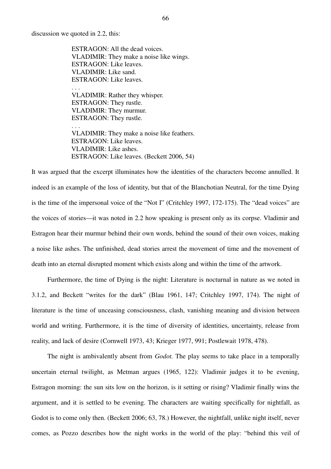discussion we quoted in 2.2, this:

. . .

ESTRAGON: All the dead voices. VLADIMIR: They make a noise like wings. ESTRAGON: Like leaves. VLADIMIR: Like sand. ESTRAGON: Like leaves. . . .

VLADIMIR: Rather they whisper. ESTRAGON: They rustle. VLADIMIR: They murmur. ESTRAGON: They rustle.

VLADIMIR: They make a noise like feathers. ESTRAGON: Like leaves. VLADIMIR: Like ashes. ESTRAGON: Like leaves. (Beckett 2006, 54)

It was argued that the excerpt illuminates how the identities of the characters become annulled. It indeed is an example of the loss of identity, but that of the Blanchotian Neutral, for the time Dying is the time of the impersonal voice of the "Not I" (Critchley 1997, 172-175). The "dead voices" are the voices of stories—it was noted in 2.2 how speaking is present only as its corpse. Vladimir and Estragon hear their murmur behind their own words, behind the sound of their own voices, making a noise like ashes. The unfinished, dead stories arrest the movement of time and the movement of death into an eternal disrupted moment which exists along and within the time of the artwork.

Furthermore, the time of Dying is the night: Literature is nocturnal in nature as we noted in 3.1.2, and Beckett "writes for the dark" (Blau 1961, 147; Critchley 1997, 174). The night of literature is the time of unceasing consciousness, clash, vanishing meaning and division between world and writing. Furthermore, it is the time of diversity of identities, uncertainty, release from reality, and lack of desire (Cornwell 1973, 43; Krieger 1977, 991; Postlewait 1978, 478).

The night is ambivalently absent from *Godot.* The play seems to take place in a temporally uncertain eternal twilight, as Metman argues (1965, 122): Vladimir judges it to be evening, Estragon morning: the sun sits low on the horizon, is it setting or rising? Vladimir finally wins the argument, and it is settled to be evening. The characters are waiting specifically for nightfall, as Godot is to come only then. (Beckett 2006; 63, 78.) However, the nightfall, unlike night itself, never comes, as Pozzo describes how the night works in the world of the play: "behind this veil of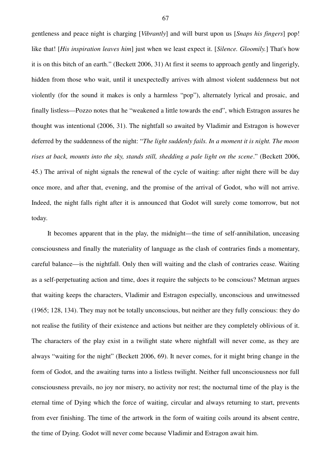gentleness and peace night is charging [*Vibrantly*] and will burst upon us [*Snaps his fingers*] pop! like that! [*His inspiration leaves him*] just when we least expect it. [*Silence. Gloomily.*] That's how it is on this bitch of an earth." (Beckett 2006, 31) At first it seems to approach gently and lingerigly, hidden from those who wait, until it unexpectedly arrives with almost violent suddenness but not violently (for the sound it makes is only a harmless "pop"), alternately lyrical and prosaic, and finally listless—Pozzo notes that he "weakened a little towards the end", which Estragon assures he thought was intentional (2006, 31). The nightfall so awaited by Vladimir and Estragon is however deferred by the suddenness of the night: "*The light suddenly fails. In a moment it is night. The moon rises at back, mounts into the sky, stands still, shedding a pale light on the scene*." (Beckett 2006, 45.) The arrival of night signals the renewal of the cycle of waiting: after night there will be day once more, and after that, evening, and the promise of the arrival of Godot, who will not arrive. Indeed, the night falls right after it is announced that Godot will surely come tomorrow, but not today.

It becomes apparent that in the play, the midnight—the time of self-annihilation, unceasing consciousness and finally the materiality of language as the clash of contraries finds a momentary, careful balance—is the nightfall. Only then will waiting and the clash of contraries cease. Waiting as a self-perpetuating action and time, does it require the subjects to be conscious? Metman argues that waiting keeps the characters, Vladimir and Estragon especially, unconscious and unwitnessed (1965; 128, 134). They may not be totally unconscious, but neither are they fully conscious: they do not realise the futility of their existence and actions but neither are they completely oblivious of it. The characters of the play exist in a twilight state where nightfall will never come, as they are always "waiting for the night" (Beckett 2006, 69). It never comes, for it might bring change in the form of Godot, and the awaiting turns into a listless twilight. Neither full unconsciousness nor full consciousness prevails, no joy nor misery, no activity nor rest; the nocturnal time of the play is the eternal time of Dying which the force of waiting, circular and always returning to start, prevents from ever finishing. The time of the artwork in the form of waiting coils around its absent centre, the time of Dying. Godot will never come because Vladimir and Estragon await him.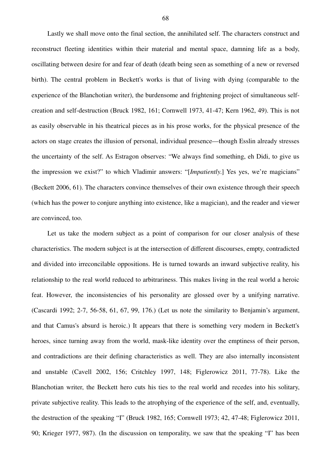Lastly we shall move onto the final section, the annihilated self. The characters construct and reconstruct fleeting identities within their material and mental space, damning life as a body, oscillating between desire for and fear of death (death being seen as something of a new or reversed birth). The central problem in Beckett's works is that of living with dying (comparable to the experience of the Blanchotian writer), the burdensome and frightening project of simultaneous selfcreation and self-destruction (Bruck 1982, 161; Cornwell 1973, 41-47; Kern 1962, 49). This is not as easily observable in his theatrical pieces as in his prose works, for the physical presence of the actors on stage creates the illusion of personal, individual presence—though Esslin already stresses the uncertainty of the self. As Estragon observes: "We always find something, eh Didi, to give us the impression we exist?" to which Vladimir answers: "[*Impatiently*.] Yes yes, we're magicians" (Beckett 2006, 61). The characters convince themselves of their own existence through their speech (which has the power to conjure anything into existence, like a magician), and the reader and viewer are convinced, too.

Let us take the modern subject as a point of comparison for our closer analysis of these characteristics. The modern subject is at the intersection of different discourses, empty, contradicted and divided into irreconcilable oppositions. He is turned towards an inward subjective reality, his relationship to the real world reduced to arbitrariness. This makes living in the real world a heroic feat. However, the inconsistencies of his personality are glossed over by a unifying narrative. (Cascardi 1992; 2-7, 56-58, 61, 67, 99, 176.) (Let us note the similarity to Benjamin's argument, and that Camus's absurd is heroic.) It appears that there is something very modern in Beckett's heroes, since turning away from the world, mask-like identity over the emptiness of their person, and contradictions are their defining characteristics as well. They are also internally inconsistent and unstable (Cavell 2002, 156; Critchley 1997, 148; Figlerowicz 2011, 77-78). Like the Blanchotian writer, the Beckett hero cuts his ties to the real world and recedes into his solitary, private subjective reality. This leads to the atrophying of the experience of the self, and, eventually, the destruction of the speaking "I" (Bruck 1982, 165; Cornwell 1973; 42, 47-48; Figlerowicz 2011, 90; Krieger 1977, 987). (In the discussion on temporality, we saw that the speaking "I" has been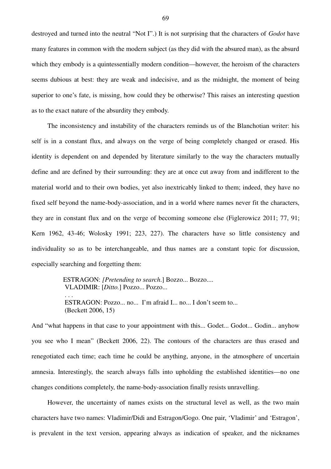destroyed and turned into the neutral "Not I".) It is not surprising that the characters of *Godot* have many features in common with the modern subject (as they did with the absured man), as the absurd which they embody is a quintessentially modern condition—however, the heroism of the characters seems dubious at best: they are weak and indecisive, and as the midnight, the moment of being superior to one's fate, is missing, how could they be otherwise? This raises an interesting question as to the exact nature of the absurdity they embody.

The inconsistency and instability of the characters reminds us of the Blanchotian writer: his self is in a constant flux, and always on the verge of being completely changed or erased. His identity is dependent on and depended by literature similarly to the way the characters mutually define and are defined by their surrounding: they are at once cut away from and indifferent to the material world and to their own bodies, yet also inextricably linked to them; indeed, they have no fixed self beyond the name-body-association, and in a world where names never fit the characters, they are in constant flux and on the verge of becoming someone else (Figlerowicz 2011; 77, 91; Kern 1962, 43-46; Wolosky 1991; 223, 227). The characters have so little consistency and individuality so as to be interchangeable, and thus names are a constant topic for discussion, especially searching and forgetting them:

> ESTRAGON: *[Pretending to search*.] Bozzo... Bozzo.... VLADIMIR: [*Ditto.*] Pozzo... Pozzo... . . . ESTRAGON: Pozzo... no... I'm afraid I... no... I don't seem to... (Beckett 2006, 15)

And "what happens in that case to your appointment with this... Godet... Godot... Godin... anyhow you see who I mean" (Beckett 2006, 22). The contours of the characters are thus erased and renegotiated each time; each time he could be anything, anyone, in the atmosphere of uncertain amnesia. Interestingly, the search always falls into upholding the established identities—no one changes conditions completely, the name-body-association finally resists unravelling.

However, the uncertainty of names exists on the structural level as well, as the two main characters have two names: Vladimir/Didi and Estragon/Gogo. One pair, 'Vladimir' and 'Estragon', is prevalent in the text version, appearing always as indication of speaker, and the nicknames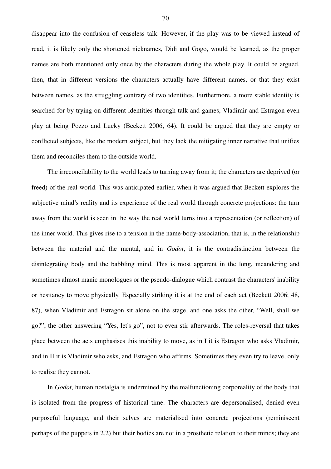disappear into the confusion of ceaseless talk. However, if the play was to be viewed instead of read, it is likely only the shortened nicknames, Didi and Gogo, would be learned, as the proper names are both mentioned only once by the characters during the whole play. It could be argued, then, that in different versions the characters actually have different names, or that they exist between names, as the struggling contrary of two identities. Furthermore, a more stable identity is searched for by trying on different identities through talk and games, Vladimir and Estragon even play at being Pozzo and Lucky (Beckett 2006, 64). It could be argued that they are empty or conflicted subjects, like the modern subject, but they lack the mitigating inner narrative that unifies them and reconciles them to the outside world.

The irreconcilability to the world leads to turning away from it; the characters are deprived (or freed) of the real world. This was anticipated earlier, when it was argued that Beckett explores the subjective mind's reality and its experience of the real world through concrete projections: the turn away from the world is seen in the way the real world turns into a representation (or reflection) of the inner world. This gives rise to a tension in the name-body-association, that is, in the relationship between the material and the mental, and in *Godot*, it is the contradistinction between the disintegrating body and the babbling mind. This is most apparent in the long, meandering and sometimes almost manic monologues or the pseudo-dialogue which contrast the characters' inability or hesitancy to move physically. Especially striking it is at the end of each act (Beckett 2006; 48, 87), when Vladimir and Estragon sit alone on the stage, and one asks the other, "Well, shall we go?", the other answering "Yes, let's go", not to even stir afterwards. The roles-reversal that takes place between the acts emphasises this inability to move, as in I it is Estragon who asks Vladimir, and in II it is Vladimir who asks, and Estragon who affirms. Sometimes they even try to leave, only to realise they cannot.

In *Godot*, human nostalgia is undermined by the malfunctioning corporeality of the body that is isolated from the progress of historical time. The characters are depersonalised, denied even purposeful language, and their selves are materialised into concrete projections (reminiscent perhaps of the puppets in 2.2) but their bodies are not in a prosthetic relation to their minds; they are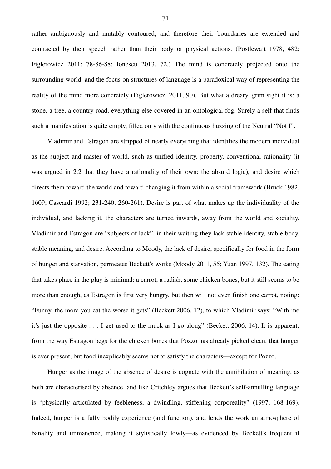rather ambiguously and mutably contoured, and therefore their boundaries are extended and contracted by their speech rather than their body or physical actions. (Postlewait 1978, 482; Figlerowicz 2011; 78-86-88; Ionescu 2013, 72.) The mind is concretely projected onto the surrounding world, and the focus on structures of language is a paradoxical way of representing the reality of the mind more concretely (Figlerowicz, 2011, 90). But what a dreary, grim sight it is: a stone, a tree, a country road, everything else covered in an ontological fog. Surely a self that finds such a manifestation is quite empty, filled only with the continuous buzzing of the Neutral "Not I".

Vladimir and Estragon are stripped of nearly everything that identifies the modern individual as the subject and master of world, such as unified identity, property, conventional rationality (it was argued in 2.2 that they have a rationality of their own: the absurd logic), and desire which directs them toward the world and toward changing it from within a social framework (Bruck 1982, 1609; Cascardi 1992; 231-240, 260-261). Desire is part of what makes up the individuality of the individual, and lacking it, the characters are turned inwards, away from the world and sociality. Vladimir and Estragon are "subjects of lack", in their waiting they lack stable identity, stable body, stable meaning, and desire. According to Moody, the lack of desire, specifically for food in the form of hunger and starvation, permeates Beckett's works (Moody 2011, 55; Yuan 1997, 132). The eating that takes place in the play is minimal: a carrot, a radish, some chicken bones, but it still seems to be more than enough, as Estragon is first very hungry, but then will not even finish one carrot, noting: "Funny, the more you eat the worse it gets" (Beckett 2006, 12), to which Vladimir says: "With me it's just the opposite . . . I get used to the muck as I go along" (Beckett 2006, 14). It is apparent, from the way Estragon begs for the chicken bones that Pozzo has already picked clean, that hunger is ever present, but food inexplicably seems not to satisfy the characters—except for Pozzo.

Hunger as the image of the absence of desire is cognate with the annihilation of meaning, as both are characterised by absence, and like Critchley argues that Beckett's self-annulling language is "physically articulated by feebleness, a dwindling, stiffening corporeality" (1997, 168-169). Indeed, hunger is a fully bodily experience (and function), and lends the work an atmosphere of banality and immanence, making it stylistically lowly—as evidenced by Beckett's frequent if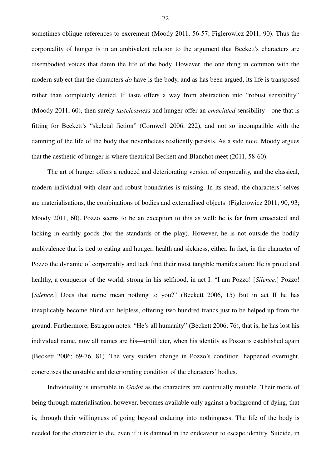sometimes oblique references to excrement (Moody 2011, 56-57; Figlerowicz 2011, 90). Thus the corporeality of hunger is in an ambivalent relation to the argument that Beckett's characters are disembodied voices that damn the life of the body. However, the one thing in common with the modern subject that the characters *do* have is the body, and as has been argued, its life is transposed rather than completely denied. If taste offers a way from abstraction into "robust sensibility" (Moody 2011, 60), then surely *tastelessness* and hunger offer an *emaciated* sensibility—one that is fitting for Beckett's "skeletal fiction" (Cornwell 2006, 222), and not so incompatible with the damning of the life of the body that nevertheless resiliently persists. As a side note, Moody argues that the aesthetic of hunger is where theatrical Beckett and Blanchot meet (2011, 58-60).

The art of hunger offers a reduced and deteriorating version of corporeality, and the classical, modern individual with clear and robust boundaries is missing. In its stead, the characters' selves are materialisations, the combinations of bodies and externalised objects (Figlerowicz 2011; 90, 93; Moody 2011, 60). Pozzo seems to be an exception to this as well: he is far from emaciated and lacking in earthly goods (for the standards of the play). However, he is not outside the bodily ambivalence that is tied to eating and hunger, health and sickness, either. In fact, in the character of Pozzo the dynamic of corporeality and lack find their most tangible manifestation: He is proud and healthy, a conqueror of the world, strong in his selfhood, in act I: "I am Pozzo! [*Silence*.] Pozzo! [*Silence*.] Does that name mean nothing to you?" (Beckett 2006, 15) But in act II he has inexplicably become blind and helpless, offering two hundred francs just to be helped up from the ground. Furthermore, Estragon notes: "He's all humanity" (Beckett 2006, 76), that is, he has lost his individual name, now all names are his—until later, when his identity as Pozzo is established again (Beckett 2006; 69-76, 81). The very sudden change in Pozzo's condition, happened overnight, concretises the unstable and deteriorating condition of the characters' bodies.

Individuality is untenable in *Godot* as the characters are continually mutable. Their mode of being through materialisation, however, becomes available only against a background of dying, that is, through their willingness of going beyond enduring into nothingness. The life of the body is needed for the character to die, even if it is damned in the endeavour to escape identity. Suicide, in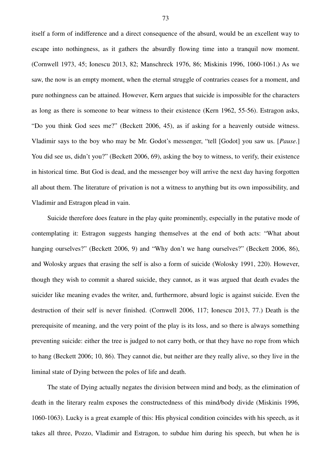itself a form of indifference and a direct consequence of the absurd, would be an excellent way to escape into nothingness, as it gathers the absurdly flowing time into a tranquil now moment. (Cornwell 1973, 45; Ionescu 2013, 82; Manschreck 1976, 86; Miskinis 1996, 1060-1061.) As we saw, the now is an empty moment, when the eternal struggle of contraries ceases for a moment, and pure nothingness can be attained. However, Kern argues that suicide is impossible for the characters as long as there is someone to bear witness to their existence (Kern 1962, 55-56). Estragon asks, "Do you think God sees me?" (Beckett 2006, 45), as if asking for a heavenly outside witness. Vladimir says to the boy who may be Mr. Godot's messenger, "tell [Godot] you saw us. [*Pause*.] You did see us, didn't you?" (Beckett 2006, 69), asking the boy to witness, to verify, their existence in historical time. But God is dead, and the messenger boy will arrive the next day having forgotten all about them. The literature of privation is not a witness to anything but its own impossibility, and Vladimir and Estragon plead in vain.

Suicide therefore does feature in the play quite prominently, especially in the putative mode of contemplating it: Estragon suggests hanging themselves at the end of both acts: "What about hanging ourselves?" (Beckett 2006, 9) and "Why don't we hang ourselves?" (Beckett 2006, 86), and Wolosky argues that erasing the self is also a form of suicide (Wolosky 1991, 220). However, though they wish to commit a shared suicide, they cannot, as it was argued that death evades the suicider like meaning evades the writer, and, furthermore, absurd logic is against suicide. Even the destruction of their self is never finished. (Cornwell 2006, 117; Ionescu 2013, 77.) Death is the prerequisite of meaning, and the very point of the play is its loss, and so there is always something preventing suicide: either the tree is judged to not carry both, or that they have no rope from which to hang (Beckett 2006; 10, 86). They cannot die, but neither are they really alive, so they live in the liminal state of Dying between the poles of life and death.

The state of Dying actually negates the division between mind and body, as the elimination of death in the literary realm exposes the constructedness of this mind/body divide (Miskinis 1996, 1060-1063). Lucky is a great example of this: His physical condition coincides with his speech, as it takes all three, Pozzo, Vladimir and Estragon, to subdue him during his speech, but when he is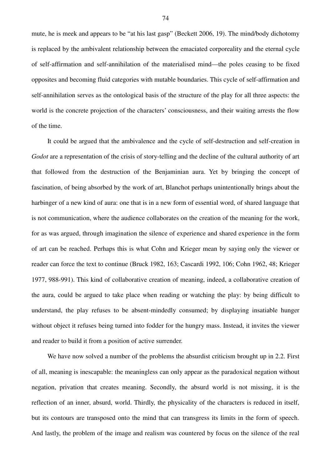mute, he is meek and appears to be "at his last gasp" (Beckett 2006, 19). The mind/body dichotomy is replaced by the ambivalent relationship between the emaciated corporeality and the eternal cycle of self-affirmation and self-annihilation of the materialised mind—the poles ceasing to be fixed opposites and becoming fluid categories with mutable boundaries. This cycle of self-affirmation and self-annihilation serves as the ontological basis of the structure of the play for all three aspects: the world is the concrete projection of the characters' consciousness, and their waiting arrests the flow of the time.

It could be argued that the ambivalence and the cycle of self-destruction and self-creation in *Godot* are a representation of the crisis of story-telling and the decline of the cultural authority of art that followed from the destruction of the Benjaminian aura. Yet by bringing the concept of fascination, of being absorbed by the work of art, Blanchot perhaps unintentionally brings about the harbinger of a new kind of aura: one that is in a new form of essential word, of shared language that is not communication, where the audience collaborates on the creation of the meaning for the work, for as was argued, through imagination the silence of experience and shared experience in the form of art can be reached. Perhaps this is what Cohn and Krieger mean by saying only the viewer or reader can force the text to continue (Bruck 1982, 163; Cascardi 1992, 106; Cohn 1962, 48; Krieger 1977, 988-991). This kind of collaborative creation of meaning, indeed, a collaborative creation of the aura, could be argued to take place when reading or watching the play: by being difficult to understand, the play refuses to be absent-mindedly consumed; by displaying insatiable hunger without object it refuses being turned into fodder for the hungry mass. Instead, it invites the viewer and reader to build it from a position of active surrender.

We have now solved a number of the problems the absurdist criticism brought up in 2.2. First of all, meaning is inescapable: the meaningless can only appear as the paradoxical negation without negation, privation that creates meaning. Secondly, the absurd world is not missing, it is the reflection of an inner, absurd, world. Thirdly, the physicality of the characters is reduced in itself, but its contours are transposed onto the mind that can transgress its limits in the form of speech. And lastly, the problem of the image and realism was countered by focus on the silence of the real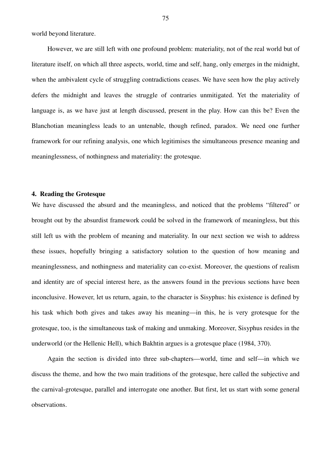world beyond literature.

However, we are still left with one profound problem: materiality, not of the real world but of literature itself, on which all three aspects, world, time and self, hang, only emerges in the midnight, when the ambivalent cycle of struggling contradictions ceases. We have seen how the play actively defers the midnight and leaves the struggle of contraries unmitigated. Yet the materiality of language is, as we have just at length discussed, present in the play. How can this be? Even the Blanchotian meaningless leads to an untenable, though refined, paradox. We need one further framework for our refining analysis, one which legitimises the simultaneous presence meaning and meaninglessness, of nothingness and materiality: the grotesque.

# **4. Reading the Grotesque**

We have discussed the absurd and the meaningless, and noticed that the problems "filtered" or brought out by the absurdist framework could be solved in the framework of meaningless, but this still left us with the problem of meaning and materiality. In our next section we wish to address these issues, hopefully bringing a satisfactory solution to the question of how meaning and meaninglessness, and nothingness and materiality can co-exist. Moreover, the questions of realism and identity are of special interest here, as the answers found in the previous sections have been inconclusive. However, let us return, again, to the character is Sisyphus: his existence is defined by his task which both gives and takes away his meaning—in this, he is very grotesque for the grotesque, too, is the simultaneous task of making and unmaking. Moreover, Sisyphus resides in the underworld (or the Hellenic Hell), which Bakhtin argues is a grotesque place (1984, 370).

Again the section is divided into three sub-chapters—world, time and self—in which we discuss the theme, and how the two main traditions of the grotesque, here called the subjective and the carnival-grotesque, parallel and interrogate one another. But first, let us start with some general observations.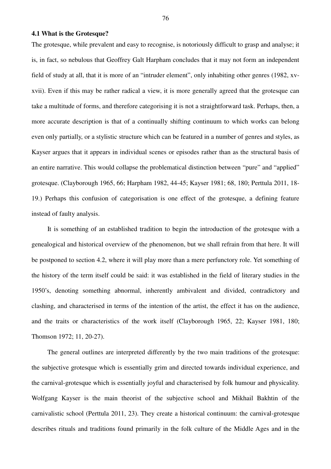### **4.1 What is the Grotesque?**

The grotesque, while prevalent and easy to recognise, is notoriously difficult to grasp and analyse; it is, in fact, so nebulous that Geoffrey Galt Harpham concludes that it may not form an independent field of study at all, that it is more of an "intruder element", only inhabiting other genres (1982, xvxvii). Even if this may be rather radical a view, it is more generally agreed that the grotesque can take a multitude of forms, and therefore categorising it is not a straightforward task. Perhaps, then, a more accurate description is that of a continually shifting continuum to which works can belong even only partially, or a stylistic structure which can be featured in a number of genres and styles, as Kayser argues that it appears in individual scenes or episodes rather than as the structural basis of an entire narrative. This would collapse the problematical distinction between "pure" and "applied" grotesque. (Clayborough 1965, 66; Harpham 1982, 44-45; Kayser 1981; 68, 180; Perttula 2011, 18- 19.) Perhaps this confusion of categorisation is one effect of the grotesque, a defining feature instead of faulty analysis.

It is something of an established tradition to begin the introduction of the grotesque with a genealogical and historical overview of the phenomenon, but we shall refrain from that here. It will be postponed to section 4.2, where it will play more than a mere perfunctory role. Yet something of the history of the term itself could be said: it was established in the field of literary studies in the 1950's, denoting something abnormal, inherently ambivalent and divided, contradictory and clashing, and characterised in terms of the intention of the artist, the effect it has on the audience, and the traits or characteristics of the work itself (Clayborough 1965, 22; Kayser 1981, 180; Thomson 1972; 11, 20-27).

The general outlines are interpreted differently by the two main traditions of the grotesque: the subjective grotesque which is essentially grim and directed towards individual experience, and the carnival-grotesque which is essentially joyful and characterised by folk humour and physicality. Wolfgang Kayser is the main theorist of the subjective school and Mikhail Bakhtin of the carnivalistic school (Perttula 2011, 23). They create a historical continuum: the carnival-grotesque describes rituals and traditions found primarily in the folk culture of the Middle Ages and in the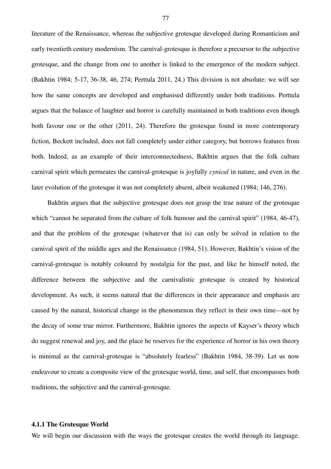literature of the Renaissance, whereas the subjective grotesque developed during Romanticism and early twentieth century modernism. The carnival-grotesque is therefore a precursor to the subjective grotesque, and the change from one to another is linked to the emergence of the modern subject. (Bakhtin 1984; 5-17, 36-38, 46, 274; Perttula 2011, 24.) This division is not absolute: we will see how the same concepts are developed and emphasised differently under both traditions. Perttula argues that the balance of laughter and horror is carefully maintained in both traditions even though both favour one or the other (2011, 24). Therefore the grotesque found in more contemporary fiction, Beckett included, does not fall completely under either category, but borrows features from both. Indeed, as an example of their interconnectedness, Bakhtin argues that the folk culture carnival spirit which permeates the carnival-grotesque is joyfully *cynical* in nature, and even in the later evolution of the grotesque it was not completely absent, albeit weakened (1984; 146, 276).

Bakhtin argues that the subjective grotesque does not grasp the true nature of the grotesque which "cannot be separated from the culture of folk humour and the carnival spirit" (1984, 46-47), and that the problem of the grotesque (whatever that is) can only be solved in relation to the carnival spirit of the middle ages and the Renaissance (1984, 51). However, Bakhtin's vision of the carnival-grotesque is notably coloured by nostalgia for the past, and like he himself noted, the difference between the subjective and the carnivalistic grotesque is created by historical development. As such, it seems natural that the differences in their appearance and emphasis are caused by the natural, historical change in the phenomenon they reflect in their own time—not by the decay of some true mirror. Furthermore, Bakhtin ignores the aspects of Kayser's theory which do suggest renewal and joy, and the place he reserves for the experience of horror in his own theory is minimal as the carnival-grotesque is "absolutely fearless" (Bakhtin 1984, 38-39). Let us now endeavour to create a composite view of the grotesque world, time, and self, that encompasses both traditions, the subjective and the carnival-grotesque.

# **4.1.1 The Grotesque World**

We will begin our discussion with the ways the grotesque creates the world through its language.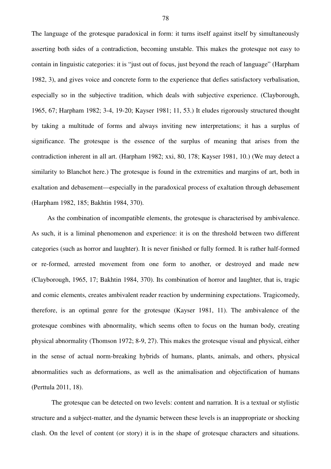The language of the grotesque paradoxical in form: it turns itself against itself by simultaneously asserting both sides of a contradiction, becoming unstable. This makes the grotesque not easy to contain in linguistic categories: it is "just out of focus, just beyond the reach of language" (Harpham 1982, 3), and gives voice and concrete form to the experience that defies satisfactory verbalisation, especially so in the subjective tradition, which deals with subjective experience. (Clayborough, 1965, 67; Harpham 1982; 3-4, 19-20; Kayser 1981; 11, 53.) It eludes rigorously structured thought by taking a multitude of forms and always inviting new interpretations; it has a surplus of significance. The grotesque is the essence of the surplus of meaning that arises from the contradiction inherent in all art. (Harpham 1982; xxi, 80, 178; Kayser 1981, 10.) (We may detect a similarity to Blanchot here.) The grotesque is found in the extremities and margins of art, both in exaltation and debasement—especially in the paradoxical process of exaltation through debasement (Harpham 1982, 185; Bakhtin 1984, 370).

As the combination of incompatible elements, the grotesque is characterised by ambivalence. As such, it is a liminal phenomenon and experience: it is on the threshold between two different categories (such as horror and laughter). It is never finished or fully formed. It is rather half-formed or re-formed, arrested movement from one form to another, or destroyed and made new (Clayborough, 1965, 17; Bakhtin 1984, 370). Its combination of horror and laughter, that is, tragic and comic elements, creates ambivalent reader reaction by undermining expectations. Tragicomedy, therefore, is an optimal genre for the grotesque (Kayser 1981, 11). The ambivalence of the grotesque combines with abnormality, which seems often to focus on the human body, creating physical abnormality (Thomson 1972; 8-9, 27). This makes the grotesque visual and physical, either in the sense of actual norm-breaking hybrids of humans, plants, animals, and others, physical abnormalities such as deformations, as well as the animalisation and objectification of humans (Perttula 2011, 18).

The grotesque can be detected on two levels: content and narration. It is a textual or stylistic structure and a subject-matter, and the dynamic between these levels is an inappropriate or shocking clash. On the level of content (or story) it is in the shape of grotesque characters and situations.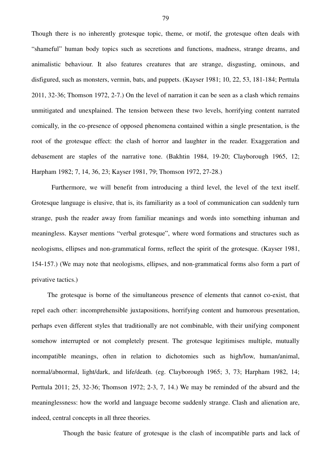Though there is no inherently grotesque topic, theme, or motif, the grotesque often deals with "shameful" human body topics such as secretions and functions, madness, strange dreams, and animalistic behaviour. It also features creatures that are strange, disgusting, ominous, and disfigured, such as monsters, vermin, bats, and puppets. (Kayser 1981; 10, 22, 53, 181-184; Perttula 2011, 32-36; Thomson 1972, 2-7.) On the level of narration it can be seen as a clash which remains unmitigated and unexplained. The tension between these two levels, horrifying content narrated comically, in the co-presence of opposed phenomena contained within a single presentation, is the root of the grotesque effect: the clash of horror and laughter in the reader. Exaggeration and debasement are staples of the narrative tone. (Bakhtin 1984, 19-20; Clayborough 1965, 12; Harpham 1982; 7, 14, 36, 23; Kayser 1981, 79; Thomson 1972, 27-28.)

Furthermore, we will benefit from introducing a third level, the level of the text itself. Grotesque language is elusive, that is, its familiarity as a tool of communication can suddenly turn strange, push the reader away from familiar meanings and words into something inhuman and meaningless. Kayser mentions "verbal grotesque", where word formations and structures such as neologisms, ellipses and non-grammatical forms, reflect the spirit of the grotesque. (Kayser 1981, 154-157.) (We may note that neologisms, ellipses, and non-grammatical forms also form a part of privative tactics.)

The grotesque is borne of the simultaneous presence of elements that cannot co-exist, that repel each other: incomprehensible juxtapositions, horrifying content and humorous presentation, perhaps even different styles that traditionally are not combinable, with their unifying component somehow interrupted or not completely present. The grotesque legitimises multiple, mutually incompatible meanings, often in relation to dichotomies such as high/low, human/animal, normal/abnormal, light/dark, and life/death. (eg. Clayborough 1965; 3, 73; Harpham 1982, 14; Perttula 2011; 25, 32-36; Thomson 1972; 2-3, 7, 14.) We may be reminded of the absurd and the meaninglessness: how the world and language become suddenly strange. Clash and alienation are, indeed, central concepts in all three theories.

Though the basic feature of grotesque is the clash of incompatible parts and lack of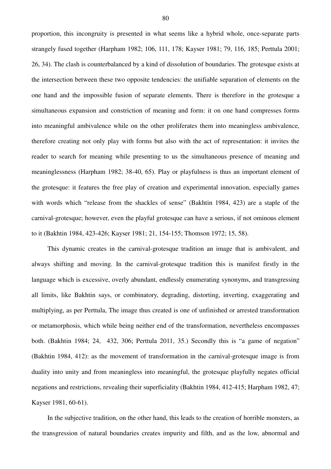proportion, this incongruity is presented in what seems like a hybrid whole, once-separate parts strangely fused together (Harpham 1982; 106, 111, 178; Kayser 1981; 79, 116, 185; Perttula 2001; 26, 34). The clash is counterbalanced by a kind of dissolution of boundaries. The grotesque exists at the intersection between these two opposite tendencies: the unifiable separation of elements on the one hand and the impossible fusion of separate elements. There is therefore in the grotesque a simultaneous expansion and constriction of meaning and form: it on one hand compresses forms into meaningful ambivalence while on the other proliferates them into meaningless ambivalence, therefore creating not only play with forms but also with the act of representation: it invites the reader to search for meaning while presenting to us the simultaneous presence of meaning and meaninglessness (Harpham 1982; 38-40, 65). Play or playfulness is thus an important element of the grotesque: it features the free play of creation and experimental innovation, especially games with words which "release from the shackles of sense" (Bakhtin 1984, 423) are a staple of the carnival-grotesque; however, even the playful grotesque can have a serious, if not ominous element to it (Bakhtin 1984, 423-426; Kayser 1981; 21, 154-155; Thomson 1972; 15, 58).

This dynamic creates in the carnival-grotesque tradition an image that is ambivalent, and always shifting and moving. In the carnival-grotesque tradition this is manifest firstly in the language which is excessive, overly abundant, endlessly enumerating synonyms, and transgressing all limits, like Bakhtin says, or combinatory, degrading, distorting, inverting, exaggerating and multiplying, as per Perttula, The image thus created is one of unfinished or arrested transformation or metamorphosis, which while being neither end of the transformation, nevertheless encompasses both. (Bakhtin 1984; 24, 432, 306; Perttula 2011, 35.) Secondly this is "a game of negation" (Bakhtin 1984, 412): as the movement of transformation in the carnival-grotesque image is from duality into unity and from meaningless into meaningful, the grotesque playfully negates official negations and restrictions, revealing their superficiality (Bakhtin 1984, 412-415; Harpham 1982, 47; Kayser 1981, 60-61).

In the subjective tradition, on the other hand, this leads to the creation of horrible monsters, as the transgression of natural boundaries creates impurity and filth, and as the low, abnormal and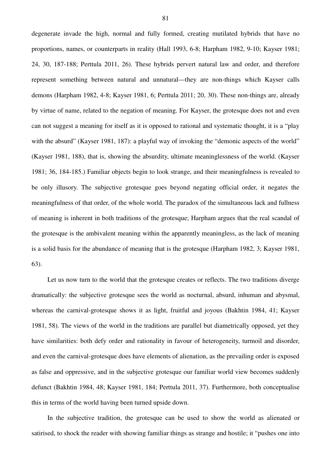degenerate invade the high, normal and fully formed, creating mutilated hybrids that have no proportions, names, or counterparts in reality (Hall 1993, 6-8; Harpham 1982, 9-10; Kayser 1981; 24, 30, 187-188; Perttula 2011, 26). These hybrids pervert natural law and order, and therefore represent something between natural and unnatural—they are non-things which Kayser calls demons (Harpham 1982, 4-8; Kayser 1981, 6; Perttula 2011; 20, 30). These non-things are, already by virtue of name, related to the negation of meaning. For Kayser, the grotesque does not and even can not suggest a meaning for itself as it is opposed to rational and systematic thought, it is a "play with the absurd" (Kayser 1981, 187): a playful way of invoking the "demonic aspects of the world" (Kayser 1981, 188), that is, showing the absurdity, ultimate meaninglessness of the world. (Kayser 1981; 36, 184-185.) Familiar objects begin to look strange, and their meaningfulness is revealed to be only illusory. The subjective grotesque goes beyond negating official order, it negates the meaningfulness of that order, of the whole world. The paradox of the simultaneous lack and fullness of meaning is inherent in both traditions of the grotesque; Harpham argues that the real scandal of the grotesque is the ambivalent meaning within the apparently meaningless, as the lack of meaning is a solid basis for the abundance of meaning that is the grotesque (Harpham 1982, 3; Kayser 1981, 63).

Let us now turn to the world that the grotesque creates or reflects. The two traditions diverge dramatically: the subjective grotesque sees the world as nocturnal, absurd, inhuman and abysmal, whereas the carnival-grotesque shows it as light, fruitful and joyous (Bakhtin 1984, 41; Kayser 1981, 58). The views of the world in the traditions are parallel but diametrically opposed, yet they have similarities: both defy order and rationality in favour of heterogeneity, turmoil and disorder, and even the carnival-grotesque does have elements of alienation, as the prevailing order is exposed as false and oppressive, and in the subjective grotesque our familiar world view becomes suddenly defunct (Bakhtin 1984, 48; Kayser 1981, 184; Perttula 2011, 37). Furthermore, both conceptualise this in terms of the world having been turned upside down.

In the subjective tradition, the grotesque can be used to show the world as alienated or satirised, to shock the reader with showing familiar things as strange and hostile; it "pushes one into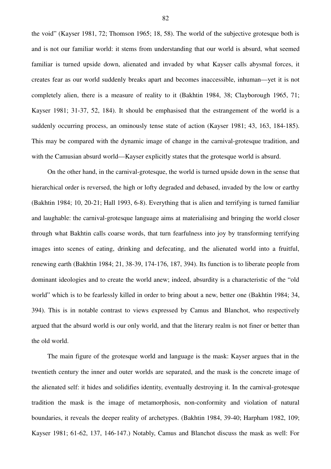the void" (Kayser 1981, 72; Thomson 1965; 18, 58). The world of the subjective grotesque both is and is not our familiar world: it stems from understanding that our world is absurd, what seemed familiar is turned upside down, alienated and invaded by what Kayser calls abysmal forces, it creates fear as our world suddenly breaks apart and becomes inaccessible, inhuman—yet it is not completely alien, there is a measure of reality to it (Bakhtin 1984, 38; Clayborough 1965, 71; Kayser 1981; 31-37, 52, 184). It should be emphasised that the estrangement of the world is a suddenly occurring process, an ominously tense state of action (Kayser 1981; 43, 163, 184-185). This may be compared with the dynamic image of change in the carnival-grotesque tradition, and with the Camusian absurd world—Kayser explicitly states that the grotesque world is absurd.

On the other hand, in the carnival-grotesque, the world is turned upside down in the sense that hierarchical order is reversed, the high or lofty degraded and debased, invaded by the low or earthy (Bakhtin 1984; 10, 20-21; Hall 1993, 6-8). Everything that is alien and terrifying is turned familiar and laughable: the carnival-grotesque language aims at materialising and bringing the world closer through what Bakhtin calls coarse words, that turn fearfulness into joy by transforming terrifying images into scenes of eating, drinking and defecating, and the alienated world into a fruitful, renewing earth (Bakhtin 1984; 21, 38-39, 174-176, 187, 394). Its function is to liberate people from dominant ideologies and to create the world anew; indeed, absurdity is a characteristic of the "old world" which is to be fearlessly killed in order to bring about a new, better one (Bakhtin 1984; 34, 394). This is in notable contrast to views expressed by Camus and Blanchot, who respectively argued that the absurd world is our only world, and that the literary realm is not finer or better than the old world.

The main figure of the grotesque world and language is the mask: Kayser argues that in the twentieth century the inner and outer worlds are separated, and the mask is the concrete image of the alienated self: it hides and solidifies identity, eventually destroying it. In the carnival-grotesque tradition the mask is the image of metamorphosis, non-conformity and violation of natural boundaries, it reveals the deeper reality of archetypes. (Bakhtin 1984, 39-40; Harpham 1982, 109; Kayser 1981; 61-62, 137, 146-147.) Notably, Camus and Blanchot discuss the mask as well: For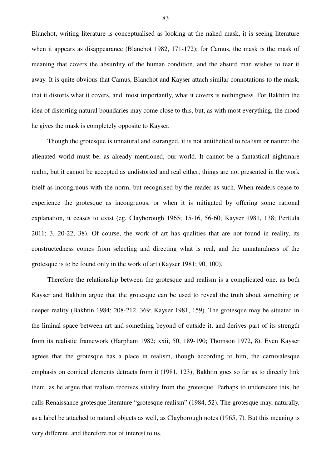Blanchot, writing literature is conceptualised as looking at the naked mask, it is seeing literature when it appears as disappearance (Blanchot 1982, 171-172); for Camus, the mask is the mask of meaning that covers the absurdity of the human condition, and the absurd man wishes to tear it away. It is quite obvious that Camus, Blanchot and Kayser attach similar connotations to the mask, that it distorts what it covers, and, most importantly, what it covers is nothingness. For Bakhtin the idea of distorting natural boundaries may come close to this, but, as with most everything, the mood he gives the mask is completely opposite to Kayser.

Though the grotesque is unnatural and estranged, it is not antithetical to realism or nature: the alienated world must be, as already mentioned, our world. It cannot be a fantastical nightmare realm, but it cannot be accepted as undistorted and real either; things are not presented in the work itself as incongruous with the norm, but recognised by the reader as such. When readers cease to experience the grotesque as incongruous, or when it is mitigated by offering some rational explanation, it ceases to exist (eg. Clayborough 1965; 15-16, 56-60; Kayser 1981, 138; Perttula 2011; 3, 20-22, 38). Of course, the work of art has qualities that are not found in reality, its constructedness comes from selecting and directing what is real, and the unnaturalness of the grotesque is to be found only in the work of art (Kayser 1981; 90, 100).

Therefore the relationship between the grotesque and realism is a complicated one, as both Kayser and Bakhtin argue that the grotesque can be used to reveal the truth about something or deeper reality (Bakhtin 1984; 208-212, 369; Kayser 1981, 159). The grotesque may be situated in the liminal space between art and something beyond of outside it, and derives part of its strength from its realistic framework (Harpham 1982; xxii, 50, 189-190; Thomson 1972, 8). Even Kayser agrees that the grotesque has a place in realism, though according to him, the carnivalesque emphasis on comical elements detracts from it (1981, 123); Bakhtin goes so far as to directly link them, as he argue that realism receives vitality from the grotesque. Perhaps to underscore this, he calls Renaissance grotesque literature "grotesque realism" (1984, 52). The grotesque may, naturally, as a label be attached to natural objects as well, as Clayborough notes (1965, 7). But this meaning is very different, and therefore not of interest to us.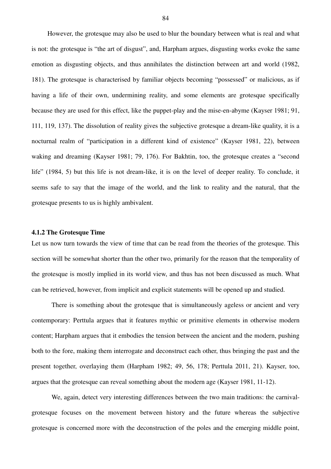However, the grotesque may also be used to blur the boundary between what is real and what is not: the grotesque is "the art of disgust", and, Harpham argues, disgusting works evoke the same emotion as disgusting objects, and thus annihilates the distinction between art and world (1982, 181). The grotesque is characterised by familiar objects becoming "possessed" or malicious, as if having a life of their own, undermining reality, and some elements are grotesque specifically because they are used for this effect, like the puppet-play and the mise-en-abyme (Kayser 1981; 91, 111, 119, 137). The dissolution of reality gives the subjective grotesque a dream-like quality, it is a nocturnal realm of "participation in a different kind of existence" (Kayser 1981, 22), between waking and dreaming (Kayser 1981; 79, 176). For Bakhtin, too, the grotesque creates a "second life" (1984, 5) but this life is not dream-like, it is on the level of deeper reality. To conclude, it seems safe to say that the image of the world, and the link to reality and the natural, that the grotesque presents to us is highly ambivalent.

#### **4.1.2 The Grotesque Time**

Let us now turn towards the view of time that can be read from the theories of the grotesque. This section will be somewhat shorter than the other two, primarily for the reason that the temporality of the grotesque is mostly implied in its world view, and thus has not been discussed as much. What can be retrieved, however, from implicit and explicit statements will be opened up and studied.

There is something about the grotesque that is simultaneously ageless or ancient and very contemporary: Perttula argues that it features mythic or primitive elements in otherwise modern content; Harpham argues that it embodies the tension between the ancient and the modern, pushing both to the fore, making them interrogate and deconstruct each other, thus bringing the past and the present together, overlaying them (Harpham 1982; 49, 56, 178; Perttula 2011, 21). Kayser, too, argues that the grotesque can reveal something about the modern age (Kayser 1981, 11-12).

We, again, detect very interesting differences between the two main traditions: the carnivalgrotesque focuses on the movement between history and the future whereas the subjective grotesque is concerned more with the deconstruction of the poles and the emerging middle point,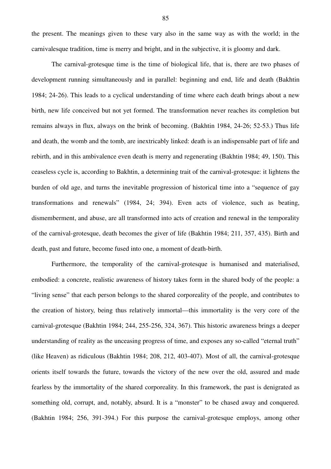the present. The meanings given to these vary also in the same way as with the world; in the carnivalesque tradition, time is merry and bright, and in the subjective, it is gloomy and dark.

The carnival-grotesque time is the time of biological life, that is, there are two phases of development running simultaneously and in parallel: beginning and end, life and death (Bakhtin 1984; 24-26). This leads to a cyclical understanding of time where each death brings about a new birth, new life conceived but not yet formed. The transformation never reaches its completion but remains always in flux, always on the brink of becoming. (Bakhtin 1984, 24-26; 52-53.) Thus life and death, the womb and the tomb, are inextricably linked: death is an indispensable part of life and rebirth, and in this ambivalence even death is merry and regenerating (Bakhtin 1984; 49, 150). This ceaseless cycle is, according to Bakhtin, a determining trait of the carnival-grotesque: it lightens the burden of old age, and turns the inevitable progression of historical time into a "sequence of gay transformations and renewals" (1984, 24; 394). Even acts of violence, such as beating, dismemberment, and abuse, are all transformed into acts of creation and renewal in the temporality of the carnival-grotesque, death becomes the giver of life (Bakhtin 1984; 211, 357, 435). Birth and death, past and future, become fused into one, a moment of death-birth.

Furthermore, the temporality of the carnival-grotesque is humanised and materialised, embodied: a concrete, realistic awareness of history takes form in the shared body of the people: a "living sense" that each person belongs to the shared corporeality of the people, and contributes to the creation of history, being thus relatively immortal—this immortality is the very core of the carnival-grotesque (Bakhtin 1984; 244, 255-256, 324, 367). This historic awareness brings a deeper understanding of reality as the unceasing progress of time, and exposes any so-called "eternal truth" (like Heaven) as ridiculous (Bakhtin 1984; 208, 212, 403-407). Most of all, the carnival-grotesque orients itself towards the future, towards the victory of the new over the old, assured and made fearless by the immortality of the shared corporeality. In this framework, the past is denigrated as something old, corrupt, and, notably, absurd. It is a "monster" to be chased away and conquered. (Bakhtin 1984; 256, 391-394.) For this purpose the carnival-grotesque employs, among other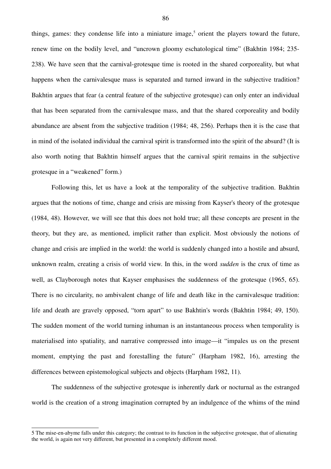things, games: they condense life into a miniature image,<sup>5</sup> orient the players toward the future, renew time on the bodily level, and "uncrown gloomy eschatological time" (Bakhtin 1984; 235- 238). We have seen that the carnival-grotesque time is rooted in the shared corporeality, but what happens when the carnivalesque mass is separated and turned inward in the subjective tradition? Bakhtin argues that fear (a central feature of the subjective grotesque) can only enter an individual that has been separated from the carnivalesque mass, and that the shared corporeality and bodily abundance are absent from the subjective tradition (1984; 48, 256). Perhaps then it is the case that in mind of the isolated individual the carnival spirit is transformed into the spirit of the absurd? (It is also worth noting that Bakhtin himself argues that the carnival spirit remains in the subjective grotesque in a "weakened" form.)

Following this, let us have a look at the temporality of the subjective tradition. Bakhtin argues that the notions of time, change and crisis are missing from Kayser's theory of the grotesque (1984, 48). However, we will see that this does not hold true; all these concepts are present in the theory, but they are, as mentioned, implicit rather than explicit. Most obviously the notions of change and crisis are implied in the world: the world is suddenly changed into a hostile and absurd, unknown realm, creating a crisis of world view. In this, in the word *sudden* is the crux of time as well, as Clayborough notes that Kayser emphasises the suddenness of the grotesque (1965, 65). There is no circularity, no ambivalent change of life and death like in the carnivalesque tradition: life and death are gravely opposed, "torn apart" to use Bakhtin's words (Bakhtin 1984; 49, 150). The sudden moment of the world turning inhuman is an instantaneous process when temporality is materialised into spatiality, and narrative compressed into image—it "impales us on the present moment, emptying the past and forestalling the future" (Harpham 1982, 16), arresting the differences between epistemological subjects and objects (Harpham 1982, 11).

The suddenness of the subjective grotesque is inherently dark or nocturnal as the estranged world is the creation of a strong imagination corrupted by an indulgence of the whims of the mind

<sup>5</sup> The mise-en-abyme falls under this category; the contrast to its function in the subjective grotesque, that of alienating the world, is again not very different, but presented in a completely different mood.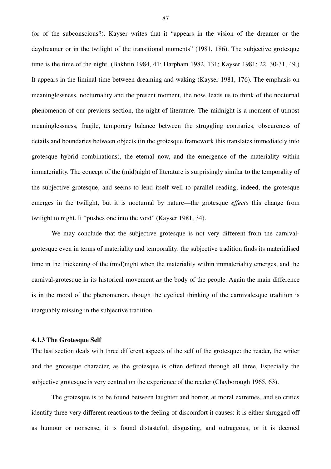(or of the subconscious?). Kayser writes that it "appears in the vision of the dreamer or the daydreamer or in the twilight of the transitional moments" (1981, 186). The subjective grotesque time is the time of the night. (Bakhtin 1984, 41; Harpham 1982, 131; Kayser 1981; 22, 30-31, 49.) It appears in the liminal time between dreaming and waking (Kayser 1981, 176). The emphasis on meaninglessness, nocturnality and the present moment, the now, leads us to think of the nocturnal phenomenon of our previous section, the night of literature. The midnight is a moment of utmost meaninglessness, fragile, temporary balance between the struggling contraries, obscureness of details and boundaries between objects (in the grotesque framework this translates immediately into grotesque hybrid combinations), the eternal now, and the emergence of the materiality within immateriality. The concept of the (mid)night of literature is surprisingly similar to the temporality of the subjective grotesque, and seems to lend itself well to parallel reading; indeed, the grotesque emerges in the twilight, but it is nocturnal by nature—the grotesque *effects* this change from twilight to night. It "pushes one into the void" (Kayser 1981, 34).

We may conclude that the subjective grotesque is not very different from the carnivalgrotesque even in terms of materiality and temporality: the subjective tradition finds its materialised time in the thickening of the (mid)night when the materiality within immateriality emerges, and the carnival-grotesque in its historical movement *as* the body of the people. Again the main difference is in the mood of the phenomenon, though the cyclical thinking of the carnivalesque tradition is inarguably missing in the subjective tradition.

### **4.1.3 The Grotesque Self**

The last section deals with three different aspects of the self of the grotesque: the reader, the writer and the grotesque character, as the grotesque is often defined through all three. Especially the subjective grotesque is very centred on the experience of the reader (Clayborough 1965, 63).

The grotesque is to be found between laughter and horror, at moral extremes, and so critics identify three very different reactions to the feeling of discomfort it causes: it is either shrugged off as humour or nonsense, it is found distasteful, disgusting, and outrageous, or it is deemed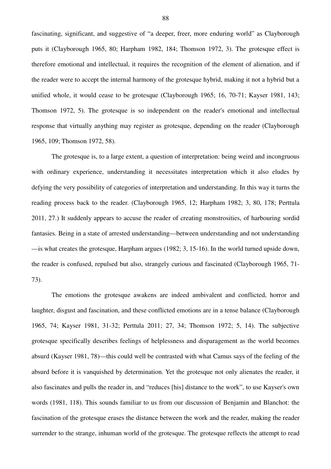fascinating, significant, and suggestive of "a deeper, freer, more enduring world" as Clayborough puts it (Clayborough 1965, 80; Harpham 1982, 184; Thomson 1972, 3). The grotesque effect is therefore emotional and intellectual, it requires the recognition of the element of alienation, and if the reader were to accept the internal harmony of the grotesque hybrid, making it not a hybrid but a unified whole, it would cease to be grotesque (Clayborough 1965; 16, 70-71; Kayser 1981, 143; Thomson 1972, 5). The grotesque is so independent on the reader's emotional and intellectual response that virtually anything may register as grotesque, depending on the reader (Clayborough 1965, 109; Thomson 1972, 58).

The grotesque is, to a large extent, a question of interpretation: being weird and incongruous with ordinary experience, understanding it necessitates interpretation which it also eludes by defying the very possibility of categories of interpretation and understanding. In this way it turns the reading process back to the reader. (Clayborough 1965, 12; Harpham 1982; 3, 80, 178; Perttula 2011, 27.) It suddenly appears to accuse the reader of creating monstrosities, of harbouring sordid fantasies. Being in a state of arrested understanding—between understanding and not understanding —is what creates the grotesque, Harpham argues (1982; 3, 15-16). In the world turned upside down, the reader is confused, repulsed but also, strangely curious and fascinated (Clayborough 1965, 71- 73).

The emotions the grotesque awakens are indeed ambivalent and conflicted, horror and laughter, disgust and fascination, and these conflicted emotions are in a tense balance (Clayborough 1965, 74; Kayser 1981, 31-32; Perttula 2011; 27, 34; Thomson 1972; 5, 14). The subjective grotesque specifically describes feelings of helplessness and disparagement as the world becomes absurd (Kayser 1981, 78)—this could well be contrasted with what Camus says of the feeling of the absurd before it is vanquished by determination. Yet the grotesque not only alienates the reader, it also fascinates and pulls the reader in, and "reduces [his] distance to the work", to use Kayser's own words (1981, 118). This sounds familiar to us from our discussion of Benjamin and Blanchot: the fascination of the grotesque erases the distance between the work and the reader, making the reader surrender to the strange, inhuman world of the grotesque. The grotesque reflects the attempt to read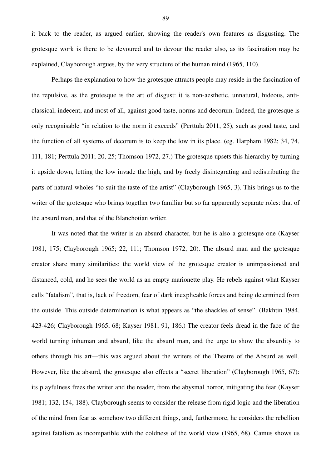it back to the reader, as argued earlier, showing the reader's own features as disgusting. The grotesque work is there to be devoured and to devour the reader also, as its fascination may be explained, Clayborough argues, by the very structure of the human mind (1965, 110).

Perhaps the explanation to how the grotesque attracts people may reside in the fascination of the repulsive, as the grotesque is the art of disgust: it is non-aesthetic, unnatural, hideous, anticlassical, indecent, and most of all, against good taste, norms and decorum. Indeed, the grotesque is only recognisable "in relation to the norm it exceeds" (Perttula 2011, 25), such as good taste, and the function of all systems of decorum is to keep the low in its place. (eg. Harpham 1982; 34, 74, 111, 181; Perttula 2011; 20, 25; Thomson 1972, 27.) The grotesque upsets this hierarchy by turning it upside down, letting the low invade the high, and by freely disintegrating and redistributing the parts of natural wholes "to suit the taste of the artist" (Clayborough 1965, 3). This brings us to the writer of the grotesque who brings together two familiar but so far apparently separate roles: that of the absurd man, and that of the Blanchotian writer.

It was noted that the writer is an absurd character, but he is also a grotesque one (Kayser 1981, 175; Clayborough 1965; 22, 111; Thomson 1972, 20). The absurd man and the grotesque creator share many similarities: the world view of the grotesque creator is unimpassioned and distanced, cold, and he sees the world as an empty marionette play. He rebels against what Kayser calls "fatalism", that is, lack of freedom, fear of dark inexplicable forces and being determined from the outside. This outside determination is what appears as "the shackles of sense". (Bakhtin 1984, 423-426; Clayborough 1965, 68; Kayser 1981; 91, 186.) The creator feels dread in the face of the world turning inhuman and absurd, like the absurd man, and the urge to show the absurdity to others through his art—this was argued about the writers of the Theatre of the Absurd as well. However, like the absurd, the grotesque also effects a "secret liberation" (Clayborough 1965, 67): its playfulness frees the writer and the reader, from the abysmal horror, mitigating the fear (Kayser 1981; 132, 154, 188). Clayborough seems to consider the release from rigid logic and the liberation of the mind from fear as somehow two different things, and, furthermore, he considers the rebellion against fatalism as incompatible with the coldness of the world view (1965, 68). Camus shows us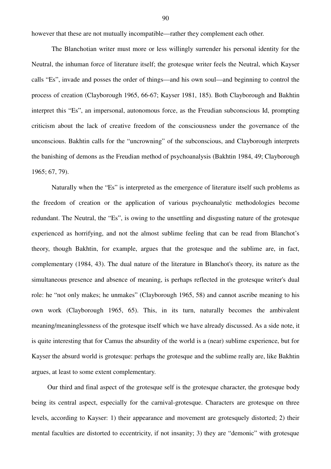however that these are not mutually incompatible—rather they complement each other.

The Blanchotian writer must more or less willingly surrender his personal identity for the Neutral, the inhuman force of literature itself; the grotesque writer feels the Neutral, which Kayser calls "Es", invade and posses the order of things—and his own soul—and beginning to control the process of creation (Clayborough 1965, 66-67; Kayser 1981, 185). Both Clayborough and Bakhtin interpret this "Es", an impersonal, autonomous force, as the Freudian subconscious Id, prompting criticism about the lack of creative freedom of the consciousness under the governance of the unconscious. Bakhtin calls for the "uncrowning" of the subconscious, and Clayborough interprets the banishing of demons as the Freudian method of psychoanalysis (Bakhtin 1984, 49; Clayborough 1965; 67, 79).

Naturally when the "Es" is interpreted as the emergence of literature itself such problems as the freedom of creation or the application of various psychoanalytic methodologies become redundant. The Neutral, the "Es", is owing to the unsettling and disgusting nature of the grotesque experienced as horrifying, and not the almost sublime feeling that can be read from Blanchot's theory, though Bakhtin, for example, argues that the grotesque and the sublime are, in fact, complementary (1984, 43). The dual nature of the literature in Blanchot's theory, its nature as the simultaneous presence and absence of meaning, is perhaps reflected in the grotesque writer's dual role: he "not only makes; he unmakes" (Clayborough 1965, 58) and cannot ascribe meaning to his own work (Clayborough 1965, 65). This, in its turn, naturally becomes the ambivalent meaning/meaninglessness of the grotesque itself which we have already discussed. As a side note, it is quite interesting that for Camus the absurdity of the world is a (near) sublime experience, but for Kayser the absurd world is grotesque: perhaps the grotesque and the sublime really are, like Bakhtin argues, at least to some extent complementary.

Our third and final aspect of the grotesque self is the grotesque character, the grotesque body being its central aspect, especially for the carnival-grotesque. Characters are grotesque on three levels, according to Kayser: 1) their appearance and movement are grotesquely distorted; 2) their mental faculties are distorted to eccentricity, if not insanity; 3) they are "demonic" with grotesque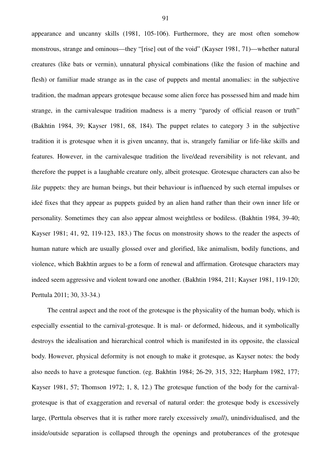appearance and uncanny skills (1981, 105-106). Furthermore, they are most often somehow monstrous, strange and ominous—they "[rise] out of the void" (Kayser 1981, 71)—whether natural creatures (like bats or vermin), unnatural physical combinations (like the fusion of machine and flesh) or familiar made strange as in the case of puppets and mental anomalies: in the subjective tradition, the madman appears grotesque because some alien force has possessed him and made him strange, in the carnivalesque tradition madness is a merry "parody of official reason or truth" (Bakhtin 1984, 39; Kayser 1981, 68, 184). The puppet relates to category 3 in the subjective tradition it is grotesque when it is given uncanny, that is, strangely familiar or life-like skills and features. However, in the carnivalesque tradition the live/dead reversibility is not relevant, and therefore the puppet is a laughable creature only, albeit grotesque. Grotesque characters can also be *like* puppets: they are human beings, but their behaviour is influenced by such eternal impulses or ideé fixes that they appear as puppets guided by an alien hand rather than their own inner life or personality. Sometimes they can also appear almost weightless or bodiless. (Bakhtin 1984, 39-40; Kayser 1981; 41, 92, 119-123, 183.) The focus on monstrosity shows to the reader the aspects of human nature which are usually glossed over and glorified, like animalism, bodily functions, and violence, which Bakhtin argues to be a form of renewal and affirmation. Grotesque characters may indeed seem aggressive and violent toward one another. (Bakhtin 1984, 211; Kayser 1981, 119-120; Perttula 2011; 30, 33-34.)

The central aspect and the root of the grotesque is the physicality of the human body, which is especially essential to the carnival-grotesque. It is mal- or deformed, hideous, and it symbolically destroys the idealisation and hierarchical control which is manifested in its opposite, the classical body. However, physical deformity is not enough to make it grotesque, as Kayser notes: the body also needs to have a grotesque function. (eg. Bakhtin 1984; 26-29, 315, 322; Harpham 1982, 177; Kayser 1981, 57; Thomson 1972; 1, 8, 12.) The grotesque function of the body for the carnivalgrotesque is that of exaggeration and reversal of natural order: the grotesque body is excessively large, (Perttula observes that it is rather more rarely excessively *small*), unindividualised, and the inside/outside separation is collapsed through the openings and protuberances of the grotesque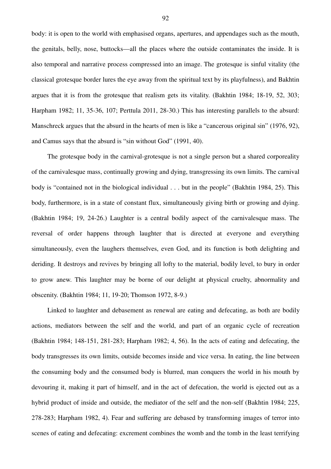body: it is open to the world with emphasised organs, apertures, and appendages such as the mouth, the genitals, belly, nose, buttocks—all the places where the outside contaminates the inside. It is also temporal and narrative process compressed into an image. The grotesque is sinful vitality (the classical grotesque border lures the eye away from the spiritual text by its playfulness), and Bakhtin argues that it is from the grotesque that realism gets its vitality. (Bakhtin 1984; 18-19, 52, 303; Harpham 1982; 11, 35-36, 107; Perttula 2011, 28-30.) This has interesting parallels to the absurd: Manschreck argues that the absurd in the hearts of men is like a "cancerous original sin" (1976, 92), and Camus says that the absurd is "sin without God" (1991, 40).

 The grotesque body in the carnival-grotesque is not a single person but a shared corporeality of the carnivalesque mass, continually growing and dying, transgressing its own limits. The carnival body is "contained not in the biological individual . . . but in the people" (Bakhtin 1984, 25). This body, furthermore, is in a state of constant flux, simultaneously giving birth or growing and dying. (Bakhtin 1984; 19, 24-26.) Laughter is a central bodily aspect of the carnivalesque mass. The reversal of order happens through laughter that is directed at everyone and everything simultaneously, even the laughers themselves, even God, and its function is both delighting and deriding. It destroys and revives by bringing all lofty to the material, bodily level, to bury in order to grow anew. This laughter may be borne of our delight at physical cruelty, abnormality and obscenity. (Bakhtin 1984; 11, 19-20; Thomson 1972, 8-9.)

Linked to laughter and debasement as renewal are eating and defecating, as both are bodily actions, mediators between the self and the world, and part of an organic cycle of recreation (Bakhtin 1984; 148-151, 281-283; Harpham 1982; 4, 56). In the acts of eating and defecating, the body transgresses its own limits, outside becomes inside and vice versa. In eating, the line between the consuming body and the consumed body is blurred, man conquers the world in his mouth by devouring it, making it part of himself, and in the act of defecation, the world is ejected out as a hybrid product of inside and outside, the mediator of the self and the non-self (Bakhtin 1984; 225, 278-283; Harpham 1982, 4). Fear and suffering are debased by transforming images of terror into scenes of eating and defecating: excrement combines the womb and the tomb in the least terrifying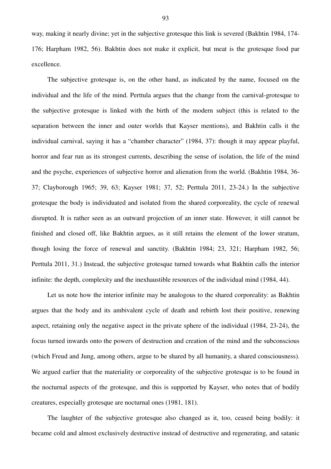way, making it nearly divine; yet in the subjective grotesque this link is severed (Bakhtin 1984, 174- 176; Harpham 1982, 56). Bakhtin does not make it explicit, but meat is the grotesque food par excellence.

The subjective grotesque is, on the other hand, as indicated by the name, focused on the individual and the life of the mind. Perttula argues that the change from the carnival-grotesque to the subjective grotesque is linked with the birth of the modern subject (this is related to the separation between the inner and outer worlds that Kayser mentions), and Bakhtin calls it the individual carnival, saying it has a "chamber character" (1984, 37): though it may appear playful, horror and fear run as its strongest currents, describing the sense of isolation, the life of the mind and the psyche, experiences of subjective horror and alienation from the world. (Bakhtin 1984, 36- 37; Clayborough 1965; 39, 63; Kayser 1981; 37, 52; Perttula 2011, 23-24.) In the subjective grotesque the body is individuated and isolated from the shared corporeality, the cycle of renewal disrupted. It is rather seen as an outward projection of an inner state. However, it still cannot be finished and closed off, like Bakhtin argues, as it still retains the element of the lower stratum, though losing the force of renewal and sanctity. (Bakhtin 1984; 23, 321; Harpham 1982, 56; Perttula 2011, 31.) Instead, the subjective grotesque turned towards what Bakhtin calls the interior infinite: the depth, complexity and the inexhaustible resources of the individual mind (1984, 44).

Let us note how the interior infinite may be analogous to the shared corporeality: as Bakhtin argues that the body and its ambivalent cycle of death and rebirth lost their positive, renewing aspect, retaining only the negative aspect in the private sphere of the individual (1984, 23-24), the focus turned inwards onto the powers of destruction and creation of the mind and the subconscious (which Freud and Jung, among others, argue to be shared by all humanity, a shared consciousness). We argued earlier that the materiality or corporeality of the subjective grotesque is to be found in the nocturnal aspects of the grotesque, and this is supported by Kayser, who notes that of bodily creatures, especially grotesque are nocturnal ones (1981, 181).

The laughter of the subjective grotesque also changed as it, too, ceased being bodily: it became cold and almost exclusively destructive instead of destructive and regenerating, and satanic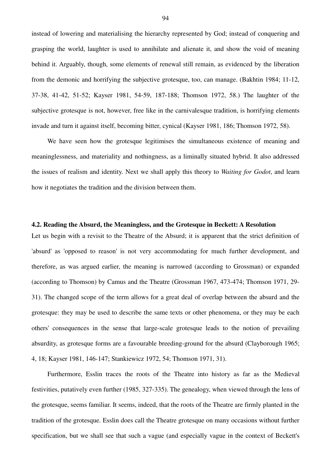instead of lowering and materialising the hierarchy represented by God; instead of conquering and grasping the world, laughter is used to annihilate and alienate it, and show the void of meaning behind it. Arguably, though, some elements of renewal still remain, as evidenced by the liberation from the demonic and horrifying the subjective grotesque, too, can manage. (Bakhtin 1984; 11-12, 37-38, 41-42, 51-52; Kayser 1981, 54-59, 187-188; Thomson 1972, 58.) The laughter of the subjective grotesque is not, however, free like in the carnivalesque tradition, is horrifying elements invade and turn it against itself, becoming bitter, cynical (Kayser 1981, 186; Thomson 1972, 58).

We have seen how the grotesque legitimises the simultaneous existence of meaning and meaninglessness, and materiality and nothingness, as a liminally situated hybrid. It also addressed the issues of realism and identity. Next we shall apply this theory to *Waiting for Godot*, and learn how it negotiates the tradition and the division between them.

# **4.2. Reading the Absurd, the Meaningless, and the Grotesque in Beckett: A Resolution**

Let us begin with a revisit to the Theatre of the Absurd; it is apparent that the strict definition of 'absurd' as 'opposed to reason' is not very accommodating for much further development, and therefore, as was argued earlier, the meaning is narrowed (according to Grossman) or expanded (according to Thomson) by Camus and the Theatre (Grossman 1967, 473-474; Thomson 1971, 29- 31). The changed scope of the term allows for a great deal of overlap between the absurd and the grotesque: they may be used to describe the same texts or other phenomena, or they may be each others' consequences in the sense that large-scale grotesque leads to the notion of prevailing absurdity, as grotesque forms are a favourable breeding-ground for the absurd (Clayborough 1965; 4, 18; Kayser 1981, 146-147; Stankiewicz 1972, 54; Thomson 1971, 31).

Furthermore, Esslin traces the roots of the Theatre into history as far as the Medieval festivities, putatively even further (1985, 327-335). The genealogy, when viewed through the lens of the grotesque, seems familiar. It seems, indeed, that the roots of the Theatre are firmly planted in the tradition of the grotesque. Esslin does call the Theatre grotesque on many occasions without further specification, but we shall see that such a vague (and especially vague in the context of Beckett's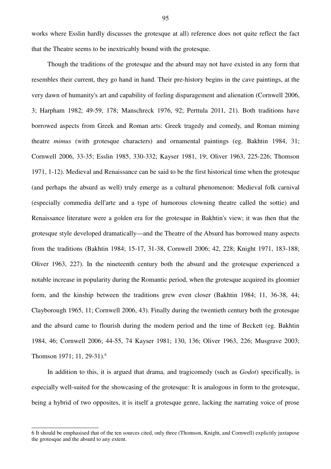works where Esslin hardly discusses the grotesque at all) reference does not quite reflect the fact that the Theatre seems to be inextricably bound with the grotesque.

Though the traditions of the grotesque and the absurd may not have existed in any form that resembles their current, they go hand in hand. Their pre-history begins in the cave paintings, at the very dawn of humanity's art and capability of feeling disparagement and alienation (Cornwell 2006, 3; Harpham 1982; 49-59, 178; Manschreck 1976, 92; Perttula 2011, 21). Both traditions have borrowed aspects from Greek and Roman arts: Greek tragedy and comedy, and Roman miming theatre *mimus* (with grotesque characters) and ornamental paintings (eg. Bakhtin 1984, 31; Cornwell 2006, 33-35; Esslin 1985, 330-332; Kayser 1981, 19; Oliver 1963, 225-226; Thomson 1971, 1-12). Medieval and Renaissance can be said to be the first historical time when the grotesque (and perhaps the absurd as well) truly emerge as a cultural phenomenon: Medieval folk carnival (especially commedia dell'arte and a type of humorous clowning theatre called the sottie) and Renaissance literature were a golden era for the grotesque in Bakhtin's view; it was then that the grotesque style developed dramatically—and the Theatre of the Absurd has borrowed many aspects from the traditions (Bakhtin 1984; 15-17, 31-38, Cornwell 2006; 42, 228; Knight 1971, 183-188; Oliver 1963, 227). In the nineteenth century both the absurd and the grotesque experienced a notable increase in popularity during the Romantic period, when the grotesque acquired its gloomier form, and the kinship between the traditions grew even closer (Bakhtin 1984; 11, 36-38, 44; Clayborough 1965, 11; Cornwell 2006, 43). Finally during the twentieth century both the grotesque and the absurd came to flourish during the modern period and the time of Beckett (eg. Bakhtin 1984, 46; Cornwell 2006; 44-55, 74 Kayser 1981; 130, 136; Oliver 1963, 226; Musgrave 2003; Thomson 1971; 11, 29-31).<sup>6</sup>

In addition to this, it is argued that drama, and tragicomedy (such as *Godot*) specifically, is especially well-suited for the showcasing of the grotesque: It is analogous in form to the grotesque, being a hybrid of two opposites, it is itself a grotesque genre, lacking the narrating voice of prose

<sup>6</sup> It should be emphasised that of the ten sources cited, only three (Thomson, Knight, and Cornwell) explicitly juxtapose the grotesque and the absurd to any extent.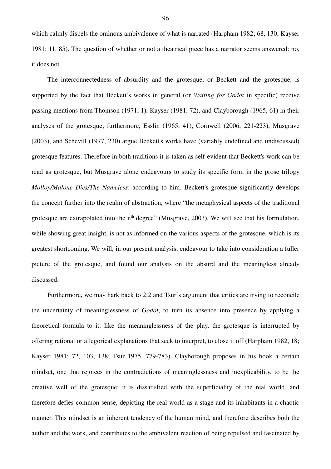which calmly dispels the ominous ambivalence of what is narrated (Harpham 1982; 68, 130; Kayser 1981; 11, 85). The question of whether or not a theatrical piece has a narrator seems answered: no, it does not.

The interconnectedness of absurdity and the grotesque, or Beckett and the grotesque, is supported by the fact that Beckett's works in general (or *Waiting for Godot* in specific) receive passing mentions from Thomson (1971, 1), Kayser (1981, 72), and Clayborough (1965, 61) in their analyses of the grotesque; furthermore, Esslin (1965, 41), Cornwell (2006, 221-223), Musgrave (2003), and Schevill (1977, 230) argue Beckett's works have (variably undefined and undiscussed) grotesque features. Therefore in both traditions it is taken as self-evident that Beckett's work can be read as grotesque, but Musgrave alone endeavours to study its specific form in the prose trilogy *Molloy/Malone Dies/The Nameless*; according to him, Beckett's grotesque significantly develops the concept further into the realm of abstraction, where "the metaphysical aspects of the traditional grotesque are extrapolated into the  $n<sup>th</sup>$  degree" (Musgrave, 2003). We will see that his formulation, while showing great insight, is not as informed on the various aspects of the grotesque, which is its greatest shortcoming. We will, in our present analysis, endeavour to take into consideration a fuller picture of the grotesque, and found our analysis on the absurd and the meaningless already discussed.

Furthermore, we may hark back to 2.2 and Tsur's argument that critics are trying to reconcile the uncertainty of meaninglessness of *Godot*, to turn its absence into presence by applying a theoretical formula to it: like the meaninglessness of the play, the grotesque is interrupted by offering rational or allegorical explanations that seek to interpret, to close it off (Harpham 1982, 18; Kayser 1981; 72, 103, 138; Tsur 1975, 779-783). Clayborough proposes in his book a certain mindset, one that rejoices in the contradictions of meaninglessness and inexplicability, to be the creative well of the grotesque: it is dissatisfied with the superficiality of the real world, and therefore defies common sense, depicting the real world as a stage and its inhabitants in a chaotic manner. This mindset is an inherent tendency of the human mind, and therefore describes both the author and the work, and contributes to the ambivalent reaction of being repulsed and fascinated by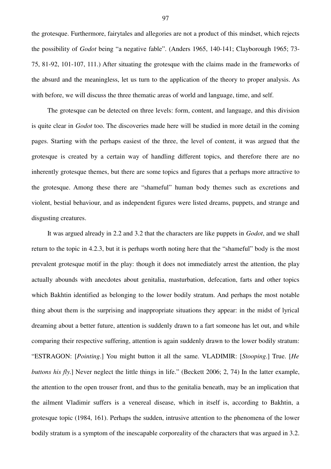the grotesque. Furthermore, fairytales and allegories are not a product of this mindset, which rejects the possibility of *Godot* being "a negative fable". (Anders 1965, 140-141; Clayborough 1965; 73- 75, 81-92, 101-107, 111.) After situating the grotesque with the claims made in the frameworks of the absurd and the meaningless, let us turn to the application of the theory to proper analysis. As with before, we will discuss the three thematic areas of world and language, time, and self.

The grotesque can be detected on three levels: form, content, and language, and this division is quite clear in *Godot* too. The discoveries made here will be studied in more detail in the coming pages. Starting with the perhaps easiest of the three, the level of content, it was argued that the grotesque is created by a certain way of handling different topics, and therefore there are no inherently grotesque themes, but there are some topics and figures that a perhaps more attractive to the grotesque. Among these there are "shameful" human body themes such as excretions and violent, bestial behaviour, and as independent figures were listed dreams, puppets, and strange and disgusting creatures.

It was argued already in 2.2 and 3.2 that the characters are like puppets in *Godot*, and we shall return to the topic in 4.2.3, but it is perhaps worth noting here that the "shameful" body is the most prevalent grotesque motif in the play: though it does not immediately arrest the attention, the play actually abounds with anecdotes about genitalia, masturbation, defecation, farts and other topics which Bakhtin identified as belonging to the lower bodily stratum. And perhaps the most notable thing about them is the surprising and inappropriate situations they appear: in the midst of lyrical dreaming about a better future, attention is suddenly drawn to a fart someone has let out, and while comparing their respective suffering, attention is again suddenly drawn to the lower bodily stratum: "ESTRAGON: [*Pointing*.] You might button it all the same. VLADIMIR: [*Stooping*.] True. [*He buttons his fly*.] Never neglect the little things in life." (Beckett 2006; 2, 74) In the latter example, the attention to the open trouser front, and thus to the genitalia beneath, may be an implication that the ailment Vladimir suffers is a venereal disease, which in itself is, according to Bakhtin, a grotesque topic (1984, 161). Perhaps the sudden, intrusive attention to the phenomena of the lower bodily stratum is a symptom of the inescapable corporeality of the characters that was argued in 3.2.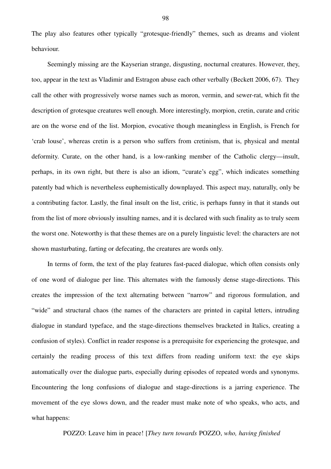The play also features other typically "grotesque-friendly" themes, such as dreams and violent behaviour.

Seemingly missing are the Kayserian strange, disgusting, nocturnal creatures. However, they, too, appear in the text as Vladimir and Estragon abuse each other verbally (Beckett 2006, 67). They call the other with progressively worse names such as moron, vermin, and sewer-rat, which fit the description of grotesque creatures well enough. More interestingly, morpion, cretin, curate and critic are on the worse end of the list. Morpion, evocative though meaningless in English, is French for 'crab louse', whereas cretin is a person who suffers from cretinism, that is, physical and mental deformity. Curate, on the other hand, is a low-ranking member of the Catholic clergy—insult, perhaps, in its own right, but there is also an idiom, "curate's egg", which indicates something patently bad which is nevertheless euphemistically downplayed. This aspect may, naturally, only be a contributing factor. Lastly, the final insult on the list, critic, is perhaps funny in that it stands out from the list of more obviously insulting names, and it is declared with such finality as to truly seem the worst one. Noteworthy is that these themes are on a purely linguistic level: the characters are not shown masturbating, farting or defecating, the creatures are words only.

In terms of form, the text of the play features fast-paced dialogue, which often consists only of one word of dialogue per line. This alternates with the famously dense stage-directions. This creates the impression of the text alternating between "narrow" and rigorous formulation, and "wide" and structural chaos (the names of the characters are printed in capital letters, intruding dialogue in standard typeface, and the stage-directions themselves bracketed in Italics, creating a confusion of styles). Conflict in reader response is a prerequisite for experiencing the grotesque, and certainly the reading process of this text differs from reading uniform text: the eye skips automatically over the dialogue parts, especially during episodes of repeated words and synonyms. Encountering the long confusions of dialogue and stage-directions is a jarring experience. The movement of the eye slows down, and the reader must make note of who speaks, who acts, and what happens:

POZZO: Leave him in peace! [*They turn towards* POZZO, *who, having finished*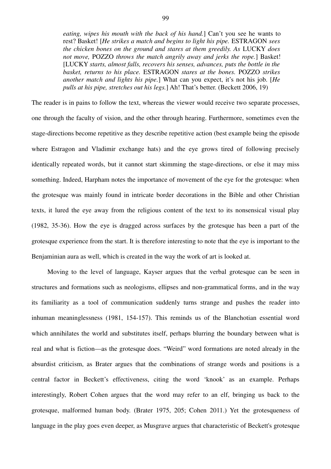*eating, wipes his mouth with the back of his hand.*] Can't you see he wants to rest? Basket! [*He strikes a match and begins to light his pipe.* ESTRAGON *sees the chicken bones on the ground and stares at them greedily. As* LUCKY *does not move,* POZZO *throws the match angrily away and jerks the rope.*] Basket! [LUCKY *starts, almost falls, recovers his senses, advances, puts the bottle in the basket, returns to his place.* ESTRAGON *stares at the bones.* POZZO *strikes another match and lights his pipe.*] What can you expect, it's not his job. [*He pulls at his pipe, stretches out his legs.*] Ah! That's better. (Beckett 2006, 19)

The reader is in pains to follow the text, whereas the viewer would receive two separate processes, one through the faculty of vision, and the other through hearing. Furthermore, sometimes even the stage-directions become repetitive as they describe repetitive action (best example being the episode where Estragon and Vladimir exchange hats) and the eye grows tired of following precisely identically repeated words, but it cannot start skimming the stage-directions, or else it may miss something. Indeed, Harpham notes the importance of movement of the eye for the grotesque: when the grotesque was mainly found in intricate border decorations in the Bible and other Christian texts, it lured the eye away from the religious content of the text to its nonsensical visual play (1982, 35-36). How the eye is dragged across surfaces by the grotesque has been a part of the grotesque experience from the start. It is therefore interesting to note that the eye is important to the Benjaminian aura as well, which is created in the way the work of art is looked at.

Moving to the level of language, Kayser argues that the verbal grotesque can be seen in structures and formations such as neologisms, ellipses and non-grammatical forms, and in the way its familiarity as a tool of communication suddenly turns strange and pushes the reader into inhuman meaninglessness (1981, 154-157). This reminds us of the Blanchotian essential word which annihilates the world and substitutes itself, perhaps blurring the boundary between what is real and what is fiction—as the grotesque does. "Weird" word formations are noted already in the absurdist criticism, as Brater argues that the combinations of strange words and positions is a central factor in Beckett's effectiveness, citing the word 'knook' as an example. Perhaps interestingly, Robert Cohen argues that the word may refer to an elf, bringing us back to the grotesque, malformed human body. (Brater 1975, 205; Cohen 2011.) Yet the grotesqueness of language in the play goes even deeper, as Musgrave argues that characteristic of Beckett's grotesque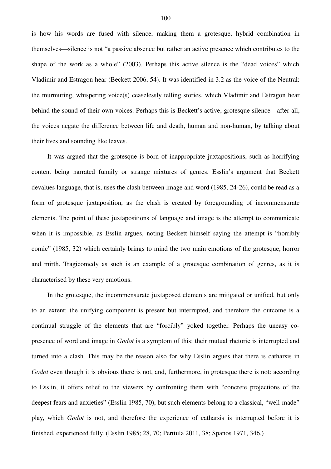is how his words are fused with silence, making them a grotesque, hybrid combination in themselves—silence is not "a passive absence but rather an active presence which contributes to the shape of the work as a whole" (2003). Perhaps this active silence is the "dead voices" which Vladimir and Estragon hear (Beckett 2006, 54). It was identified in 3.2 as the voice of the Neutral: the murmuring, whispering voice(s) ceaselessly telling stories, which Vladimir and Estragon hear behind the sound of their own voices. Perhaps this is Beckett's active, grotesque silence—after all, the voices negate the difference between life and death, human and non-human, by talking about their lives and sounding like leaves.

It was argued that the grotesque is born of inappropriate juxtapositions, such as horrifying content being narrated funnily or strange mixtures of genres. Esslin's argument that Beckett devalues language, that is, uses the clash between image and word (1985, 24-26), could be read as a form of grotesque juxtaposition, as the clash is created by foregrounding of incommensurate elements. The point of these juxtapositions of language and image is the attempt to communicate when it is impossible, as Esslin argues, noting Beckett himself saying the attempt is "horribly comic" (1985, 32) which certainly brings to mind the two main emotions of the grotesque, horror and mirth. Tragicomedy as such is an example of a grotesque combination of genres, as it is characterised by these very emotions.

In the grotesque, the incommensurate juxtaposed elements are mitigated or unified, but only to an extent: the unifying component is present but interrupted, and therefore the outcome is a continual struggle of the elements that are "forcibly" yoked together. Perhaps the uneasy copresence of word and image in *Godot* is a symptom of this: their mutual rhetoric is interrupted and turned into a clash. This may be the reason also for why Esslin argues that there is catharsis in *Godot* even though it is obvious there is not, and, furthermore, in grotesque there is not: according to Esslin, it offers relief to the viewers by confronting them with "concrete projections of the deepest fears and anxieties" (Esslin 1985, 70), but such elements belong to a classical, "well-made" play, which *Godot* is not, and therefore the experience of catharsis is interrupted before it is finished, experienced fully. (Esslin 1985; 28, 70; Perttula 2011, 38; Spanos 1971, 346.)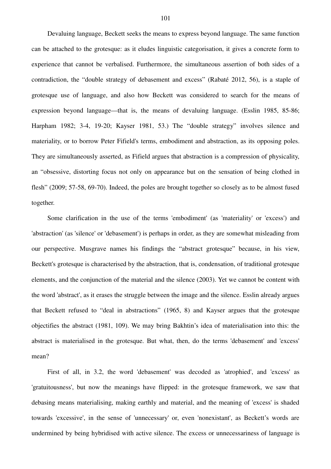Devaluing language, Beckett seeks the means to express beyond language. The same function can be attached to the grotesque: as it eludes linguistic categorisation, it gives a concrete form to experience that cannot be verbalised. Furthermore, the simultaneous assertion of both sides of a contradiction, the "double strategy of debasement and excess" (Rabaté 2012, 56), is a staple of grotesque use of language, and also how Beckett was considered to search for the means of expression beyond language—that is, the means of devaluing language. (Esslin 1985, 85-86; Harpham 1982; 3-4, 19-20; Kayser 1981, 53.) The "double strategy" involves silence and materiality, or to borrow Peter Fifield's terms, embodiment and abstraction, as its opposing poles. They are simultaneously asserted, as Fifield argues that abstraction is a compression of physicality, an "obsessive, distorting focus not only on appearance but on the sensation of being clothed in flesh" (2009; 57-58, 69-70). Indeed, the poles are brought together so closely as to be almost fused together.

Some clarification in the use of the terms 'embodiment' (as 'materiality' or 'excess') and 'abstraction' (as 'silence' or 'debasement') is perhaps in order, as they are somewhat misleading from our perspective. Musgrave names his findings the "abstract grotesque" because, in his view, Beckett's grotesque is characterised by the abstraction, that is, condensation, of traditional grotesque elements, and the conjunction of the material and the silence (2003). Yet we cannot be content with the word 'abstract', as it erases the struggle between the image and the silence. Esslin already argues that Beckett refused to "deal in abstractions" (1965, 8) and Kayser argues that the grotesque objectifies the abstract (1981, 109). We may bring Bakhtin's idea of materialisation into this: the abstract is materialised in the grotesque. But what, then, do the terms 'debasement' and 'excess' mean?

First of all, in 3.2, the word 'debasement' was decoded as 'atrophied', and 'excess' as 'gratuitousness', but now the meanings have flipped: in the grotesque framework, we saw that debasing means materialising, making earthly and material, and the meaning of 'excess' is shaded towards 'excessive', in the sense of 'unnecessary' or, even 'nonexistant', as Beckett's words are undermined by being hybridised with active silence. The excess or unnecessariness of language is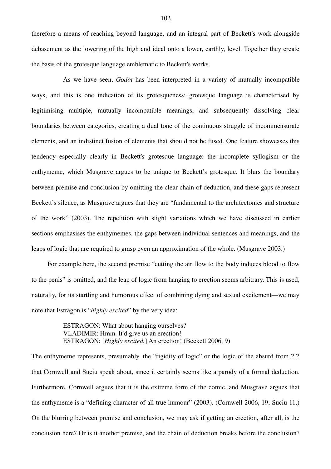therefore a means of reaching beyond language, and an integral part of Beckett's work alongside debasement as the lowering of the high and ideal onto a lower, earthly, level. Together they create the basis of the grotesque language emblematic to Beckett's works.

As we have seen, *Godot* has been interpreted in a variety of mutually incompatible ways, and this is one indication of its grotesqueness: grotesque language is characterised by legitimising multiple, mutually incompatible meanings, and subsequently dissolving clear boundaries between categories, creating a dual tone of the continuous struggle of incommensurate elements, and an indistinct fusion of elements that should not be fused. One feature showcases this tendency especially clearly in Beckett's grotesque language: the incomplete syllogism or the enthymeme, which Musgrave argues to be unique to Beckett's grotesque. It blurs the boundary between premise and conclusion by omitting the clear chain of deduction, and these gaps represent Beckett's silence, as Musgrave argues that they are "fundamental to the architectonics and structure of the work" (2003). The repetition with slight variations which we have discussed in earlier sections emphasises the enthymemes, the gaps between individual sentences and meanings, and the leaps of logic that are required to grasp even an approximation of the whole. (Musgrave 2003.)

For example here, the second premise "cutting the air flow to the body induces blood to flow to the penis" is omitted, and the leap of logic from hanging to erection seems arbitrary. This is used, naturally, for its startling and humorous effect of combining dying and sexual excitement—we may note that Estragon is "*highly excited*" by the very idea:

> ESTRAGON: What about hanging ourselves? VLADIMIR: Hmm. It'd give us an erection! ESTRAGON: [*Highly excited.*] An erection! (Beckett 2006, 9)

The enthymeme represents, presumably, the "rigidity of logic" or the logic of the absurd from 2.2 that Cornwell and Suciu speak about, since it certainly seems like a parody of a formal deduction. Furthermore, Cornwell argues that it is the extreme form of the comic, and Musgrave argues that the enthymeme is a "defining character of all true humour" (2003). (Cornwell 2006, 19; Suciu 11.) On the blurring between premise and conclusion, we may ask if getting an erection, after all, is the conclusion here? Or is it another premise, and the chain of deduction breaks before the conclusion?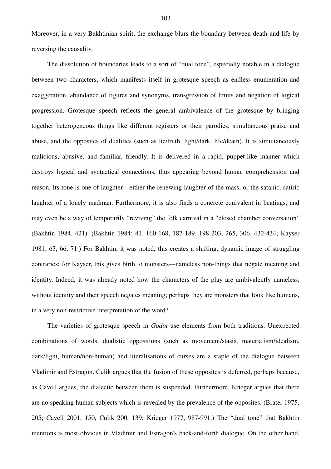Moreover, in a very Bakhtinian spirit, the exchange blurs the boundary between death and life by reversing the causality.

The dissolution of boundaries leads to a sort of "dual tone", especially notable in a dialogue between two characters, which manifests itself in grotesque speech as endless enumeration and exaggeration, abundance of figures and synonyms, transgression of limits and negation of logical progression. Grotesque speech reflects the general ambivalence of the grotesque by bringing together heterogeneous things like different registers or their parodies, simultaneous praise and abuse, and the opposites of dualities (such as lie/truth, light/dark, life/death). It is simultaneously malicious, abusive, and familiar, friendly. It is delivered in a rapid, puppet-like manner which destroys logical and syntactical connections, thus appearing beyond human comprehension and reason. Its tone is one of laughter—either the renewing laughter of the mass, or the satanic, satiric laughter of a lonely madman. Furthermore, it is also finds a concrete equivalent in beatings, and may even be a way of temporarily "reviving" the folk carnival in a "closed chamber conversation" (Bakhtin 1984, 421). (Bakhtin 1984; 41, 160-168, 187-189, 198-203, 265, 306, 432-434; Kayser 1981; 63, 66, 71.) For Bakhtin, it was noted, this creates a shifting, dynamic image of struggling contraries; for Kayser, this gives birth to monsters—nameless non-things that negate meaning and identity. Indeed, it was already noted how the characters of the play are ambivalently nameless, without identity and their speech negates meaning; perhaps they are monsters that look like humans, in a very non-restrictive interpretation of the word?

The varieties of grotesque speech in *Godot* use elements from both traditions. Unexpected combinations of words, dualistic oppositions (such as movement/stasis, materialism/idealism, dark/light, human/non-human) and literalisations of curses are a staple of the dialogue between Vladimir and Estragon. Culik argues that the fusion of these opposites is deferred, perhaps because, as Cavell argues, the dialectic between them is suspended. Furthermore, Krieger argues that there are no speaking human subjects which is revealed by the prevalence of the opposites. (Brater 1975, 205; Cavell 2001, 150, Culik 200, 139; Krieger 1977, 987-991.) The "dual tone" that Bakhtin mentions is most obvious in Vladimir and Estragon's back-and-forth dialogue. On the other hand,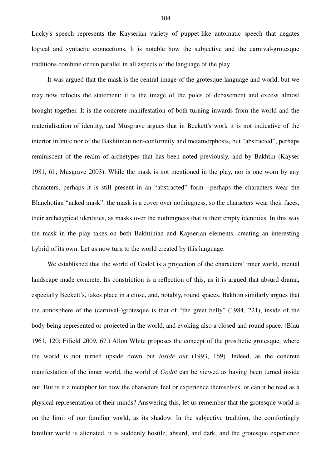Lucky's speech represents the Kayserian variety of puppet-like automatic speech that negates logical and syntactic connections. It is notable how the subjective and the carnival-grotesque traditions combine or run parallel in all aspects of the language of the play.

It was argued that the mask is the central image of the grotesque language and world, but we may now refocus the statement: it is the image of the poles of debasement and excess almost brought together. It is the concrete manifestation of both turning inwards from the world and the materialisation of identity, and Musgrave argues that in Beckett's work it is not indicative of the interior infinite nor of the Bakhtinian non-conformity and metamorphosis, but "abstracted", perhaps reminiscent of the realm of archetypes that has been noted previously, and by Bakhtin (Kayser 1981, 61; Musgrave 2003). While the mask is not mentioned in the play, nor is one worn by any characters, perhaps it is still present in an "abstracted" form—perhaps the characters wear the Blanchotian "naked mask": the mask is a cover over nothingness, so the characters wear their faces, their archetypical identities, as masks over the nothingness that is their empty identities. In this way the mask in the play takes on both Bakhtinian and Kayserian elements, creating an interesting hybrid of its own. Let us now turn to the world created by this language.

We established that the world of Godot is a projection of the characters' inner world, mental landscape made concrete. Its constriction is a reflection of this, as it is argued that absurd drama, especially Beckett's, takes place in a close, and, notably, round spaces. Bakhtin similarly argues that the atmosphere of the (carnival-)grotesque is that of "the great belly" (1984, 221), inside of the body being represented or projected in the world, and evoking also a closed and round space. (Blau 1961, 120; Fifield 2009, 67.) Allon White proposes the concept of the prosthetic grotesque, where the world is not turned upside down but *inside out* (1993, 169). Indeed, as the concrete manifestation of the inner world, the world of *Godot* can be viewed as having been turned inside out. But is it a metaphor for how the characters feel or experience themselves, or can it be read as a physical representation of their minds? Answering this, let us remember that the grotesque world is on the limit of our familiar world, as its shadow. In the subjective tradition, the comfortingly familiar world is alienated, it is suddenly hostile, absurd, and dark, and the grotesque experience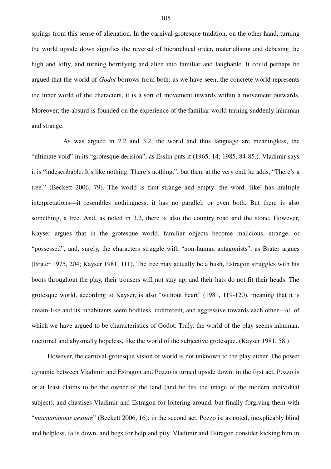springs from this sense of alienation. In the carnival-grotesque tradition, on the other hand, turning the world upside down signifies the reversal of hierarchical order, materialising and debasing the high and lofty, and turning horrifying and alien into familiar and laughable. It could perhaps be argued that the world of *Godot* borrows from both: as we have seen, the concrete world represents the inner world of the characters, it is a sort of movement inwards within a movement outwards. Moreover, the absurd is founded on the experience of the familiar world turning suddenly inhuman and strange.

As was argued in 2.2 and 3.2, the world and thus language are meaningless, the "ultimate void" in its "grotesque derision", as Esslin puts it (1965, 14; 1985, 84-85.). Vladimir says it is "indescribable. It's like nothing. There's nothing.", but then, at the very end, he adds, "There's a tree." (Beckett 2006, 79). The world is first strange and empty: the word 'like' has multiple interpretations—it resembles nothingness, it has no parallel, or even both. But there is also something, a tree. And, as noted in 3.2, there is also the country road and the stone. However, Kayser argues that in the grotesque world, familiar objects become malicious, strange, or "possessed", and, surely, the characters struggle with "non-human antagonists", as Brater argues (Brater 1975, 204; Kayser 1981, 111). The tree may actually be a bush, Estragon struggles with his boots throughout the play, their trousers will not stay up, and their hats do not fit their heads. The grotesque world, according to Kayser, is also "without heart" (1981, 119-120), meaning that it is dream-like and its inhabitants seem bodiless, indifferent, and aggressive towards each other—all of which we have argued to be characteristics of Godot. Truly, the world of the play seems inhuman, nocturnal and abysmally hopeless, like the world of the subjective grotesque. (Kayser 1981, 58.)

However, the carnival-grotesque vision of world is not unknown to the play either. The power dynamic between Vladimir and Estragon and Pozzo is turned upside down: in the first act, Pozzo is or at least claims to be the owner of the land (and he fits the image of the modern individual subject), and chastises Vladimir and Estragon for loitering around, but finally forgiving them with "*magnanimous gesture*" (Beckett 2006, 16); in the second act, Pozzo is, as noted, inexplicably blind and helpless, falls down, and begs for help and pity. Vladimir and Estragon consider kicking him in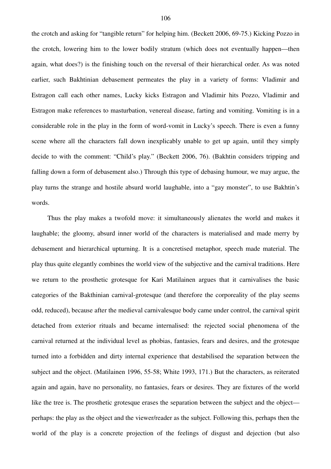the crotch and asking for "tangible return" for helping him. (Beckett 2006, 69-75.) Kicking Pozzo in the crotch, lowering him to the lower bodily stratum (which does not eventually happen—then again, what does?) is the finishing touch on the reversal of their hierarchical order. As was noted earlier, such Bakhtinian debasement permeates the play in a variety of forms: Vladimir and Estragon call each other names, Lucky kicks Estragon and Vladimir hits Pozzo, Vladimir and Estragon make references to masturbation, venereal disease, farting and vomiting. Vomiting is in a considerable role in the play in the form of word-vomit in Lucky's speech. There is even a funny scene where all the characters fall down inexplicably unable to get up again, until they simply decide to with the comment: "Child's play." (Beckett 2006, 76). (Bakhtin considers tripping and falling down a form of debasement also.) Through this type of debasing humour, we may argue, the play turns the strange and hostile absurd world laughable, into a "gay monster", to use Bakhtin's words.

 Thus the play makes a twofold move: it simultaneously alienates the world and makes it laughable; the gloomy, absurd inner world of the characters is materialised and made merry by debasement and hierarchical upturning. It is a concretised metaphor, speech made material. The play thus quite elegantly combines the world view of the subjective and the carnival traditions. Here we return to the prosthetic grotesque for Kari Matilainen argues that it carnivalises the basic categories of the Bakthinian carnival-grotesque (and therefore the corporeality of the play seems odd, reduced), because after the medieval carnivalesque body came under control, the carnival spirit detached from exterior rituals and became internalised: the rejected social phenomena of the carnival returned at the individual level as phobias, fantasies, fears and desires, and the grotesque turned into a forbidden and dirty internal experience that destabilised the separation between the subject and the object. (Matilainen 1996, 55-58; White 1993, 171.) But the characters, as reiterated again and again, have no personality, no fantasies, fears or desires. They are fixtures of the world like the tree is. The prosthetic grotesque erases the separation between the subject and the object perhaps: the play as the object and the viewer/reader as the subject. Following this, perhaps then the world of the play is a concrete projection of the feelings of disgust and dejection (but also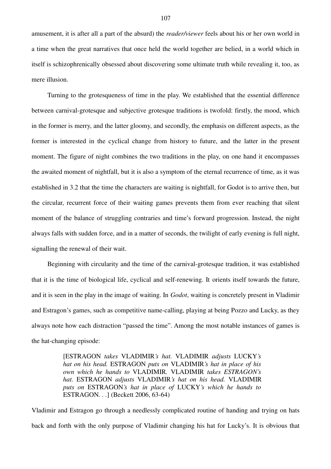amusement, it is after all a part of the absurd) the *reader/viewer* feels about his or her own world in a time when the great narratives that once held the world together are belied, in a world which in itself is schizophrenically obsessed about discovering some ultimate truth while revealing it, too, as mere illusion.

Turning to the grotesqueness of time in the play. We established that the essential difference between carnival-grotesque and subjective grotesque traditions is twofold: firstly, the mood, which in the former is merry, and the latter gloomy, and secondly, the emphasis on different aspects, as the former is interested in the cyclical change from history to future, and the latter in the present moment. The figure of night combines the two traditions in the play, on one hand it encompasses the awaited moment of nightfall, but it is also a symptom of the eternal recurrence of time, as it was established in 3.2 that the time the characters are waiting is nightfall, for Godot is to arrive then, but the circular, recurrent force of their waiting games prevents them from ever reaching that silent moment of the balance of struggling contraries and time's forward progression. Instead, the night always falls with sudden force, and in a matter of seconds, the twilight of early evening is full night, signalling the renewal of their wait.

Beginning with circularity and the time of the carnival-grotesque tradition, it was established that it is the time of biological life, cyclical and self-renewing. It orients itself towards the future, and it is seen in the play in the image of waiting. In *Godot*, waiting is concretely present in Vladimir and Estragon's games, such as competitive name-calling, playing at being Pozzo and Lucky, as they always note how each distraction "passed the time". Among the most notable instances of games is the hat-changing episode:

> [ESTRAGON *takes* VLADIMIR*'s hat.* VLADIMIR *adjusts* LUCKY*'s hat on his head.* ESTRAGON *puts on* VLADIMIR*'s hat in place of his own which he hands to* VLADIMIR*.* VLADIMIR *takes ESTRAGON's hat.* ESTRAGON *adjusts* VLADIMIR*'s hat on his head.* VLADIMIR *puts on* ESTRAGON*'s hat in place of* LUCKY*'s which he hands to* ESTRAGON*. . .*] (Beckett 2006, 63-64)

Vladimir and Estragon go through a needlessly complicated routine of handing and trying on hats back and forth with the only purpose of Vladimir changing his hat for Lucky's. It is obvious that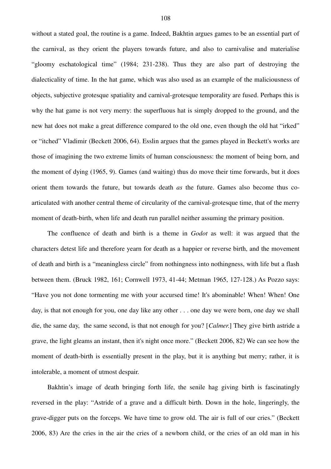without a stated goal, the routine is a game. Indeed, Bakhtin argues games to be an essential part of the carnival, as they orient the players towards future, and also to carnivalise and materialise "gloomy eschatological time" (1984; 231-238). Thus they are also part of destroying the dialecticality of time. In the hat game, which was also used as an example of the maliciousness of objects, subjective grotesque spatiality and carnival-grotesque temporality are fused. Perhaps this is why the hat game is not very merry: the superfluous hat is simply dropped to the ground, and the new hat does not make a great difference compared to the old one, even though the old hat "irked" or "itched" Vladimir (Beckett 2006, 64). Esslin argues that the games played in Beckett's works are those of imagining the two extreme limits of human consciousness: the moment of being born, and the moment of dying (1965, 9). Games (and waiting) thus do move their time forwards, but it does orient them towards the future, but towards death *as* the future. Games also become thus coarticulated with another central theme of circularity of the carnival-grotesque time, that of the merry moment of death-birth, when life and death run parallel neither assuming the primary position.

The confluence of death and birth is a theme in *Godot* as well: it was argued that the characters detest life and therefore yearn for death as a happier or reverse birth, and the movement of death and birth is a "meaningless circle" from nothingness into nothingness, with life but a flash between them. (Bruck 1982, 161; Cornwell 1973, 41-44; Metman 1965, 127-128.) As Pozzo says: "Have you not done tormenting me with your accursed time! It's abominable! When! When! One day, is that not enough for you, one day like any other . . . one day we were born, one day we shall die, the same day, the same second, is that not enough for you? [*Calmer*.] They give birth astride a grave, the light gleams an instant, then it's night once more." (Beckett 2006, 82) We can see how the moment of death-birth is essentially present in the play, but it is anything but merry; rather, it is intolerable, a moment of utmost despair.

Bakhtin's image of death bringing forth life, the senile hag giving birth is fascinatingly reversed in the play: "Astride of a grave and a difficult birth. Down in the hole, lingeringly, the grave-digger puts on the forceps. We have time to grow old. The air is full of our cries." (Beckett 2006, 83) Are the cries in the air the cries of a newborn child, or the cries of an old man in his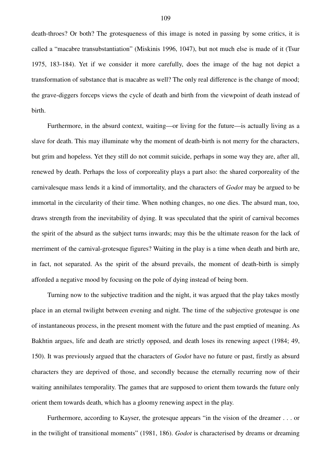death-throes? Or both? The grotesqueness of this image is noted in passing by some critics, it is called a "macabre transubstantiation" (Miskinis 1996, 1047), but not much else is made of it (Tsur 1975, 183-184). Yet if we consider it more carefully, does the image of the hag not depict a transformation of substance that is macabre as well? The only real difference is the change of mood; the grave-diggers forceps views the cycle of death and birth from the viewpoint of death instead of birth.

Furthermore, in the absurd context, waiting—or living for the future—is actually living as a slave for death. This may illuminate why the moment of death-birth is not merry for the characters, but grim and hopeless. Yet they still do not commit suicide, perhaps in some way they are, after all, renewed by death. Perhaps the loss of corporeality plays a part also: the shared corporeality of the carnivalesque mass lends it a kind of immortality, and the characters of *Godot* may be argued to be immortal in the circularity of their time. When nothing changes, no one dies. The absurd man, too, draws strength from the inevitability of dying. It was speculated that the spirit of carnival becomes the spirit of the absurd as the subject turns inwards; may this be the ultimate reason for the lack of merriment of the carnival-grotesque figures? Waiting in the play is a time when death and birth are, in fact, not separated. As the spirit of the absurd prevails, the moment of death-birth is simply afforded a negative mood by focusing on the pole of dying instead of being born.

Turning now to the subjective tradition and the night, it was argued that the play takes mostly place in an eternal twilight between evening and night. The time of the subjective grotesque is one of instantaneous process, in the present moment with the future and the past emptied of meaning. As Bakhtin argues, life and death are strictly opposed, and death loses its renewing aspect (1984; 49, 150). It was previously argued that the characters of *Godot* have no future or past, firstly as absurd characters they are deprived of those, and secondly because the eternally recurring now of their waiting annihilates temporality. The games that are supposed to orient them towards the future only orient them towards death, which has a gloomy renewing aspect in the play.

Furthermore, according to Kayser, the grotesque appears "in the vision of the dreamer . . . or in the twilight of transitional moments" (1981, 186). *Godot* is characterised by dreams or dreaming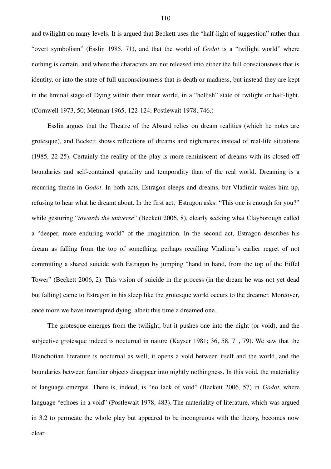and twilightt on many levels. It is argued that Beckett uses the "half-light of suggestion" rather than "overt symbolism" (Esslin 1985, 71), and that the world of *Godot* is a "twilight world" where nothing is certain, and where the characters are not released into either the full consciousness that is identity, or into the state of full unconsciousness that is death or madness, but instead they are kept in the liminal stage of Dying within their inner world, in a "hellish" state of twilight or half-light. (Cornwell 1973, 50; Metman 1965, 122-124; Postlewait 1978, 746.)

Esslin argues that the Theatre of the Absurd relies on dream realities (which he notes are grotesque), and Beckett shows reflections of dreams and nightmares instead of real-life situations (1985, 22-25). Certainly the reality of the play is more reminiscent of dreams with its closed-off boundaries and self-contained spatiality and temporality than of the real world. Dreaming is a recurring theme in *Godot*. In both acts, Estragon sleeps and dreams, but Vladimir wakes him up, refusing to hear what he dreamt about. In the first act, Estragon asks: "This one is enough for you?" while gesturing "*towards the universe*" (Beckett 2006, 8), clearly seeking what Clayborough called a "deeper, more enduring world" of the imagination. In the second act, Estragon describes his dream as falling from the top of something, perhaps recalling Vladimir's earlier regret of not committing a shared suicide with Estragon by jumping "hand in hand, from the top of the Eiffel Tower" (Beckett 2006, 2). This vision of suicide in the process (in the dream he was not yet dead but falling) came to Estragon in his sleep like the grotesque world occurs to the dreamer. Moreover, once more we have interrupted dying, albeit this time a dreamed one.

The grotesque emerges from the twilight, but it pushes one into the night (or void), and the subjective grotesque indeed is nocturnal in nature (Kayser 1981; 36, 58, 71, 79). We saw that the Blanchotian literature is nocturnal as well, it opens a void between itself and the world, and the boundaries between familiar objects disappear into nightly nothingness. In this void, the materiality of language emerges. There is, indeed, is "no lack of void" (Beckett 2006, 57) in *Godot*, where language "echoes in a void" (Postlewait 1978, 483). The materiality of literature, which was argued in 3.2 to permeate the whole play but appeared to be incongruous with the theory, becomes now clear.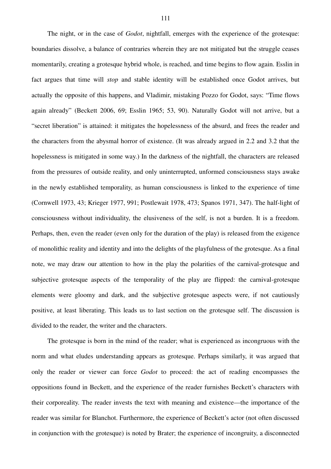The night, or in the case of *Godot*, nightfall, emerges with the experience of the grotesque: boundaries dissolve, a balance of contraries wherein they are not mitigated but the struggle ceases momentarily, creating a grotesque hybrid whole, is reached, and time begins to flow again. Esslin in fact argues that time will *stop* and stable identity will be established once Godot arrives, but actually the opposite of this happens, and Vladimir, mistaking Pozzo for Godot, says: "Time flows again already" (Beckett 2006, 69; Esslin 1965; 53, 90). Naturally Godot will not arrive, but a "secret liberation" is attained: it mitigates the hopelessness of the absurd, and frees the reader and the characters from the abysmal horror of existence. (It was already argued in 2.2 and 3.2 that the hopelessness is mitigated in some way.) In the darkness of the nightfall, the characters are released from the pressures of outside reality, and only uninterrupted, unformed consciousness stays awake in the newly established temporality, as human consciousness is linked to the experience of time (Cornwell 1973, 43; Krieger 1977, 991; Postlewait 1978, 473; Spanos 1971, 347). The half-light of consciousness without individuality, the elusiveness of the self, is not a burden. It is a freedom. Perhaps, then, even the reader (even only for the duration of the play) is released from the exigence of monolithic reality and identity and into the delights of the playfulness of the grotesque. As a final note, we may draw our attention to how in the play the polarities of the carnival-grotesque and subjective grotesque aspects of the temporality of the play are flipped: the carnival-grotesque elements were gloomy and dark, and the subjective grotesque aspects were, if not cautiously positive, at least liberating. This leads us to last section on the grotesque self. The discussion is divided to the reader, the writer and the characters.

The grotesque is born in the mind of the reader; what is experienced as incongruous with the norm and what eludes understanding appears as grotesque. Perhaps similarly, it was argued that only the reader or viewer can force *Godot* to proceed: the act of reading encompasses the oppositions found in Beckett, and the experience of the reader furnishes Beckett's characters with their corporeality. The reader invests the text with meaning and existence—the importance of the reader was similar for Blanchot. Furthermore, the experience of Beckett's actor (not often discussed in conjunction with the grotesque) is noted by Brater; the experience of incongruity, a disconnected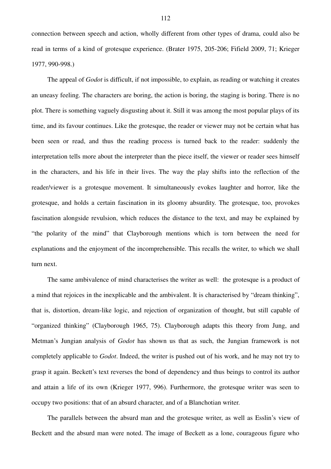connection between speech and action, wholly different from other types of drama, could also be read in terms of a kind of grotesque experience. (Brater 1975, 205-206; Fifield 2009, 71; Krieger 1977, 990-998.)

The appeal of *Godot* is difficult, if not impossible, to explain, as reading or watching it creates an uneasy feeling. The characters are boring, the action is boring, the staging is boring. There is no plot. There is something vaguely disgusting about it. Still it was among the most popular plays of its time, and its favour continues. Like the grotesque, the reader or viewer may not be certain what has been seen or read, and thus the reading process is turned back to the reader: suddenly the interpretation tells more about the interpreter than the piece itself, the viewer or reader sees himself in the characters, and his life in their lives. The way the play shifts into the reflection of the reader/viewer is a grotesque movement. It simultaneously evokes laughter and horror, like the grotesque, and holds a certain fascination in its gloomy absurdity. The grotesque, too, provokes fascination alongside revulsion, which reduces the distance to the text, and may be explained by "the polarity of the mind" that Clayborough mentions which is torn between the need for explanations and the enjoyment of the incomprehensible. This recalls the writer, to which we shall turn next.

The same ambivalence of mind characterises the writer as well: the grotesque is a product of a mind that rejoices in the inexplicable and the ambivalent. It is characterised by "dream thinking", that is, distortion, dream-like logic, and rejection of organization of thought, but still capable of "organized thinking" (Clayborough 1965, 75). Clayborough adapts this theory from Jung, and Metman's Jungian analysis of *Godot* has shown us that as such, the Jungian framework is not completely applicable to *Godot*. Indeed, the writer is pushed out of his work, and he may not try to grasp it again. Beckett's text reverses the bond of dependency and thus beings to control its author and attain a life of its own (Krieger 1977, 996). Furthermore, the grotesque writer was seen to occupy two positions: that of an absurd character, and of a Blanchotian writer.

The parallels between the absurd man and the grotesque writer, as well as Esslin's view of Beckett and the absurd man were noted. The image of Beckett as a lone, courageous figure who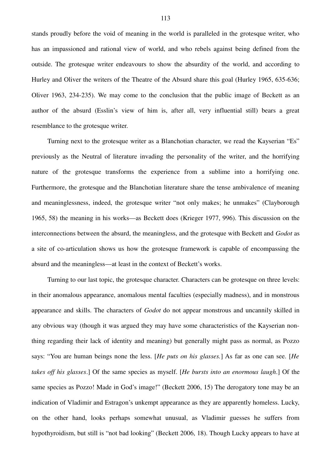stands proudly before the void of meaning in the world is paralleled in the grotesque writer, who has an impassioned and rational view of world, and who rebels against being defined from the outside. The grotesque writer endeavours to show the absurdity of the world, and according to Hurley and Oliver the writers of the Theatre of the Absurd share this goal (Hurley 1965, 635-636; Oliver 1963, 234-235). We may come to the conclusion that the public image of Beckett as an author of the absurd (Esslin's view of him is, after all, very influential still) bears a great resemblance to the grotesque writer.

Turning next to the grotesque writer as a Blanchotian character, we read the Kayserian "Es" previously as the Neutral of literature invading the personality of the writer, and the horrifying nature of the grotesque transforms the experience from a sublime into a horrifying one. Furthermore, the grotesque and the Blanchotian literature share the tense ambivalence of meaning and meaninglessness, indeed, the grotesque writer "not only makes; he unmakes" (Clayborough 1965, 58) the meaning in his works—as Beckett does (Krieger 1977, 996). This discussion on the interconnections between the absurd, the meaningless, and the grotesque with Beckett and *Godot* as a site of co-articulation shows us how the grotesque framework is capable of encompassing the absurd and the meaningless—at least in the context of Beckett's works.

Turning to our last topic, the grotesque character. Characters can be grotesque on three levels: in their anomalous appearance, anomalous mental faculties (especially madness), and in monstrous appearance and skills. The characters of *Godot* do not appear monstrous and uncannily skilled in any obvious way (though it was argued they may have some characteristics of the Kayserian nonthing regarding their lack of identity and meaning) but generally might pass as normal, as Pozzo says: "You are human beings none the less. [*He puts on his glasses.*] As far as one can see. [*He takes off his glasses*.] Of the same species as myself. [*He bursts into an enormous laugh*.] Of the same species as Pozzo! Made in God's image!" (Beckett 2006, 15) The derogatory tone may be an indication of Vladimir and Estragon's unkempt appearance as they are apparently homeless. Lucky, on the other hand, looks perhaps somewhat unusual, as Vladimir guesses he suffers from hypothyroidism, but still is "not bad looking" (Beckett 2006, 18). Though Lucky appears to have at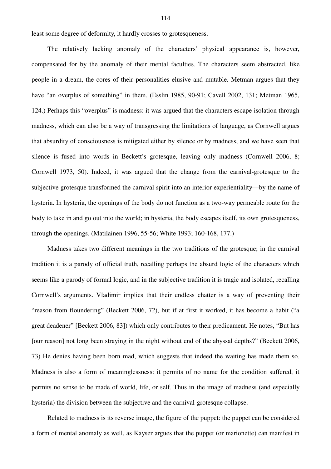least some degree of deformity, it hardly crosses to grotesqueness.

The relatively lacking anomaly of the characters' physical appearance is, however, compensated for by the anomaly of their mental faculties. The characters seem abstracted, like people in a dream, the cores of their personalities elusive and mutable. Metman argues that they have "an overplus of something" in them. (Esslin 1985, 90-91; Cavell 2002, 131; Metman 1965, 124.) Perhaps this "overplus" is madness: it was argued that the characters escape isolation through madness, which can also be a way of transgressing the limitations of language, as Cornwell argues that absurdity of consciousness is mitigated either by silence or by madness, and we have seen that silence is fused into words in Beckett's grotesque, leaving only madness (Cornwell 2006, 8; Cornwell 1973, 50). Indeed, it was argued that the change from the carnival-grotesque to the subjective grotesque transformed the carnival spirit into an interior experientiality—by the name of hysteria. In hysteria, the openings of the body do not function as a two-way permeable route for the body to take in and go out into the world; in hysteria, the body escapes itself, its own grotesqueness, through the openings. (Matilainen 1996, 55-56; White 1993; 160-168, 177.)

Madness takes two different meanings in the two traditions of the grotesque; in the carnival tradition it is a parody of official truth, recalling perhaps the absurd logic of the characters which seems like a parody of formal logic, and in the subjective tradition it is tragic and isolated, recalling Cornwell's arguments. Vladimir implies that their endless chatter is a way of preventing their "reason from floundering" (Beckett 2006, 72), but if at first it worked, it has become a habit ("a great deadener" [Beckett 2006, 83]) which only contributes to their predicament. He notes, "But has [our reason] not long been straying in the night without end of the abyssal depths?" (Beckett 2006, 73) He denies having been born mad, which suggests that indeed the waiting has made them so. Madness is also a form of meaninglessness: it permits of no name for the condition suffered, it permits no sense to be made of world, life, or self. Thus in the image of madness (and especially hysteria) the division between the subjective and the carnival-grotesque collapse.

Related to madness is its reverse image, the figure of the puppet: the puppet can be considered a form of mental anomaly as well, as Kayser argues that the puppet (or marionette) can manifest in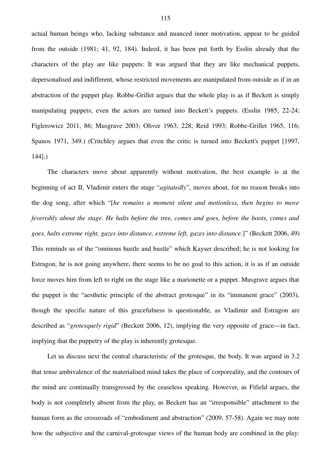actual human beings who, lacking substance and nuanced inner motivation, appear to be guided from the outside (1981; 41, 92, 184). Indeed, it has been put forth by Esslin already that the characters of the play are like puppets: It was argued that they are like mechanical puppets, depersonalised and indifferent, whose restricted movements are manipulated from outside as if in an abstraction of the puppet play. Robbe-Grillet argues that the whole play is as if Beckett is simply manipulating puppets; even the actors are turned into Beckett's puppets. (Esslin 1985, 22-24; Figlerowicz 2011, 86; Musgrave 2003; Oliver 1963, 228; Reid 1993; Robbe-Grillet 1965, 116; Spanos 1971, 349.) (Critchley argues that even the critic is turned into Beckett's puppet [1997, 144].)

The characters move about apparently without motivation, the best example is at the beginning of act II, Vladimir enters the stage "*agitatedly*", moves about, for no reason breaks into the dog song, after which "[*he remains a moment silent and motionless, then begins to move feverishly about the stage. He halts before the tree, comes and goes, before the boots, comes and goes, halts extreme right, gazes into distance, extreme left, gazes into distance.*]" (Beckett 2006, 49) This reminds us of the "ominous hustle and bustle" which Kayser described; he is not looking for Estragon, he is not going anywhere, there seems to be no goal to this action, it is as if an outside force moves him from left to right on the stage like a marionette or a puppet. Musgrave argues that the puppet is the "aesthetic principle of the abstract grotesque" in its "immanent grace" (2003), though the specific nature of this gracefulness is questionable, as Vladimir and Estragon are described as "*grotesquely rigid*" (Beckett 2006, 12), implying the very opposite of grace—in fact, implying that the puppetry of the play is inherently grotesque.

Let us discuss next the central characteristic of the grotesque, the body. It was argued in 3.2 that tense ambivalence of the materialised mind takes the place of corporeality, and the contours of the mind are continually transgressed by the ceaseless speaking. However, as Fifield argues, the body is not completely absent from the play, as Beckett has an "irresponsible" attachment to the human form as the crossroads of "embodiment and abstraction" (2009, 57-58). Again we may note how the subjective and the carnival-grotesque views of the human body are combined in the play: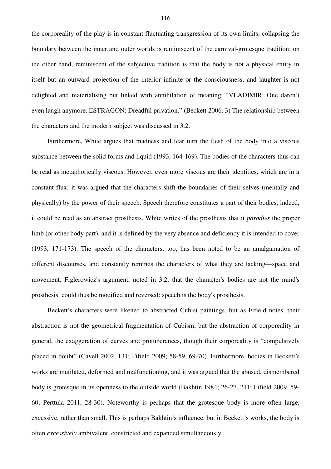the corporeality of the play is in constant fluctuating transgression of its own limits, collapsing the boundary between the inner and outer worlds is reminiscent of the carnival-grotesque tradition; on the other hand, reminiscent of the subjective tradition is that the body is not a physical entity in itself but an outward projection of the interior infinite or the consciousness, and laughter is not delighted and materialising but linked with annihilation of meaning: "VLADIMIR: One daren't even laugh anymore. ESTRAGON: Dreadful privation." (Beckett 2006, 3) The relationship between the characters and the modern subject was discussed in 3.2.

Furthermore, White argues that madness and fear turn the flesh of the body into a viscous substance between the solid forms and liquid (1993, 164-169). The bodies of the characters thus can be read as metaphorically viscous. However, even more viscous are their identities, which are in a constant flux: it was argued that the characters shift the boundaries of their selves (mentally and physically) by the power of their speech. Speech therefore constitutes a part of their bodies, indeed, it could be read as an abstract prosthesis. White writes of the prosthesis that it *parodies* the proper limb (or other body part), and it is defined by the very absence and deficiency it is intended to cover (1993, 171-173). The speech of the characters, too, has been noted to be an amalgamation of different discourses, and constantly reminds the characters of what they are lacking—space and movement. Figlerowicz's argument, noted in 3.2, that the character's bodies are not the mind's prosthesis, could thus be modified and reversed: speech is the body's prosthesis.

Beckett's characters were likened to abstracted Cubist paintings, but as Fifield notes, their abstraction is not the geometrical fragmentation of Cubism, but the abstraction of corporeality in general, the exaggeration of curves and protuberances, though their corporeality is "compulsively placed in doubt" (Cavell 2002, 131; Fifield 2009; 58-59, 69-70). Furthermore, bodies in Beckett's works are mutilated, deformed and malfunctioning, and it was argued that the abused, dismembered body is grotesque in its openness to the outside world (Bakhtin 1984; 26-27, 211; Fifield 2009, 59- 60; Perttula 2011, 28-30). Noteworthy is perhaps that the grotesque body is more often large, excessive, rather than small. This is perhaps Bakhtin's influence, but in Beckett's works, the body is often *excessively* ambivalent, constricted and expanded simultaneously.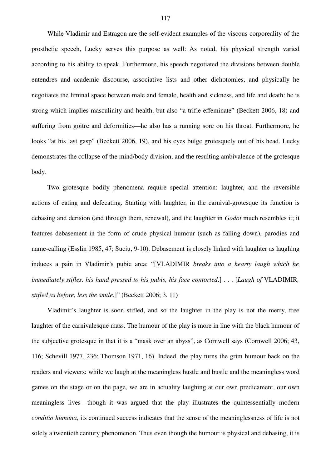While Vladimir and Estragon are the self-evident examples of the viscous corporeality of the prosthetic speech, Lucky serves this purpose as well: As noted, his physical strength varied according to his ability to speak. Furthermore, his speech negotiated the divisions between double entendres and academic discourse, associative lists and other dichotomies, and physically he negotiates the liminal space between male and female, health and sickness, and life and death: he is strong which implies masculinity and health, but also "a trifle effeminate" (Beckett 2006, 18) and suffering from goitre and deformities—he also has a running sore on his throat. Furthermore, he looks "at his last gasp" (Beckett 2006, 19), and his eyes bulge grotesquely out of his head. Lucky demonstrates the collapse of the mind/body division, and the resulting ambivalence of the grotesque body.

Two grotesque bodily phenomena require special attention: laughter, and the reversible actions of eating and defecating. Starting with laughter, in the carnival-grotesque its function is debasing and derision (and through them, renewal), and the laughter in *Godot* much resembles it; it features debasement in the form of crude physical humour (such as falling down), parodies and name-calling (Esslin 1985, 47; Suciu, 9-10). Debasement is closely linked with laughter as laughing induces a pain in Vladimir's pubic area: "[VLADIMIR *breaks into a hearty laugh which he immediately stifles, his hand pressed to his pubis, his face contorted*.] . . . [*Laugh of* VLADIMIR*, stifled as before, less the smile.*]" (Beckett 2006; 3, 11)

Vladimir's laughter is soon stifled, and so the laughter in the play is not the merry, free laughter of the carnivalesque mass. The humour of the play is more in line with the black humour of the subjective grotesque in that it is a "mask over an abyss", as Cornwell says (Cornwell 2006; 43, 116; Schevill 1977, 236; Thomson 1971, 16). Indeed, the play turns the grim humour back on the readers and viewers: while we laugh at the meaningless hustle and bustle and the meaningless word games on the stage or on the page, we are in actuality laughing at our own predicament, our own meaningless lives—though it was argued that the play illustrates the quintessentially modern *conditio humana*, its continued success indicates that the sense of the meaninglessness of life is not solely a twentieth century phenomenon. Thus even though the humour is physical and debasing, it is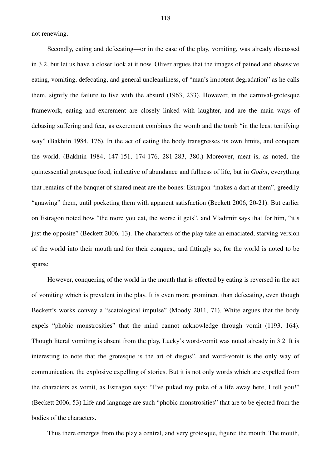not renewing.

Secondly, eating and defecating—or in the case of the play, vomiting, was already discussed in 3.2, but let us have a closer look at it now. Oliver argues that the images of pained and obsessive eating, vomiting, defecating, and general uncleanliness, of "man's impotent degradation" as he calls them, signify the failure to live with the absurd (1963, 233). However, in the carnival-grotesque framework, eating and excrement are closely linked with laughter, and are the main ways of debasing suffering and fear, as excrement combines the womb and the tomb "in the least terrifying way" (Bakhtin 1984, 176). In the act of eating the body transgresses its own limits, and conquers the world. (Bakhtin 1984; 147-151, 174-176, 281-283, 380.) Moreover, meat is, as noted, the quintessential grotesque food, indicative of abundance and fullness of life, but in *Godot*, everything that remains of the banquet of shared meat are the bones: Estragon "makes a dart at them", greedily "gnawing" them, until pocketing them with apparent satisfaction (Beckett 2006, 20-21). But earlier on Estragon noted how "the more you eat, the worse it gets", and Vladimir says that for him, "it's just the opposite" (Beckett 2006, 13). The characters of the play take an emaciated, starving version of the world into their mouth and for their conquest, and fittingly so, for the world is noted to be sparse.

However, conquering of the world in the mouth that is effected by eating is reversed in the act of vomiting which is prevalent in the play. It is even more prominent than defecating, even though Beckett's works convey a "scatological impulse" (Moody 2011, 71). White argues that the body expels "phobic monstrosities" that the mind cannot acknowledge through vomit (1193, 164). Though literal vomiting is absent from the play, Lucky's word-vomit was noted already in 3.2. It is interesting to note that the grotesque is the art of disgus", and word-vomit is the only way of communication, the explosive expelling of stories. But it is not only words which are expelled from the characters as vomit, as Estragon says: "I've puked my puke of a life away here, I tell you!" (Beckett 2006, 53) Life and language are such "phobic monstrosities" that are to be ejected from the bodies of the characters.

Thus there emerges from the play a central, and very grotesque, figure: the mouth. The mouth,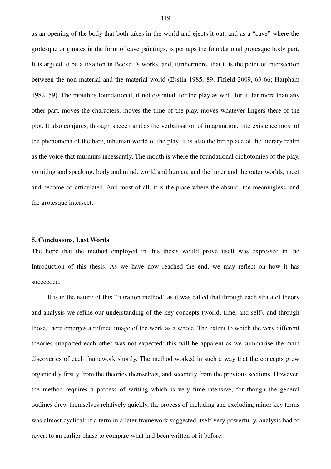as an opening of the body that both takes in the world and ejects it out, and as a "cave" where the grotesque originates in the form of cave paintings, is perhaps the foundational grotesque body part. It is argued to be a fixation in Beckett's works, and, furthermore, that it is the point of intersection between the non-material and the material world (Esslin 1985, 89; Fifield 2009, 63-66; Harpham 1982, 59). The mouth is foundational, if not essential, for the play as well, for it, far more than any other part, moves the characters, moves the time of the play, moves whatever lingers there of the plot. It also conjures, through speech and as the verbalisation of imagination, into existence most of the phenomena of the bare, inhuman world of the play. It is also the birthplace of the literary realm as the voice that murmurs incessantly. The mouth is where the foundational dichotomies of the play, vomiting and speaking, body and mind, world and human, and the inner and the outer worlds, meet and become co-articulated. And most of all, it is the place where the absurd, the meaningless, and the grotesque intersect.

## **5. Conclusions, Last Words**

The hope that the method employed in this thesis would prove itself was expressed in the Introduction of this thesis. As we have now reached the end, we may reflect on how it has succeeded.

It is in the nature of this "filtration method" as it was called that through each strata of theory and analysis we refine our understanding of the key concepts (world, time, and self), and through those, there emerges a refined image of the work as a whole. The extent to which the very different theories supported each other was not expected: this will be apparent as we summarise the main discoveries of each framework shortly. The method worked in such a way that the concepts grew organically firstly from the theories themselves, and secondly from the previous sections. However, the method requires a process of writing which is very time-intensive, for though the general outlines drew themselves relatively quickly, the process of including and excluding minor key terms was almost cyclical: if a term in a later framework suggested itself very powerfully, analysis had to revert to an earlier phase to compare what had been written of it before.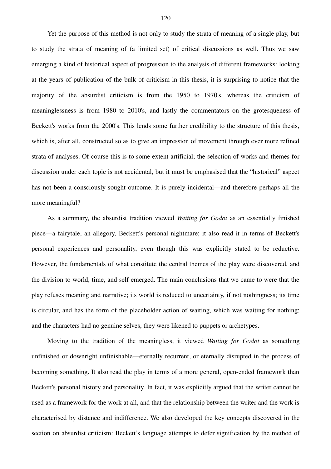Yet the purpose of this method is not only to study the strata of meaning of a single play, but to study the strata of meaning of (a limited set) of critical discussions as well. Thus we saw emerging a kind of historical aspect of progression to the analysis of different frameworks: looking at the years of publication of the bulk of criticism in this thesis, it is surprising to notice that the majority of the absurdist criticism is from the 1950 to 1970's, whereas the criticism of meaninglessness is from 1980 to 2010's, and lastly the commentators on the grotesqueness of Beckett's works from the 2000's. This lends some further credibility to the structure of this thesis, which is, after all, constructed so as to give an impression of movement through ever more refined strata of analyses. Of course this is to some extent artificial; the selection of works and themes for discussion under each topic is not accidental, but it must be emphasised that the "historical" aspect has not been a consciously sought outcome. It is purely incidental—and therefore perhaps all the more meaningful?

As a summary, the absurdist tradition viewed *Waiting for Godot* as an essentially finished piece—a fairytale, an allegory, Beckett's personal nightmare; it also read it in terms of Beckett's personal experiences and personality, even though this was explicitly stated to be reductive. However, the fundamentals of what constitute the central themes of the play were discovered, and the division to world, time, and self emerged. The main conclusions that we came to were that the play refuses meaning and narrative; its world is reduced to uncertainty, if not nothingness; its time is circular, and has the form of the placeholder action of waiting, which was waiting for nothing; and the characters had no genuine selves, they were likened to puppets or archetypes.

Moving to the tradition of the meaningless, it viewed *Waiting for Godot* as something unfinished or downright unfinishable—eternally recurrent, or eternally disrupted in the process of becoming something. It also read the play in terms of a more general, open-ended framework than Beckett's personal history and personality. In fact, it was explicitly argued that the writer cannot be used as a framework for the work at all, and that the relationship between the writer and the work is characterised by distance and indifference. We also developed the key concepts discovered in the section on absurdist criticism: Beckett's language attempts to defer signification by the method of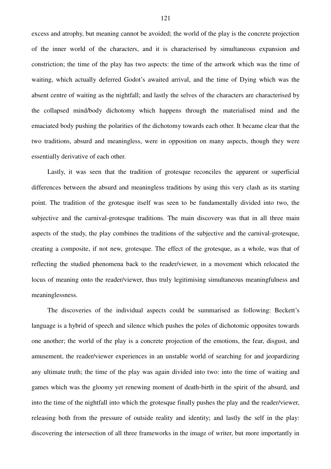excess and atrophy, but meaning cannot be avoided; the world of the play is the concrete projection of the inner world of the characters, and it is characterised by simultaneous expansion and constriction; the time of the play has two aspects: the time of the artwork which was the time of waiting, which actually deferred Godot's awaited arrival, and the time of Dying which was the absent centre of waiting as the nightfall; and lastly the selves of the characters are characterised by the collapsed mind/body dichotomy which happens through the materialised mind and the emaciated body pushing the polarities of the dichotomy towards each other. It became clear that the two traditions, absurd and meaningless, were in opposition on many aspects, though they were essentially derivative of each other.

Lastly, it was seen that the tradition of grotesque reconciles the apparent or superficial differences between the absurd and meaningless traditions by using this very clash as its starting point. The tradition of the grotesque itself was seen to be fundamentally divided into two, the subjective and the carnival-grotesque traditions. The main discovery was that in all three main aspects of the study, the play combines the traditions of the subjective and the carnival-grotesque, creating a composite, if not new, grotesque. The effect of the grotesque, as a whole, was that of reflecting the studied phenomena back to the reader/viewer, in a movement which relocated the locus of meaning onto the reader/viewer, thus truly legitimising simultaneous meaningfulness and meaninglessness.

The discoveries of the individual aspects could be summarised as following: Beckett's language is a hybrid of speech and silence which pushes the poles of dichotomic opposites towards one another; the world of the play is a concrete projection of the emotions, the fear, disgust, and amusement, the reader/viewer experiences in an unstable world of searching for and jeopardizing any ultimate truth; the time of the play was again divided into two: into the time of waiting and games which was the gloomy yet renewing moment of death-birth in the spirit of the absurd, and into the time of the nightfall into which the grotesque finally pushes the play and the reader/viewer, releasing both from the pressure of outside reality and identity; and lastly the self in the play: discovering the intersection of all three frameworks in the image of writer, but more importantly in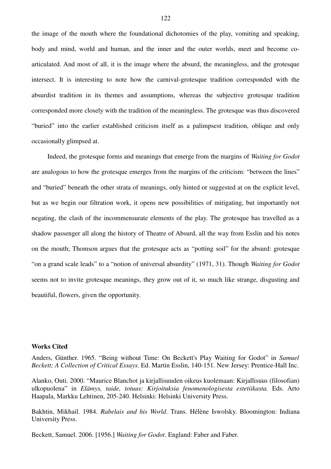the image of the mouth where the foundational dichotomies of the play, vomiting and speaking, body and mind, world and human, and the inner and the outer worlds, meet and become coarticulated. And most of all, it is the image where the absurd, the meaningless, and the grotesque intersect. It is interesting to note how the carnival-grotesque tradition corresponded with the absurdist tradition in its themes and assumptions, whereas the subjective grotesque tradition corresponded more closely with the tradition of the meaningless. The grotesque was thus discovered "buried" into the earlier established criticism itself as a palimpsest tradition, oblique and only occasionally glimpsed at.

Indeed, the grotesque forms and meanings that emerge from the margins of *Waiting for Godot* are analogous to how the grotesque emerges from the margins of the criticism: "between the lines" and "buried" beneath the other strata of meanings, only hinted or suggested at on the explicit level, but as we begin our filtration work, it opens new possibilities of mitigating, but importantly not negating, the clash of the incommensurate elements of the play. The grotesque has travelled as a shadow passenger all along the history of Theatre of Absurd, all the way from Esslin and his notes on the mouth; Thomson argues that the grotesque acts as "potting soil" for the absurd: grotesque "on a grand scale leads" to a "notion of universal absurdity" (1971, 31). Though *Waiting for Godot* seems not to invite grotesque meanings, they grow out of it, so much like strange, disgusting and beautiful, flowers, given the opportunity.

## **Works Cited**

Anders, Günther. 1965. "Being without Time: On Beckett's Play Waiting for Godot" in *Samuel Beckett; A Collection of Critical Essays*. Ed. Martin Esslin, 140-151. New Jersey: Prentice-Hall Inc.

Alanko, Outi. 2000. "Maurice Blanchot ja kirjallisuuden oikeus kuolemaan: Kirjallisuus (filosofian) ulkopuolena" in *Elämys, taide, totuus: Kirjoituksia fenomenologisesta estetiikasta.* Eds. Arto Haapala, Markku Lehtinen, 205-240. Helsinki: Helsinki University Press.

Bakhtin, Mikhail. 1984. *Rabelais and his World*. Trans. Hélène Iswolsky. Bloomington: Indiana University Press.

Beckett, Samuel. 2006. [1956.] *Waiting for Godot*. England: Faber and Faber.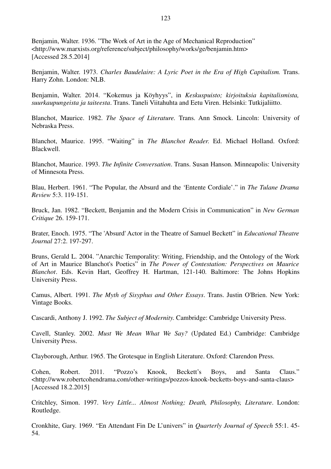Benjamin, Walter. 1936. "The Work of Art in the Age of Mechanical Reproduction" <http://www.marxists.org/reference/subject/philosophy/works/ge/benjamin.htm> [Accessed 28.5.2014]

Benjamin, Walter. 1973. *Charles Baudelaire: A Lyric Poet in the Era of High Capitalism*. Trans. Harry Zohn. London: NLB.

Benjamin, Walter. 2014. "Kokemus ja Köyhyys", in *Keskuspuisto; kirjoituksia kapitalismista, suurkaupungeista ja taiteesta*. Trans. Taneli Viitahuhta and Eetu Viren. Helsinki: Tutkijaliitto.

Blanchot, Maurice. 1982. *The Space of Literature.* Trans. Ann Smock. Lincoln: University of Nebraska Press.

Blanchot, Maurice. 1995. "Waiting" in *The Blanchot Reader*. Ed. Michael Holland. Oxford: Blackwell.

Blanchot, Maurice. 1993. *The Infinite Conversation*. Trans. Susan Hanson. Minneapolis: University of Minnesota Press.

Blau, Herbert. 1961. "The Popular, the Absurd and the 'Entente Cordiale'." in *The Tulane Drama Review* 5:3. 119-151.

Bruck, Jan. 1982. "Beckett, Benjamin and the Modern Crisis in Communication" in *New German Critique* 26. 159-171.

Brater, Enoch. 1975. "The 'Absurd' Actor in the Theatre of Samuel Beckett" in *Educational Theatre Journal* 27:2. 197-297.

Bruns, Gerald L. 2004. "Anarchic Temporality: Writing, Friendship, and the Ontology of the Work of Art in Maurice Blanchot's Poetics" in *The Power of Contestation: Perspectives on Maurice Blanchot*. Eds. Kevin Hart, Geoffrey H. Hartman, 121-140. Baltimore: The Johns Hopkins University Press.

Camus, Albert. 1991. *The Myth of Sisyphus and Other Essays*. Trans. Justin O'Brien. New York: Vintage Books.

Cascardi, Anthony J. 1992. *The Subject of Modernity*. Cambridge: Cambridge University Press.

Cavell, Stanley. 2002. *Must We Mean What We Say?* (Updated Ed.) Cambridge: Cambridge University Press.

Clayborough, Arthur. 1965. The Grotesque in English Literature. Oxford: Clarendon Press.

Cohen, Robert. 2011. "Pozzo's Knook, Beckett's Boys, and Santa Claus." <http://www.robertcohendrama.com/other-writings/pozzos-knook-becketts-boys-and-santa-claus> [Accessed 18.2.2015]

Critchley, Simon. 1997. *Very Little... Almost Nothing; Death, Philosophy, Literature*. London: Routledge.

Cronkhite, Gary. 1969. "En Attendant Fin De L'univers" in *Quarterly Journal of Speech* 55:1. 45- 54.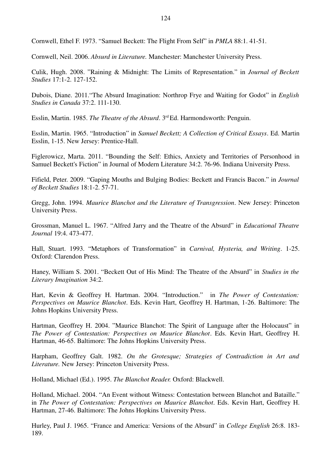Cornwell, Ethel F. 1973. "Samuel Beckett: The Flight From Self" in *PMLA* 88:1. 41-51.

Cornwell, Neil. 2006. *Absurd in Literature.* Manchester: Manchester University Press.

Culik, Hugh. 2008. "Raining & Midnight: The Limits of Representation." in *Journal of Beckett Studies* 17:1-2. 127-152.

Dubois, Diane. 2011."The Absurd Imagination: Northrop Frye and Waiting for Godot" in *English Studies in Canada* 37:2. 111-130.

Esslin, Martin. 1985. *The Theatre of the Absurd*. 3rd Ed. Harmondsworth: Penguin.

Esslin, Martin. 1965. "Introduction" in *Samuel Beckett; A Collection of Critical Essays*. Ed. Martin Esslin, 1-15. New Jersey: Prentice-Hall.

Figlerowicz, Marta. 2011. "Bounding the Self: Ethics, Anxiety and Territories of Personhood in Samuel Beckett's Fiction" in Journal of Modern Literature 34:2. 76-96. Indiana University Press.

Fifield, Peter. 2009. "Gaping Mouths and Bulging Bodies: Beckett and Francis Bacon." in *Journal of Beckett Studies* 18:1-2. 57-71.

Gregg, John. 1994. *Maurice Blanchot and the Literature of Transgression*. New Jersey: Princeton University Press.

Grossman, Manuel L. 1967. "Alfred Jarry and the Theatre of the Absurd" in *Educational Theatre Journal* 19:4. 473-477.

Hall, Stuart. 1993. "Metaphors of Transformation" in *Carnival, Hysteria, and Writing*. 1-25. Oxford: Clarendon Press.

Haney, William S. 2001. "Beckett Out of His Mind: The Theatre of the Absurd" in *Studies in the Literary Imagination* 34:2.

Hart, Kevin & Geoffrey H. Hartman. 2004. "Introduction." in *The Power of Contestation: Perspectives on Maurice Blanchot*. Eds. Kevin Hart, Geoffrey H. Hartman, 1-26. Baltimore: The Johns Hopkins University Press.

Hartman, Geoffrey H. 2004. "Maurice Blanchot: The Spirit of Language after the Holocaust" in *The Power of Contestation: Perspectives on Maurice Blanchot*. Eds. Kevin Hart, Geoffrey H. Hartman, 46-65. Baltimore: The Johns Hopkins University Press.

Harpham, Geoffrey Galt. 1982. *On the Grotesque; Strategies of Contradiction in Art and Literature.* New Jersey: Princeton University Press.

Holland, Michael (Ed.). 1995. *The Blanchot Reader.* Oxford: Blackwell.

Holland, Michael. 2004. "An Event without Witness: Contestation between Blanchot and Bataille." in *The Power of Contestation: Perspectives on Maurice Blanchot*. Eds. Kevin Hart, Geoffrey H. Hartman, 27-46. Baltimore: The Johns Hopkins University Press.

Hurley, Paul J. 1965. "France and America: Versions of the Absurd" in *College English* 26:8. 183- 189.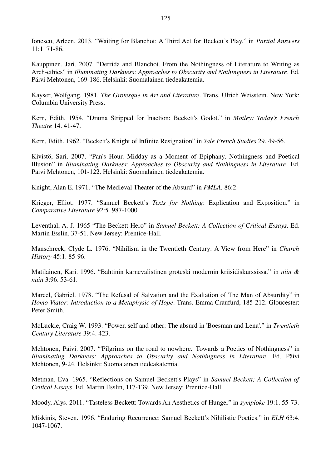Ionescu, Arleen. 2013. "Waiting for Blanchot: A Third Act for Beckett's Play." in *Partial Answers*  $11 \cdot 1$  71-86

Kauppinen, Jari. 2007. "Derrida and Blanchot. From the Nothingness of Literature to Writing as Arch-ethics" in *Illuminating Darkness: Approaches to Obscurity and Nothingness in Literature*. Ed. Päivi Mehtonen, 169-186. Helsinki: Suomalainen tiedeakatemia.

Kayser, Wolfgang. 1981. *The Grotesque in Art and Literature*. Trans. Ulrich Weisstein. New York: Columbia University Press.

Kern, Edith. 1954. "Drama Stripped for Inaction: Beckett's Godot." in *Motley: Today's French Theatre* 14. 41-47.

Kern, Edith. 1962. "Beckett's Knight of Infinite Resignation" in *Yale French Studies* 29. 49-56.

Kivistö, Sari. 2007. "Pan's Hour. Midday as a Moment of Epiphany, Nothingness and Poetical Illusion" in *Illuminating Darkness: Approaches to Obscurity and Nothingness in Literature*. Ed. Päivi Mehtonen, 101-122. Helsinki: Suomalainen tiedeakatemia.

Knight, Alan E. 1971. "The Medieval Theater of the Absurd" in *PMLA.* 86:2.

Krieger, Elliot. 1977. "Samuel Beckett's *Texts for Nothing*: Explication and Exposition." in *Comparative Literature* 92:5. 987-1000.

Leventhal, A. J. 1965 "The Beckett Hero" in *Samuel Beckett; A Collection of Critical Essays*. Ed. Martin Esslin, 37-51. New Jersey: Prentice-Hall.

Manschreck, Clyde L. 1976. "Nihilism in the Twentieth Century: A View from Here" in *Church History* 45:1. 85-96.

Matilainen, Kari. 1996. "Bahtinin karnevalistinen groteski modernin kriisidiskurssissa." in *niin & näin* 3:96. 53-61.

Marcel, Gabriel. 1978. "The Refusal of Salvation and the Exaltation of The Man of Absurdity" in *Homo Viator: Introduction to a Metaphysic of Hope*. Trans. Emma Craufurd, 185-212. Gloucester: Peter Smith.

McLuckie, Craig W. 1993. "Power, self and other: The absurd in 'Boesman and Lena'." in *Twentieth Century Literature* 39:4. 423.

Mehtonen, Päivi. 2007. "'Pilgrims on the road to nowhere.' Towards a Poetics of Nothingness" in *Illuminating Darkness: Approaches to Obscurity and Nothingness in Literature*. Ed. Päivi Mehtonen, 9-24. Helsinki: Suomalainen tiedeakatemia.

Metman, Eva. 1965. "Reflections on Samuel Beckett's Plays" in *Samuel Beckett; A Collection of Critical Essays*. Ed. Martin Esslin, 117-139. New Jersey: Prentice-Hall.

Moody, Alys. 2011. "Tasteless Beckett: Towards An Aesthetics of Hunger" in *symploke* 19:1. 55-73.

Miskinis, Steven. 1996. "Enduring Recurrence: Samuel Beckett's Nihilistic Poetics." in *ELH* 63:4. 1047-1067.